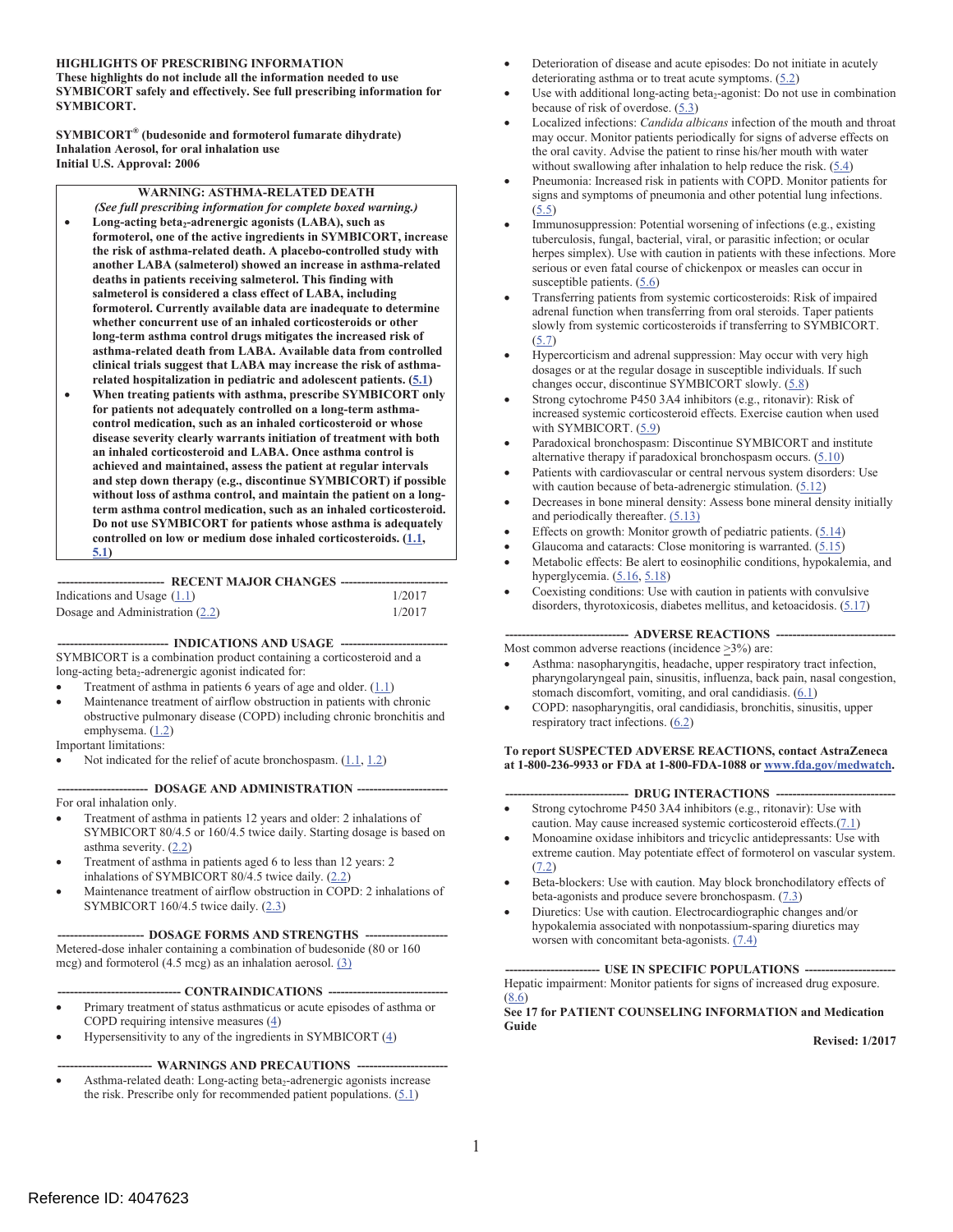#### **HIGHLIGHTS OF PRESCRIBING INFORMATION These highlights do not include all the information needed to use**

**SYMBICORT safely and effectively. See full prescribing information for SYMBICORT.** 

**SYMBICORT® (budesonide and formoterol fumarate dihydrate) Inhalation Aerosol, for oral inhalation use Initial U.S. Approval: 2006** 

**WARNING: ASTHMA-RELATED DEATH** 

- **long-term asthma control drugs mitigates the increased risk of**  *(See full prescribing information for complete boxed warning.)*  Long-acting beta<sub>2</sub>-adrenergic agonists (LABA), such as **formoterol, one of the active ingredients in SYMBICORT, increase the risk of asthma-related death. A placebo-controlled study with another LABA (salmeterol) showed an increase in asthma-related deaths in patients receiving salmeterol. This finding with salmeterol is considered a class effect of LABA, including formoterol. Currently available data are inadequate to determine whether concurrent use of an inhaled corticosteroids or other asthma-related death from LABA. Available data from controlled clinical trials suggest that LABA may increase the risk of asthmarelated hospitalization in pediatric and adolescent patients. (5.1)**
- **When treating patients with asthma, prescribe SYMBICORT only for patients not adequately controlled on a long-term asthmacontrol medication, such as an inhaled corticosteroid or whose disease severity clearly warrants initiation of treatment with both an inhaled corticosteroid and LABA. Once asthma control is achieved and maintained, assess the patient at regular intervals and step down therapy (e.g., discontinue SYMBICORT) if possible without loss of asthma control, and maintain the patient on a longterm asthma control medication, such as an inhaled corticosteroid. Do not use SYMBICORT for patients whose asthma is adequately controlled on low or medium dose inhaled corticosteroids. (1.1, 5.1)**

**-------------------------- RECENT MAJOR CHANGES -------------------------**

| Indications and Usage $(1.1)$   |  | 1/2017 |
|---------------------------------|--|--------|
| Dosage and Administration (2.2) |  | 1/2017 |

---- INDICATIONS AND USAGE ----SYMBICORT is a combination product containing a corticosteroid and a long-acting beta<sub>2</sub>-adrenergic agonist indicated for:

- Treatment of asthma in patients 6 years of age and older.  $(1.1)$
- ! Maintenance treatment of airflow obstruction in patients with chronic obstructive pulmonary disease (COPD) including chronic bronchitis and emphysema. (1.2)
- Important limitations:
- Not indicated for the relief of acute bronchospasm.  $(1.1, 1.2)$

--- DOSAGE AND ADMINISTRATION -----

For oral inhalation only.

- Treatment of asthma in patients 12 years and older: 2 inhalations of SYMBICORT 80/4.5 or 160/4.5 twice daily. Starting dosage is based on asthma severity.  $(2.2)$
- ! Treatment of asthma in patients aged 6 to less than 12 years: 2 inhalations of SYMBICORT 80/4.5 twice daily. (2.2)
- ! Maintenance treatment of airflow obstruction in COPD: 2 inhalations of SYMBICORT 160/4.5 twice daily. (2.3)

---- DOSAGE FORMS AND STRENGTHS ----

Metered-dose inhaler containing a combination of budesonide (80 or 160 mcg) and formoterol (4.5 mcg) as an inhalation aerosol. (3)

**------------------------------ CONTRAINDICATIONS ----------------------------**

- ! Primary treatment of status asthmaticus or acute episodes of asthma or COPD requiring intensive measures (4)
- Hypersensitivity to any of the ingredients in SYMBICORT  $(4)$

---- WARNINGS AND PRECAUTIONS -------

Asthma-related death: Long-acting beta<sub>2</sub>-adrenergic agonists increase the risk. Prescribe only for recommended patient populations.  $(5.1)$ 

- ! Deterioration of disease and acute episodes: Do not initiate in acutely deteriorating asthma or to treat acute symptoms.  $(5.2)$
- Use with additional long-acting beta<sub>2</sub>-agonist: Do not use in combination because of risk of overdose. (5.3)
- ! Localized infections: *Candida albicans* infection of the mouth and throat may occur. Monitor patients periodically for signs of adverse effects on the oral cavity. Advise the patient to rinse his/her mouth with water without swallowing after inhalation to help reduce the risk.  $(5.4)$
- ! Pneumonia: Increased risk in patients with COPD. Monitor patients for signs and symptoms of pneumonia and other potential lung infections. (5.5)
- Immunosuppression: Potential worsening of infections (e.g., existing tuberculosis, fungal, bacterial, viral, or parasitic infection; or ocular herpes simplex). Use with caution in patients with these infections. More serious or even fatal course of chickenpox or measles can occur in susceptible patients.  $(5.6)$
- ! Transferring patients from systemic corticosteroids: Risk of impaired adrenal function when transferring from oral steroids. Taper patients slowly from systemic corticosteroids if transferring to SYMBICORT. (5.7)
- ! Hypercorticism and adrenal suppression: May occur with very high dosages or at the regular dosage in susceptible individuals. If such changes occur, discontinue SYMBICORT slowly. (5.8)
- ! Strong cytochrome P450 3A4 inhibitors (e.g., ritonavir): Risk of increased systemic corticosteroid effects. Exercise caution when used with SYMBICORT. (5.9)
- ! Paradoxical bronchospasm: Discontinue SYMBICORT and institute alternative therapy if paradoxical bronchospasm occurs. (5.10)
- Patients with cardiovascular or central nervous system disorders: Use with caution because of beta-adrenergic stimulation.  $(5.12)$
- Decreases in bone mineral density: Assess bone mineral density initially and periodically thereafter. (5.13)
- Effects on growth: Monitor growth of pediatric patients.  $(5.14)$
- Glaucoma and cataracts: Close monitoring is warranted. (5.15)
- ! Metabolic effects: Be alert to eosinophilic conditions, hypokalemia, and hyperglycemia. (5.16, 5.18)
- Coexisting conditions: Use with caution in patients with convulsive disorders, thyrotoxicosis, diabetes mellitus, and ketoacidosis. (5.17)

**------------------------------ ADVERSE REACTIONS ----------------------------**

Most common adverse reactions (incidence >3%) are:

- Asthma: nasopharyngitis, headache, upper respiratory tract infection, pharyngolaryngeal pain, sinusitis, influenza, back pain, nasal congestion, stomach discomfort, vomiting, and oral candidiasis. (6.1)
- COPD: nasopharyngitis, oral candidiasis, bronchitis, sinusitis, upper respiratory tract infections. (6.2)

#### **To report SUSPECTED ADVERSE REACTIONS, contact AstraZeneca at 1-800-236-9933 or FDA at 1-800-FDA-1088 or www.fda.gov/medwatch.**

--- DRUG INTERACTIONS ---

- Strong cytochrome P450 3A4 inhibitors (e.g., ritonavir): Use with caution. May cause increased systemic corticosteroid effects.(7.1)
- ! Monoamine oxidase inhibitors and tricyclic antidepressants: Use with extreme caution. May potentiate effect of formoterol on vascular system. (7.2)
- ! Beta-blockers: Use with caution. May block bronchodilatory effects of beta-agonists and produce severe bronchospasm.  $(7.3)$
- Diuretics: Use with caution. Electrocardiographic changes and/or hypokalemia associated with nonpotassium-sparing diuretics may worsen with concomitant beta-agonists.  $(7.4)$

**----------------------- USE IN SPECIFIC POPULATIONS ---------------------** Hepatic impairment: Monitor patients for signs of increased drug exposure.  $(8.6)$ 

**See 17 for PATIENT COUNSELING INFORMATION and Medication Guide** 

**Revised: 1/2017**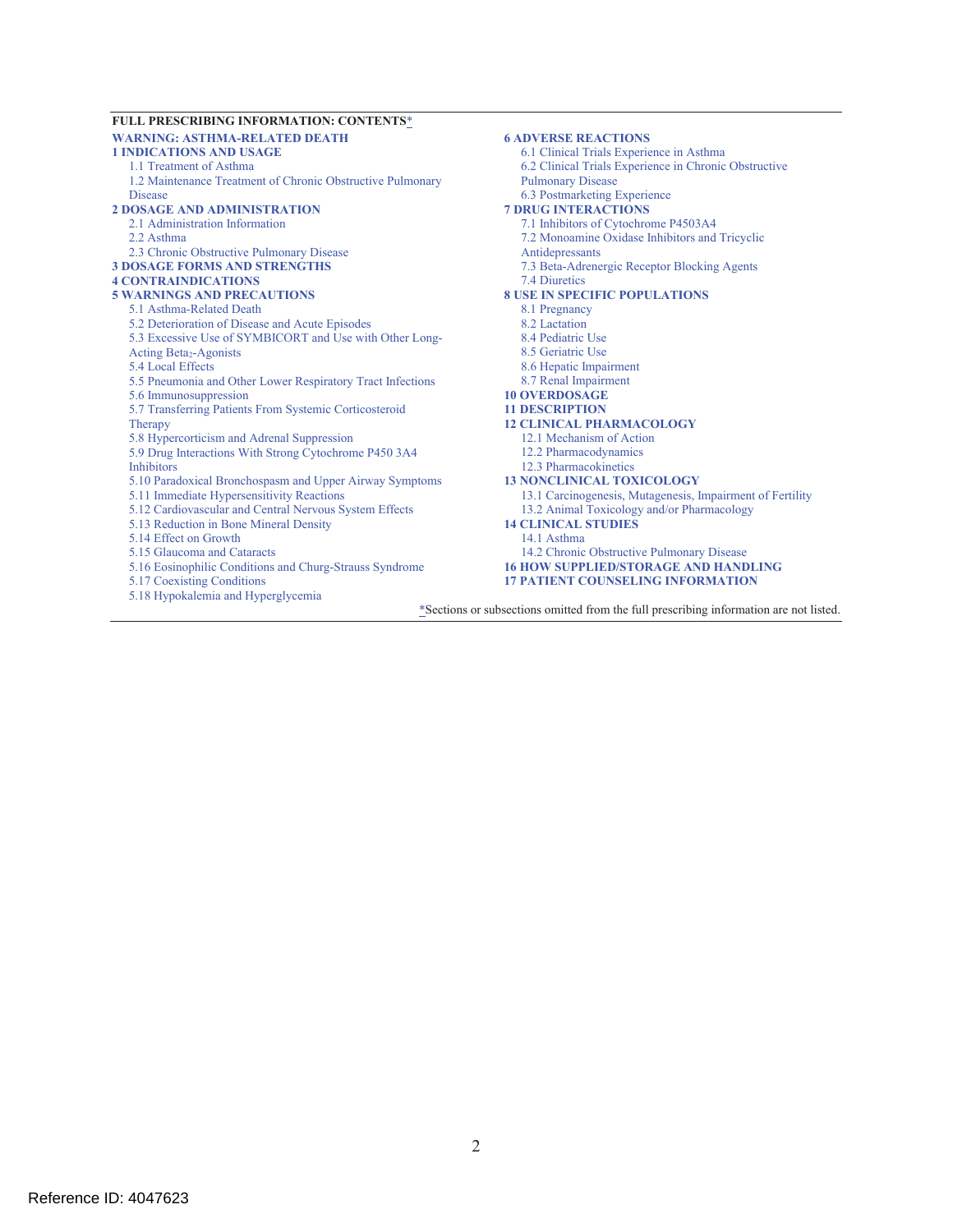#### **FULL PRESCRIBING INFORMATION: CONTENTS**\* **WARNING: ASTHMA-RELATED DEATH 1 INDICATIONS AND USAGE**  1.1 Treatment of Asthma 1.2 Maintenance Treatment of Chronic Obstructive Pulmonary **Disease 2 DOSAGE AND ADMINISTRATION**  2.1 Administration Information 2.2 Asthma 2.3 Chronic Obstructive Pulmonary Disease **3 DOSAGE FORMS AND STRENGTHS 4 CONTRAINDICATIONS 5 WARNINGS AND PRECAUTIONS**  5.1 Asthma-Related Death 5.2 Deterioration of Disease and Acute Episodes 5.3 Excessive Use of SYMBICORT and Use with Other Long-Acting Beta<sub>2</sub>-Agonists 5.4 Local Effects 5.5 Pneumonia and Other Lower Respiratory Tract Infections 5.6 Immunosuppression 5.7 Transferring Patients From Systemic Corticosteroid Therany 5.8 Hypercorticism and Adrenal Suppression 5.9 Drug Interactions With Strong Cytochrome P450 3A4 Inhibitors 5.10 Paradoxical Bronchospasm and Upper Airway Symptoms 5.11 Immediate Hypersensitivity Reactions 5.12 Cardiovascular and Central Nervous System Effects 5.13 Reduction in Bone Mineral Density 5.14 Effect on Growth 5.15 Glaucoma and Cataracts 5.16 Eosinophilic Conditions and Churg-Strauss Syndrome 5.17 Coexisting Conditions 5.18 Hypokalemia and Hyperglycemia **6 ADVERSE REACTIONS**  6.1 Clinical Trials Experience in Asthma 6.2 Clinical Trials Experience in Chronic Obstructive Pulmonary Disease 6.3 Postmarketing Experience **7 DRUG INTERACTIONS**  7.1 Inhibitors of Cytochrome P4503A4 7.2 Monoamine Oxidase Inhibitors and Tricyclic Antidepressants 7.3 Beta-Adrenergic Receptor Blocking Agents 7.4 Diuretics **8 USE IN SPECIFIC POPULATIONS**  8.1 Pregnancy 8.2 Lactation 8.4 Pediatric Use 8.5 Geriatric Use 8.6 Hepatic Impairment 8.7 Renal Impairment **10 OVERDOSAGE 11 DESCRIPTION 12 CLINICAL PHARMACOLOGY**  12.1 Mechanism of Action 12.2 Pharmacodynamics 12.3 Pharmacokinetics **13 NONCLINICAL TOXICOLOGY**  13.1 Carcinogenesis, Mutagenesis, Impairment of Fertility 13.2 Animal Toxicology and/or Pharmacology **14 CLINICAL STUDIES**  14.1 Asthma 14.2 Chronic Obstructive Pulmonary Disease **16 HOW SUPPLIED/STORAGE AND HANDLING 17 PATIENT COUNSELING INFORMATION**

\*Sections or subsections omitted from the full prescribing information are not listed.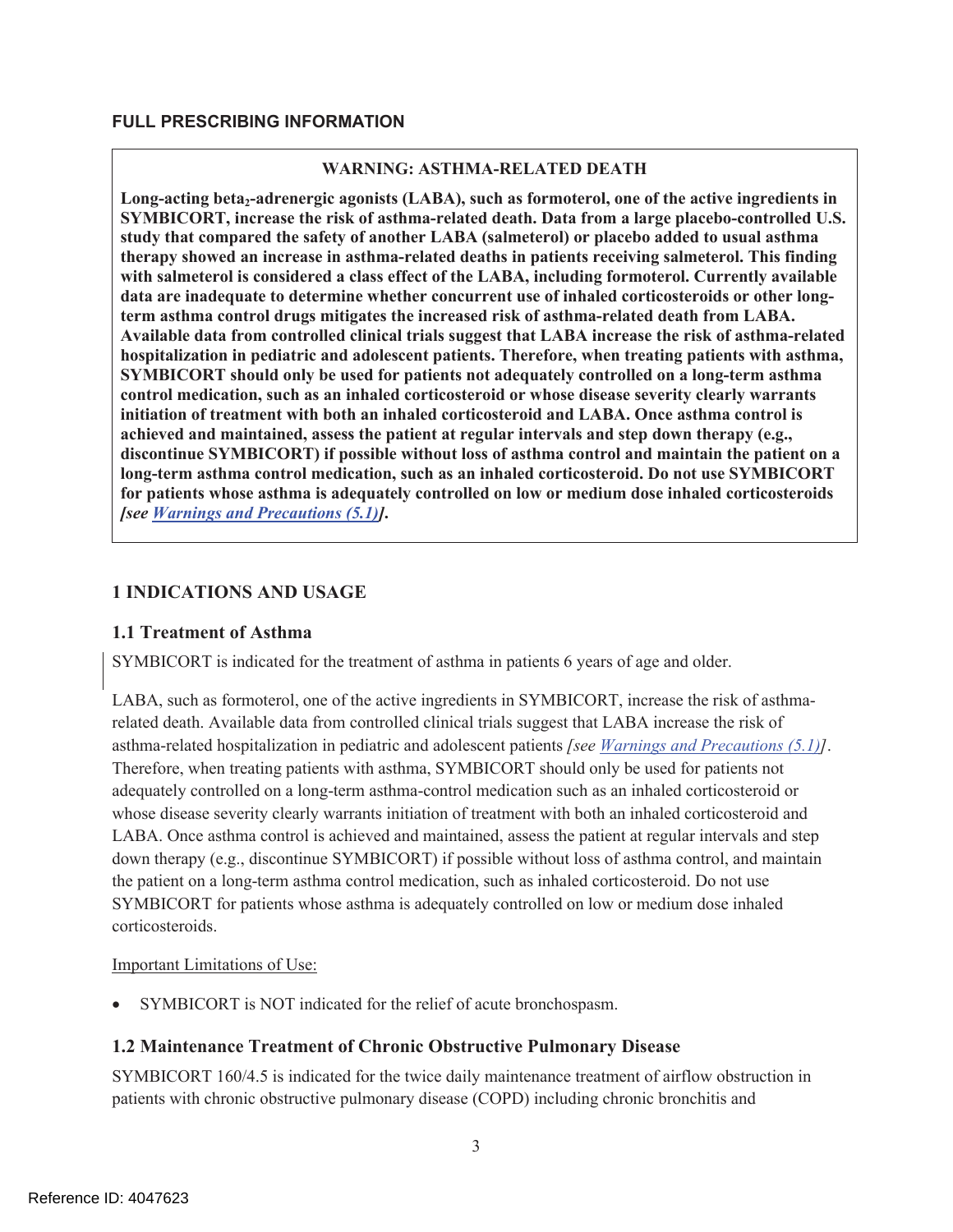### **FULL PRESCRIBING INFORMATION**

#### **WARNING: ASTHMA-RELATED DEATH**

Long-acting beta<sub>2</sub>-adrenergic agonists (LABA), such as formoterol, one of the active ingredients in **SYMBICORT, increase the risk of asthma-related death. Data from a large placebo-controlled U.S. study that compared the safety of another LABA (salmeterol) or placebo added to usual asthma therapy showed an increase in asthma-related deaths in patients receiving salmeterol. This finding with salmeterol is considered a class effect of the LABA, including formoterol. Currently available data are inadequate to determine whether concurrent use of inhaled corticosteroids or other longterm asthma control drugs mitigates the increased risk of asthma-related death from LABA. Available data from controlled clinical trials suggest that LABA increase the risk of asthma-related hospitalization in pediatric and adolescent patients. Therefore, when treating patients with asthma, SYMBICORT should only be used for patients not adequately controlled on a long-term asthma control medication, such as an inhaled corticosteroid or whose disease severity clearly warrants initiation of treatment with both an inhaled corticosteroid and LABA. Once asthma control is achieved and maintained, assess the patient at regular intervals and step down therapy (e.g., discontinue SYMBICORT) if possible without loss of asthma control and maintain the patient on a long-term asthma control medication, such as an inhaled corticosteroid. Do not use SYMBICORT for patients whose asthma is adequately controlled on low or medium dose inhaled corticosteroids**  *[see Warnings and Precautions (5.1)]***.** 

### **1 INDICATIONS AND USAGE**

#### **1.1 Treatment of Asthma**

SYMBICORT is indicated for the treatment of asthma in patients 6 years of age and older.

LABA, such as formoterol, one of the active ingredients in SYMBICORT, increase the risk of asthmarelated death. Available data from controlled clinical trials suggest that LABA increase the risk of asthma-related hospitalization in pediatric and adolescent patients *[see Warnings and Precautions (5.1)]*. Therefore, when treating patients with asthma, SYMBICORT should only be used for patients not adequately controlled on a long-term asthma-control medication such as an inhaled corticosteroid or whose disease severity clearly warrants initiation of treatment with both an inhaled corticosteroid and LABA. Once asthma control is achieved and maintained, assess the patient at regular intervals and step down therapy (e.g., discontinue SYMBICORT) if possible without loss of asthma control, and maintain the patient on a long-term asthma control medication, such as inhaled corticosteroid. Do not use SYMBICORT for patients whose asthma is adequately controlled on low or medium dose inhaled corticosteroids.

#### Important Limitations of Use:

! SYMBICORT is NOT indicated for the relief of acute bronchospasm.

#### **1.2 Maintenance Treatment of Chronic Obstructive Pulmonary Disease**

SYMBICORT 160/4.5 is indicated for the twice daily maintenance treatment of airflow obstruction in patients with chronic obstructive pulmonary disease (COPD) including chronic bronchitis and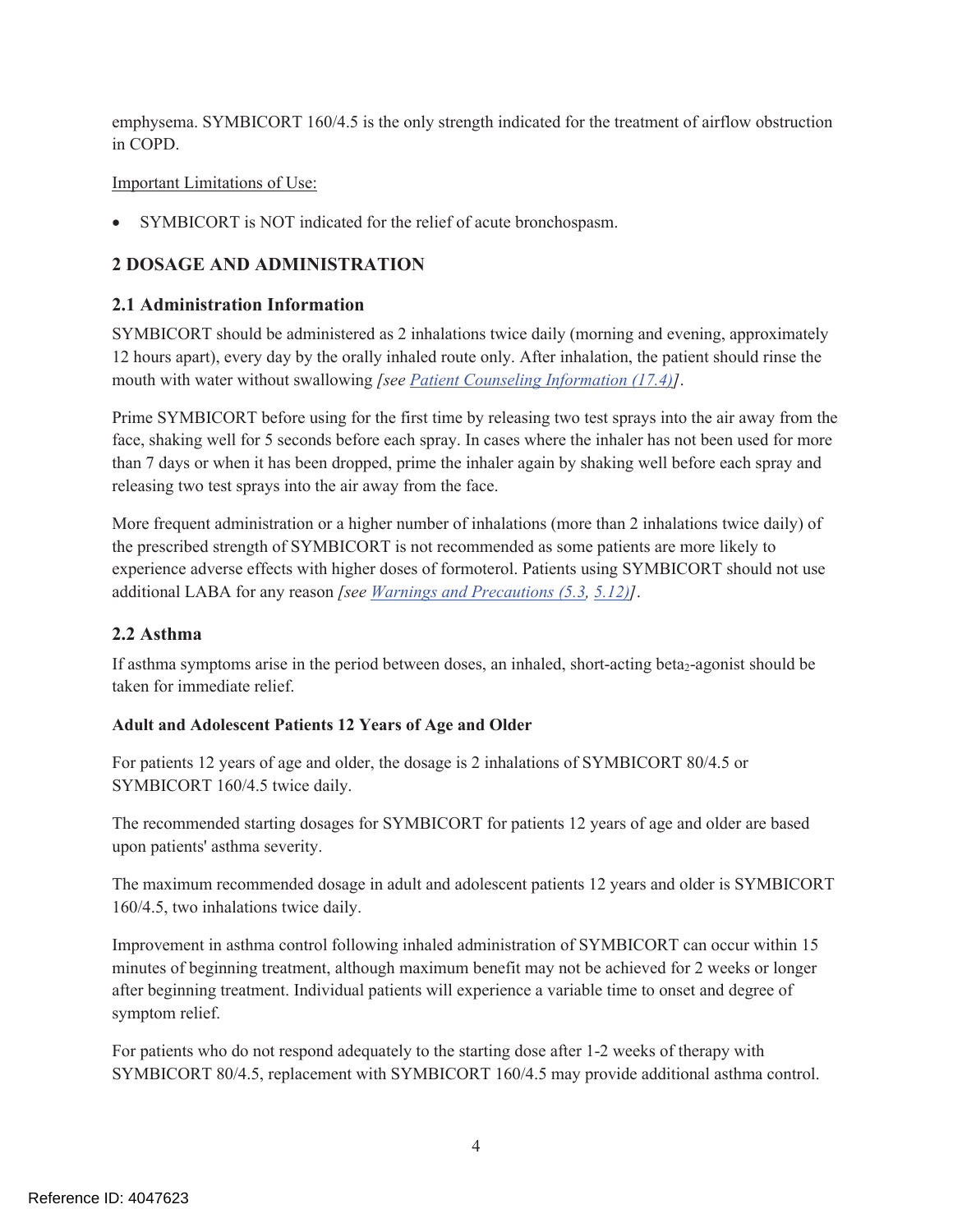emphysema. SYMBICORT 160/4.5 is the only strength indicated for the treatment of airflow obstruction in COPD.

### Important Limitations of Use:

! SYMBICORT is NOT indicated for the relief of acute bronchospasm.

# **2 DOSAGE AND ADMINISTRATION**

### **2.1 Administration Information**

SYMBICORT should be administered as 2 inhalations twice daily (morning and evening, approximately 12 hours apart), every day by the orally inhaled route only. After inhalation, the patient should rinse the mouth with water without swallowing *[see Patient Counseling Information (17.4)]*.

Prime SYMBICORT before using for the first time by releasing two test sprays into the air away from the face, shaking well for 5 seconds before each spray. In cases where the inhaler has not been used for more than 7 days or when it has been dropped, prime the inhaler again by shaking well before each spray and releasing two test sprays into the air away from the face.

More frequent administration or a higher number of inhalations (more than 2 inhalations twice daily) of the prescribed strength of SYMBICORT is not recommended as some patients are more likely to experience adverse effects with higher doses of formoterol. Patients using SYMBICORT should not use additional LABA for any reason *[see Warnings and Precautions (5.3, 5.12)]*.

### **2.2 Asthma**

If asthma symptoms arise in the period between doses, an inhaled, short-acting beta<sub>2</sub>-agonist should be taken for immediate relief.

### **Adult and Adolescent Patients 12 Years of Age and Older**

For patients 12 years of age and older, the dosage is 2 inhalations of SYMBICORT 80/4.5 or SYMBICORT 160/4.5 twice daily.

The recommended starting dosages for SYMBICORT for patients 12 years of age and older are based upon patients' asthma severity.

The maximum recommended dosage in adult and adolescent patients 12 years and older is SYMBICORT 160/4.5, two inhalations twice daily.

Improvement in asthma control following inhaled administration of SYMBICORT can occur within 15 minutes of beginning treatment, although maximum benefit may not be achieved for 2 weeks or longer after beginning treatment. Individual patients will experience a variable time to onset and degree of symptom relief.

For patients who do not respond adequately to the starting dose after 1-2 weeks of therapy with SYMBICORT 80/4.5, replacement with SYMBICORT 160/4.5 may provide additional asthma control.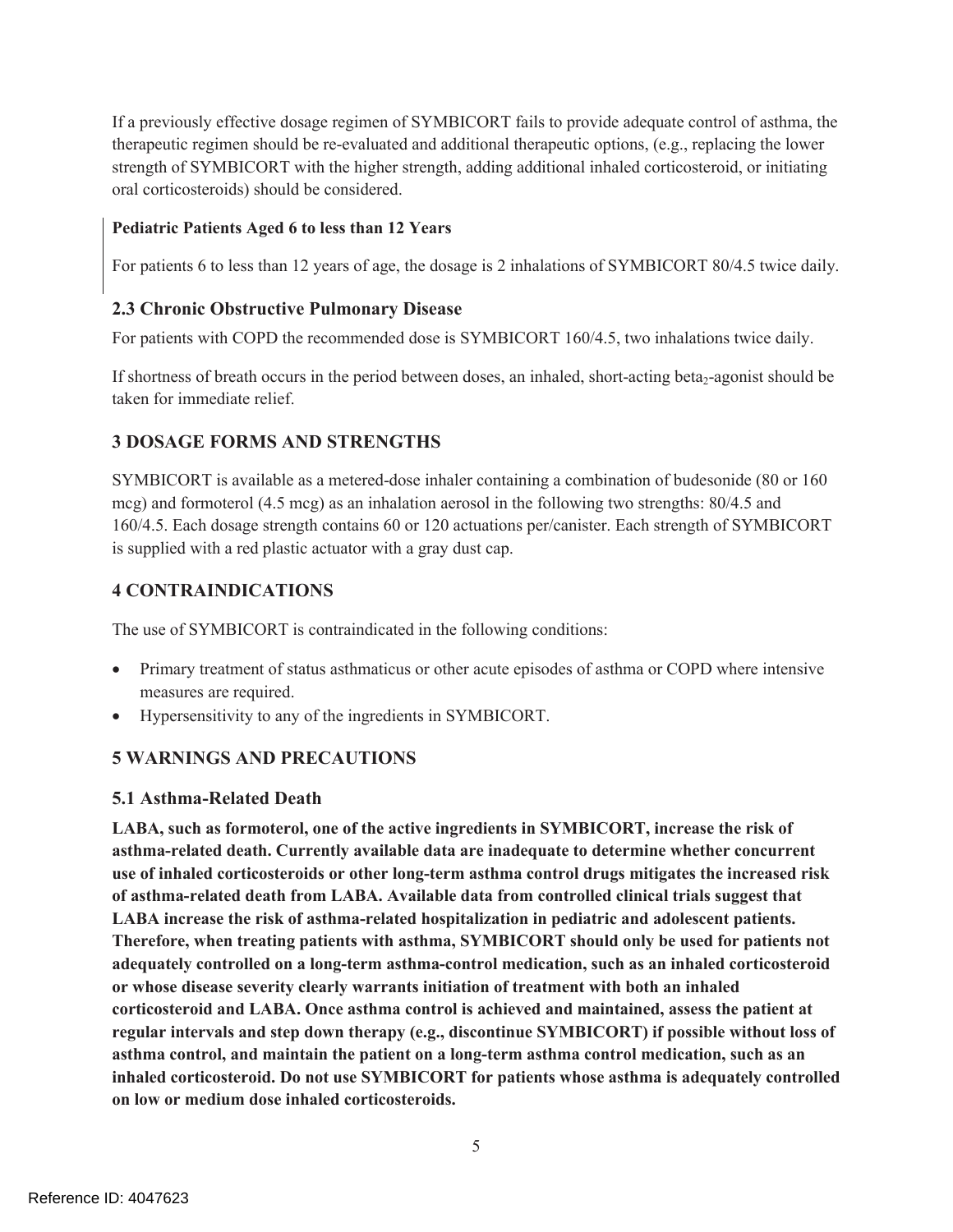If a previously effective dosage regimen of SYMBICORT fails to provide adequate control of asthma, the therapeutic regimen should be re-evaluated and additional therapeutic options, (e.g., replacing the lower strength of SYMBICORT with the higher strength, adding additional inhaled corticosteroid, or initiating oral corticosteroids) should be considered.

### **Pediatric Patients Aged 6 to less than 12 Years**

For patients 6 to less than 12 years of age, the dosage is 2 inhalations of SYMBICORT 80/4.5 twice daily.

### **2.3 Chronic Obstructive Pulmonary Disease**

For patients with COPD the recommended dose is SYMBICORT 160/4.5, two inhalations twice daily.

If shortness of breath occurs in the period between doses, an inhaled, short-acting beta<sub>2</sub>-agonist should be taken for immediate relief.

# **3 DOSAGE FORMS AND STRENGTHS**

SYMBICORT is available as a metered-dose inhaler containing a combination of budesonide (80 or 160 mcg) and formoterol (4.5 mcg) as an inhalation aerosol in the following two strengths: 80/4.5 and 160/4.5. Each dosage strength contains 60 or 120 actuations per/canister. Each strength of SYMBICORT is supplied with a red plastic actuator with a gray dust cap.

### **4 CONTRAINDICATIONS**

The use of SYMBICORT is contraindicated in the following conditions:

- Primary treatment of status asthmaticus or other acute episodes of asthma or COPD where intensive measures are required.
- ! Hypersensitivity to any of the ingredients in SYMBICORT.

# **5 WARNINGS AND PRECAUTIONS**

### **5.1 Asthma-Related Death**

**LABA, such as formoterol, one of the active ingredients in SYMBICORT, increase the risk of asthma-related death. Currently available data are inadequate to determine whether concurrent use of inhaled corticosteroids or other long-term asthma control drugs mitigates the increased risk of asthma-related death from LABA. Available data from controlled clinical trials suggest that LABA increase the risk of asthma-related hospitalization in pediatric and adolescent patients. Therefore, when treating patients with asthma, SYMBICORT should only be used for patients not adequately controlled on a long-term asthma-control medication, such as an inhaled corticosteroid or whose disease severity clearly warrants initiation of treatment with both an inhaled corticosteroid and LABA. Once asthma control is achieved and maintained, assess the patient at regular intervals and step down therapy (e.g., discontinue SYMBICORT) if possible without loss of asthma control, and maintain the patient on a long-term asthma control medication, such as an inhaled corticosteroid. Do not use SYMBICORT for patients whose asthma is adequately controlled on low or medium dose inhaled corticosteroids.**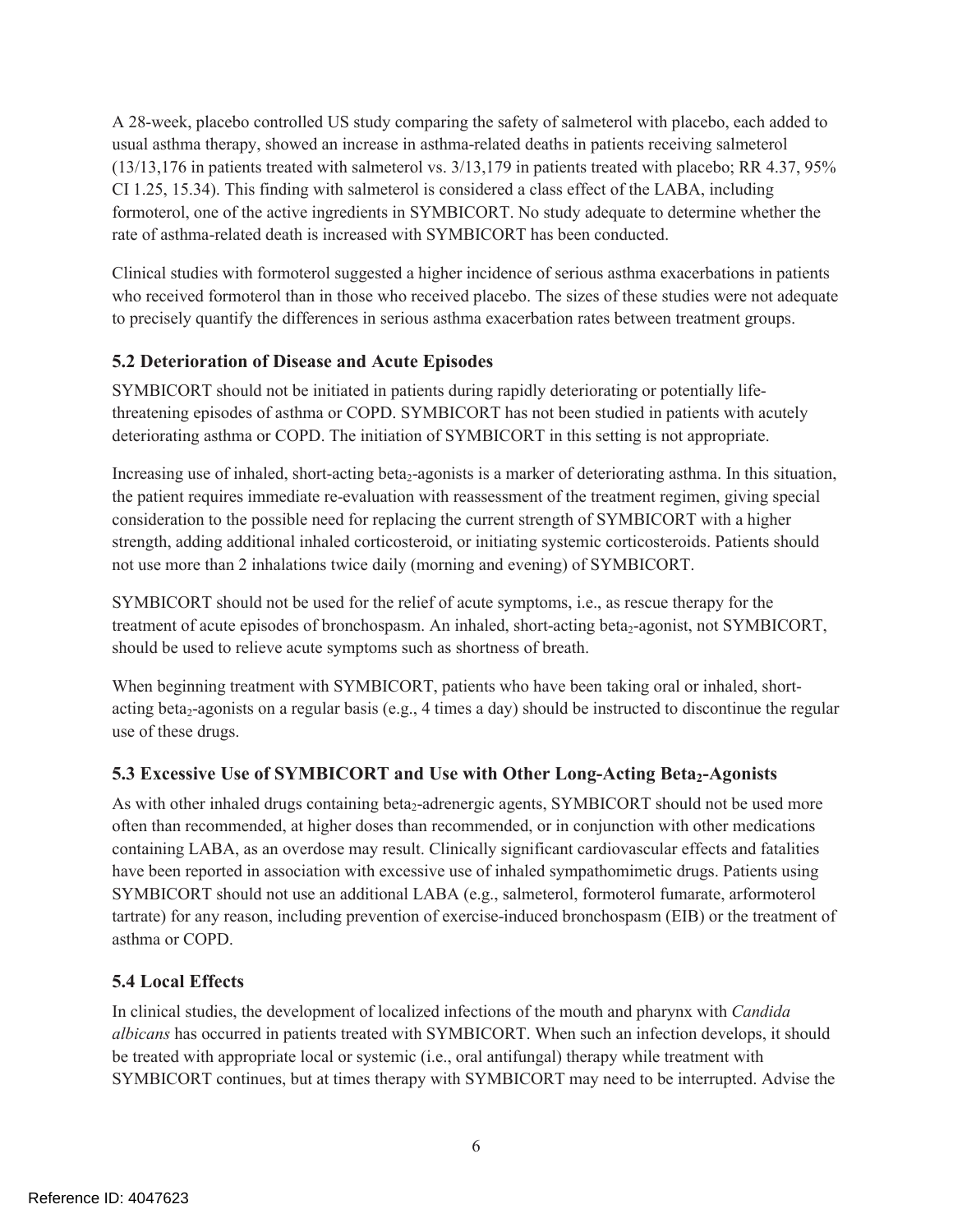A 28-week, placebo controlled US study comparing the safety of salmeterol with placebo, each added to usual asthma therapy, showed an increase in asthma-related deaths in patients receiving salmeterol (13/13,176 in patients treated with salmeterol vs. 3/13,179 in patients treated with placebo; RR 4.37, 95% CI 1.25, 15.34). This finding with salmeterol is considered a class effect of the LABA, including formoterol, one of the active ingredients in SYMBICORT. No study adequate to determine whether the rate of asthma-related death is increased with SYMBICORT has been conducted.

Clinical studies with formoterol suggested a higher incidence of serious asthma exacerbations in patients who received formoterol than in those who received placebo. The sizes of these studies were not adequate to precisely quantify the differences in serious asthma exacerbation rates between treatment groups.

### **5.2 Deterioration of Disease and Acute Episodes**

SYMBICORT should not be initiated in patients during rapidly deteriorating or potentially lifethreatening episodes of asthma or COPD. SYMBICORT has not been studied in patients with acutely deteriorating asthma or COPD. The initiation of SYMBICORT in this setting is not appropriate.

Increasing use of inhaled, short-acting beta<sub>2</sub>-agonists is a marker of deteriorating asthma. In this situation, the patient requires immediate re-evaluation with reassessment of the treatment regimen, giving special consideration to the possible need for replacing the current strength of SYMBICORT with a higher strength, adding additional inhaled corticosteroid, or initiating systemic corticosteroids. Patients should not use more than 2 inhalations twice daily (morning and evening) of SYMBICORT.

SYMBICORT should not be used for the relief of acute symptoms, i.e., as rescue therapy for the treatment of acute episodes of bronchospasm. An inhaled, short-acting beta<sub>2</sub>-agonist, not SYMBICORT, should be used to relieve acute symptoms such as shortness of breath.

When beginning treatment with SYMBICORT, patients who have been taking oral or inhaled, shortacting beta<sub>2</sub>-agonists on a regular basis (e.g., 4 times a day) should be instructed to discontinue the regular use of these drugs.

# **5.3 Excessive Use of SYMBICORT and Use with Other Long-Acting Beta<sub>2</sub>-Agonists**

As with other inhaled drugs containing beta<sub>2</sub>-adrenergic agents, SYMBICORT should not be used more often than recommended, at higher doses than recommended, or in conjunction with other medications containing LABA, as an overdose may result. Clinically significant cardiovascular effects and fatalities have been reported in association with excessive use of inhaled sympathomimetic drugs. Patients using SYMBICORT should not use an additional LABA (e.g., salmeterol, formoterol fumarate, arformoterol tartrate) for any reason, including prevention of exercise-induced bronchospasm (EIB) or the treatment of asthma or COPD.

# **5.4 Local Effects**

In clinical studies, the development of localized infections of the mouth and pharynx with *Candida albicans* has occurred in patients treated with SYMBICORT. When such an infection develops, it should be treated with appropriate local or systemic (i.e., oral antifungal) therapy while treatment with SYMBICORT continues, but at times therapy with SYMBICORT may need to be interrupted. Advise the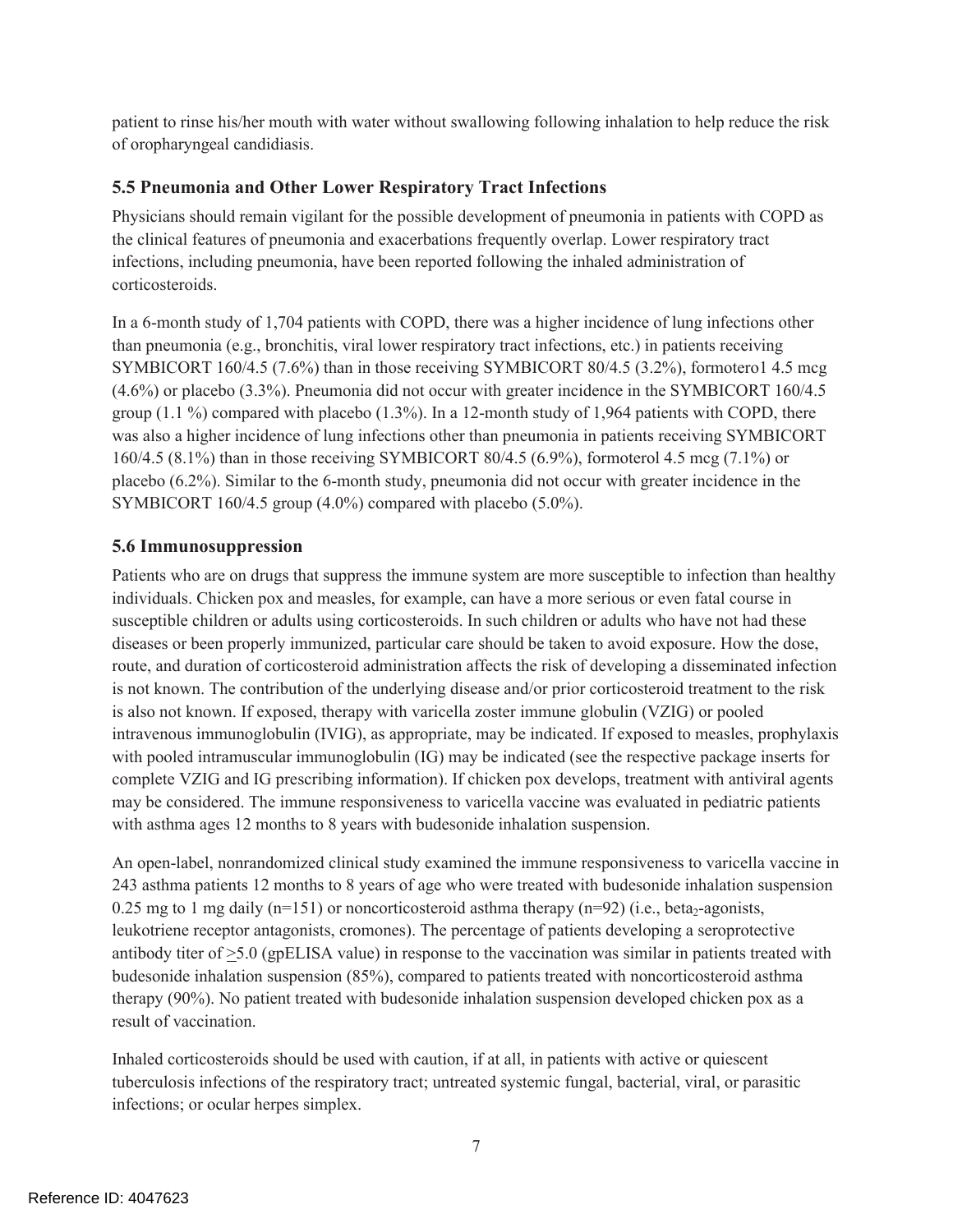patient to rinse his/her mouth with water without swallowing following inhalation to help reduce the risk of oropharyngeal candidiasis.

### **5.5 Pneumonia and Other Lower Respiratory Tract Infections**

Physicians should remain vigilant for the possible development of pneumonia in patients with COPD as the clinical features of pneumonia and exacerbations frequently overlap. Lower respiratory tract infections, including pneumonia, have been reported following the inhaled administration of corticosteroids.

In a 6-month study of 1,704 patients with COPD, there was a higher incidence of lung infections other than pneumonia (e.g., bronchitis, viral lower respiratory tract infections, etc.) in patients receiving SYMBICORT 160/4.5 (7.6%) than in those receiving SYMBICORT 80/4.5 (3.2%), formotero1 4.5 mcg (4.6%) or placebo (3.3%). Pneumonia did not occur with greater incidence in the SYMBICORT 160/4.5 group  $(1.1\%)$  compared with placebo  $(1.3\%)$ . In a 12-month study of 1,964 patients with COPD, there was also a higher incidence of lung infections other than pneumonia in patients receiving SYMBICORT 160/4.5 (8.1%) than in those receiving SYMBICORT 80/4.5 (6.9%), formoterol 4.5 mcg (7.1%) or placebo (6.2%). Similar to the 6-month study, pneumonia did not occur with greater incidence in the SYMBICORT 160/4.5 group (4.0%) compared with placebo (5.0%).

### **5.6 Immunosuppression**

Patients who are on drugs that suppress the immune system are more susceptible to infection than healthy individuals. Chicken pox and measles, for example, can have a more serious or even fatal course in susceptible children or adults using corticosteroids. In such children or adults who have not had these diseases or been properly immunized, particular care should be taken to avoid exposure. How the dose, route, and duration of corticosteroid administration affects the risk of developing a disseminated infection is not known. The contribution of the underlying disease and/or prior corticosteroid treatment to the risk is also not known. If exposed, therapy with varicella zoster immune globulin (VZIG) or pooled intravenous immunoglobulin (IVIG), as appropriate, may be indicated. If exposed to measles, prophylaxis with pooled intramuscular immunoglobulin (IG) may be indicated (see the respective package inserts for complete VZIG and IG prescribing information). If chicken pox develops, treatment with antiviral agents may be considered. The immune responsiveness to varicella vaccine was evaluated in pediatric patients with asthma ages 12 months to 8 years with budesonide inhalation suspension.

An open-label, nonrandomized clinical study examined the immune responsiveness to varicella vaccine in 243 asthma patients 12 months to 8 years of age who were treated with budesonide inhalation suspension 0.25 mg to 1 mg daily (n=151) or noncorticosteroid asthma therapy (n=92) (i.e., beta<sub>2</sub>-agonists, leukotriene receptor antagonists, cromones). The percentage of patients developing a seroprotective antibody titer of >5.0 (gpELISA value) in response to the vaccination was similar in patients treated with budesonide inhalation suspension (85%), compared to patients treated with noncorticosteroid asthma therapy (90%). No patient treated with budesonide inhalation suspension developed chicken pox as a result of vaccination.

Inhaled corticosteroids should be used with caution, if at all, in patients with active or quiescent tuberculosis infections of the respiratory tract; untreated systemic fungal, bacterial, viral, or parasitic infections; or ocular herpes simplex.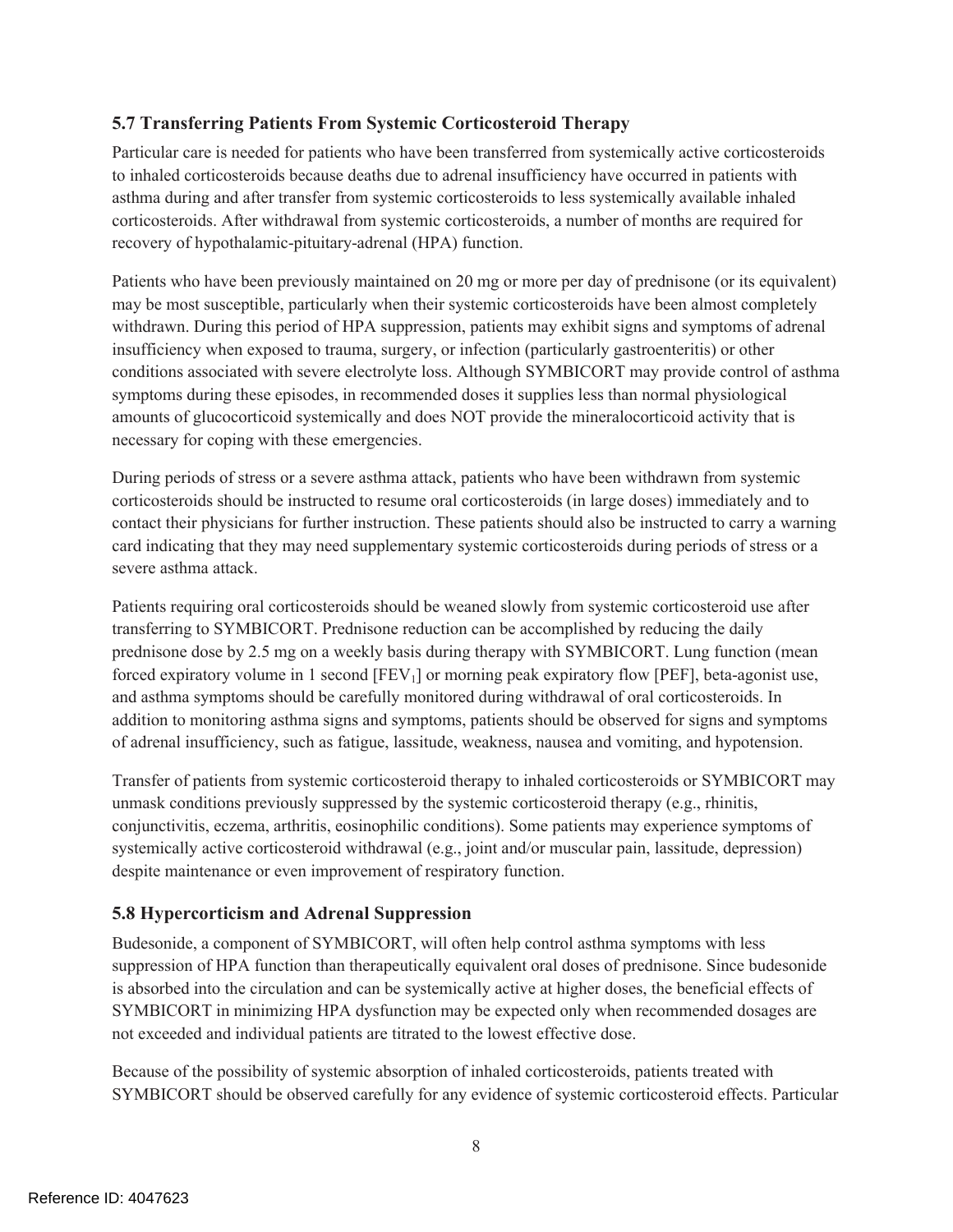### **5.7 Transferring Patients From Systemic Corticosteroid Therapy**

Particular care is needed for patients who have been transferred from systemically active corticosteroids to inhaled corticosteroids because deaths due to adrenal insufficiency have occurred in patients with asthma during and after transfer from systemic corticosteroids to less systemically available inhaled corticosteroids. After withdrawal from systemic corticosteroids, a number of months are required for recovery of hypothalamic-pituitary-adrenal (HPA) function.

Patients who have been previously maintained on 20 mg or more per day of prednisone (or its equivalent) may be most susceptible, particularly when their systemic corticosteroids have been almost completely withdrawn. During this period of HPA suppression, patients may exhibit signs and symptoms of adrenal insufficiency when exposed to trauma, surgery, or infection (particularly gastroenteritis) or other conditions associated with severe electrolyte loss. Although SYMBICORT may provide control of asthma symptoms during these episodes, in recommended doses it supplies less than normal physiological amounts of glucocorticoid systemically and does NOT provide the mineralocorticoid activity that is necessary for coping with these emergencies.

During periods of stress or a severe asthma attack, patients who have been withdrawn from systemic corticosteroids should be instructed to resume oral corticosteroids (in large doses) immediately and to contact their physicians for further instruction. These patients should also be instructed to carry a warning card indicating that they may need supplementary systemic corticosteroids during periods of stress or a severe asthma attack.

Patients requiring oral corticosteroids should be weaned slowly from systemic corticosteroid use after transferring to SYMBICORT. Prednisone reduction can be accomplished by reducing the daily prednisone dose by 2.5 mg on a weekly basis during therapy with SYMBICORT. Lung function (mean forced expiratory volume in 1 second  $[FEV<sub>1</sub>]$  or morning peak expiratory flow  $[PEF]$ , beta-agonist use, and asthma symptoms should be carefully monitored during withdrawal of oral corticosteroids. In addition to monitoring asthma signs and symptoms, patients should be observed for signs and symptoms of adrenal insufficiency, such as fatigue, lassitude, weakness, nausea and vomiting, and hypotension.

Transfer of patients from systemic corticosteroid therapy to inhaled corticosteroids or SYMBICORT may unmask conditions previously suppressed by the systemic corticosteroid therapy (e.g., rhinitis, conjunctivitis, eczema, arthritis, eosinophilic conditions). Some patients may experience symptoms of systemically active corticosteroid withdrawal (e.g., joint and/or muscular pain, lassitude, depression) despite maintenance or even improvement of respiratory function.

### **5.8 Hypercorticism and Adrenal Suppression**

Budesonide, a component of SYMBICORT, will often help control asthma symptoms with less suppression of HPA function than therapeutically equivalent oral doses of prednisone. Since budesonide is absorbed into the circulation and can be systemically active at higher doses, the beneficial effects of SYMBICORT in minimizing HPA dysfunction may be expected only when recommended dosages are not exceeded and individual patients are titrated to the lowest effective dose.

Because of the possibility of systemic absorption of inhaled corticosteroids, patients treated with SYMBICORT should be observed carefully for any evidence of systemic corticosteroid effects. Particular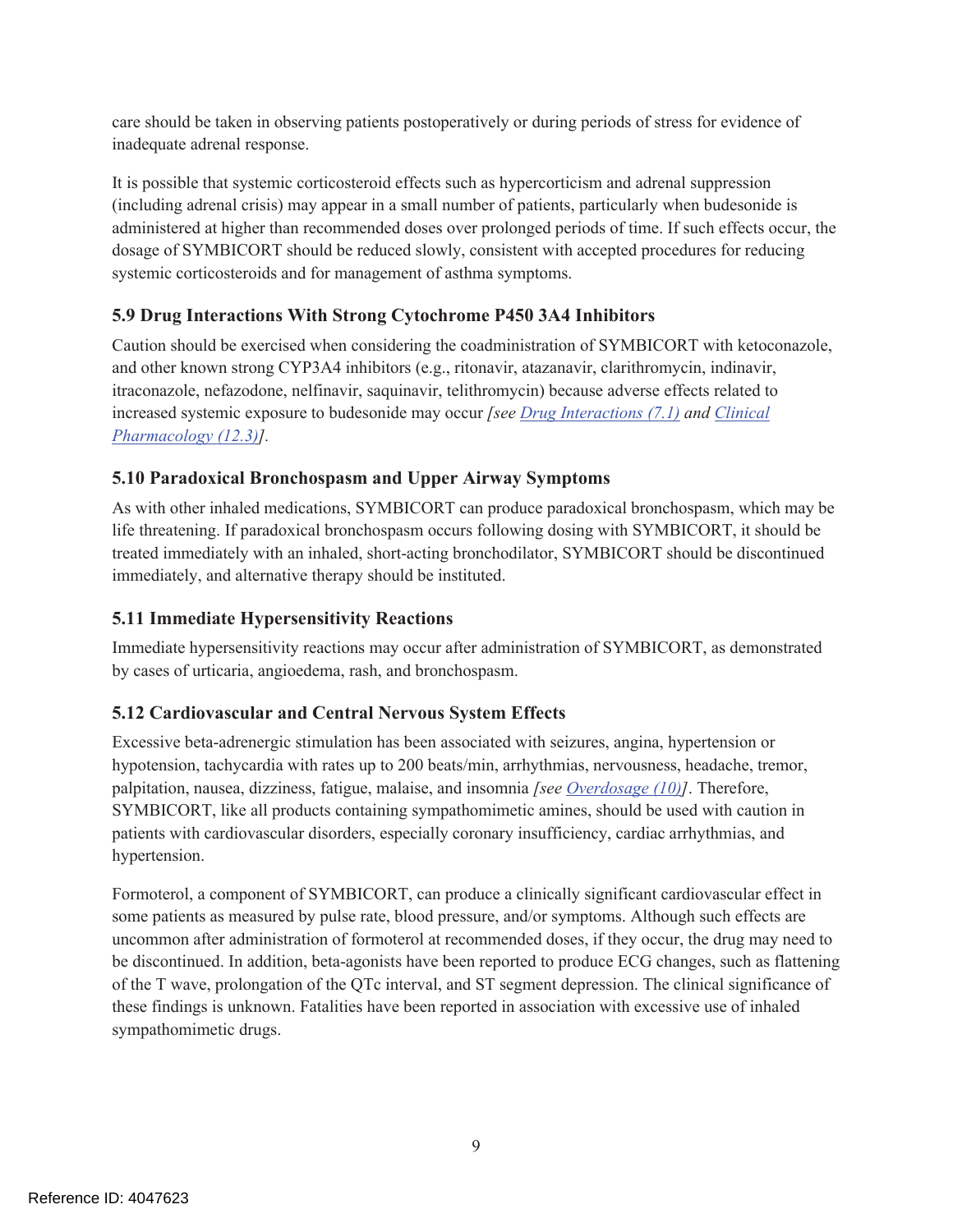care should be taken in observing patients postoperatively or during periods of stress for evidence of inadequate adrenal response.

It is possible that systemic corticosteroid effects such as hypercorticism and adrenal suppression (including adrenal crisis) may appear in a small number of patients, particularly when budesonide is administered at higher than recommended doses over prolonged periods of time. If such effects occur, the dosage of SYMBICORT should be reduced slowly, consistent with accepted procedures for reducing systemic corticosteroids and for management of asthma symptoms.

# **5.9 Drug Interactions With Strong Cytochrome P450 3A4 Inhibitors**

Caution should be exercised when considering the coadministration of SYMBICORT with ketoconazole, and other known strong CYP3A4 inhibitors (e.g., ritonavir, atazanavir, clarithromycin, indinavir, itraconazole, nefazodone, nelfinavir, saquinavir, telithromycin) because adverse effects related to increased systemic exposure to budesonide may occur *[see Drug Interactions (7.1) and Clinical Pharmacology (12.3)].* 

# **5.10 Paradoxical Bronchospasm and Upper Airway Symptoms**

As with other inhaled medications, SYMBICORT can produce paradoxical bronchospasm, which may be life threatening. If paradoxical bronchospasm occurs following dosing with SYMBICORT, it should be treated immediately with an inhaled, short-acting bronchodilator, SYMBICORT should be discontinued immediately, and alternative therapy should be instituted.

# **5.11 Immediate Hypersensitivity Reactions**

Immediate hypersensitivity reactions may occur after administration of SYMBICORT, as demonstrated by cases of urticaria, angioedema, rash, and bronchospasm.

# **5.12 Cardiovascular and Central Nervous System Effects**

Excessive beta-adrenergic stimulation has been associated with seizures, angina, hypertension or hypotension, tachycardia with rates up to 200 beats/min, arrhythmias, nervousness, headache, tremor, palpitation, nausea, dizziness, fatigue, malaise, and insomnia *[see Overdosage (10)]*. Therefore, SYMBICORT, like all products containing sympathomimetic amines, should be used with caution in patients with cardiovascular disorders, especially coronary insufficiency, cardiac arrhythmias, and hypertension.

Formoterol, a component of SYMBICORT, can produce a clinically significant cardiovascular effect in some patients as measured by pulse rate, blood pressure, and/or symptoms. Although such effects are uncommon after administration of formoterol at recommended doses, if they occur, the drug may need to be discontinued. In addition, beta-agonists have been reported to produce ECG changes, such as flattening of the T wave, prolongation of the QTc interval, and ST segment depression. The clinical significance of these findings is unknown. Fatalities have been reported in association with excessive use of inhaled sympathomimetic drugs.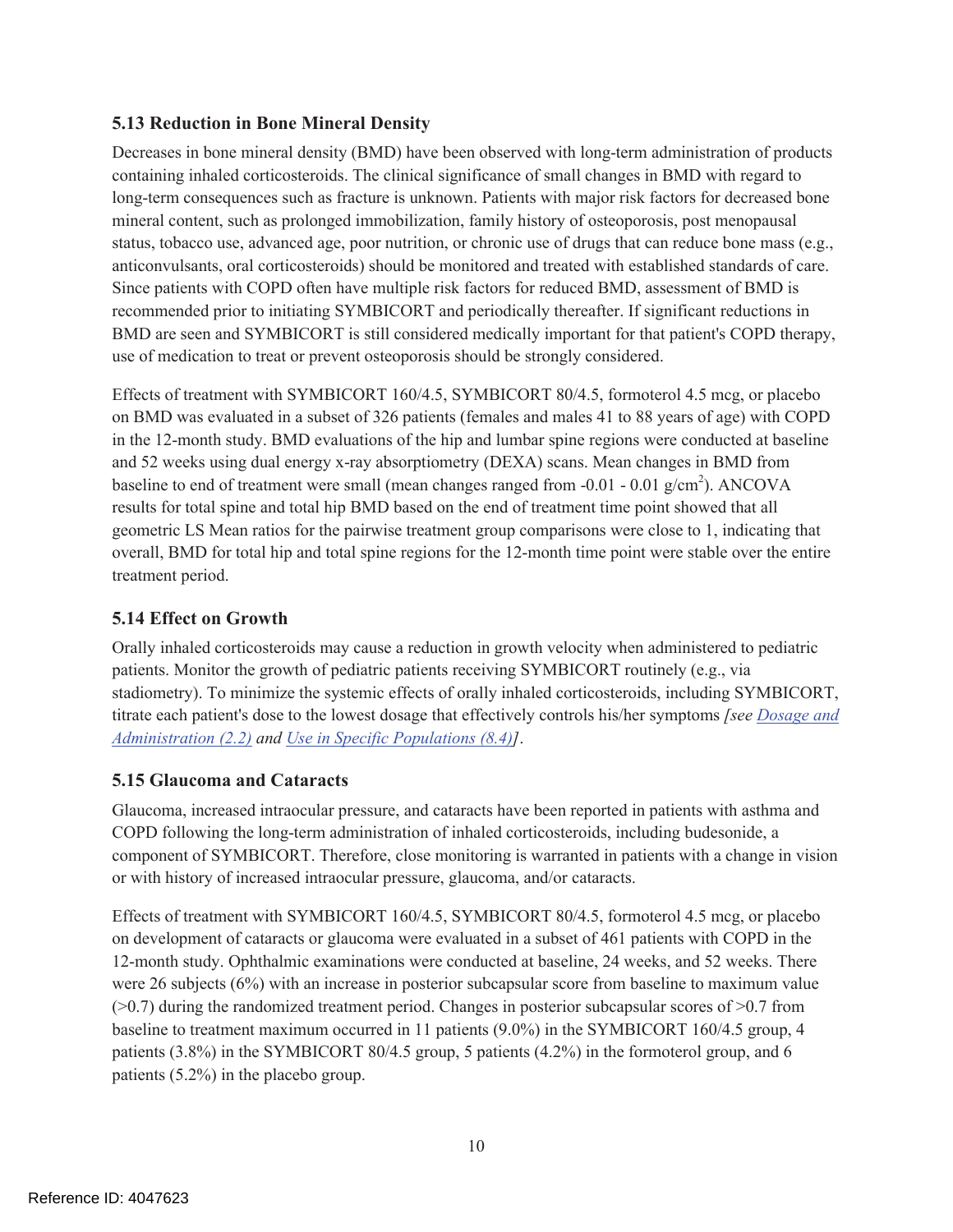### **5.13 Reduction in Bone Mineral Density**

Decreases in bone mineral density (BMD) have been observed with long-term administration of products containing inhaled corticosteroids. The clinical significance of small changes in BMD with regard to long-term consequences such as fracture is unknown. Patients with major risk factors for decreased bone mineral content, such as prolonged immobilization, family history of osteoporosis, post menopausal status, tobacco use, advanced age, poor nutrition, or chronic use of drugs that can reduce bone mass (e.g., anticonvulsants, oral corticosteroids) should be monitored and treated with established standards of care. Since patients with COPD often have multiple risk factors for reduced BMD, assessment of BMD is recommended prior to initiating SYMBICORT and periodically thereafter. If significant reductions in BMD are seen and SYMBICORT is still considered medically important for that patient's COPD therapy, use of medication to treat or prevent osteoporosis should be strongly considered.

Effects of treatment with SYMBICORT 160/4.5, SYMBICORT 80/4.5, formoterol 4.5 mcg, or placebo on BMD was evaluated in a subset of 326 patients (females and males 41 to 88 years of age) with COPD in the 12-month study. BMD evaluations of the hip and lumbar spine regions were conducted at baseline and 52 weeks using dual energy x-ray absorptiometry (DEXA) scans. Mean changes in BMD from baseline to end of treatment were small (mean changes ranged from  $-0.01 - 0.01$  g/cm<sup>2</sup>). ANCOVA results for total spine and total hip BMD based on the end of treatment time point showed that all geometric LS Mean ratios for the pairwise treatment group comparisons were close to 1, indicating that overall, BMD for total hip and total spine regions for the 12-month time point were stable over the entire treatment period.

### **5.14 Effect on Growth**

Orally inhaled corticosteroids may cause a reduction in growth velocity when administered to pediatric patients. Monitor the growth of pediatric patients receiving SYMBICORT routinely (e.g., via stadiometry). To minimize the systemic effects of orally inhaled corticosteroids, including SYMBICORT, titrate each patient's dose to the lowest dosage that effectively controls his/her symptoms *[see Dosage and Administration (2.2) and Use in Specific Populations (8.4)]*.

### **5.15 Glaucoma and Cataracts**

Glaucoma, increased intraocular pressure, and cataracts have been reported in patients with asthma and COPD following the long-term administration of inhaled corticosteroids, including budesonide, a component of SYMBICORT. Therefore, close monitoring is warranted in patients with a change in vision or with history of increased intraocular pressure, glaucoma, and/or cataracts.

Effects of treatment with SYMBICORT 160/4.5, SYMBICORT 80/4.5, formoterol 4.5 mcg, or placebo on development of cataracts or glaucoma were evaluated in a subset of 461 patients with COPD in the 12-month study. Ophthalmic examinations were conducted at baseline, 24 weeks, and 52 weeks. There were 26 subjects (6%) with an increase in posterior subcapsular score from baseline to maximum value  $(0.7)$  during the randomized treatment period. Changes in posterior subcapsular scores of  $(0.7)$  from baseline to treatment maximum occurred in 11 patients (9.0%) in the SYMBICORT 160/4.5 group, 4 patients (3.8%) in the SYMBICORT 80/4.5 group, 5 patients (4.2%) in the formoterol group, and 6 patients (5.2%) in the placebo group.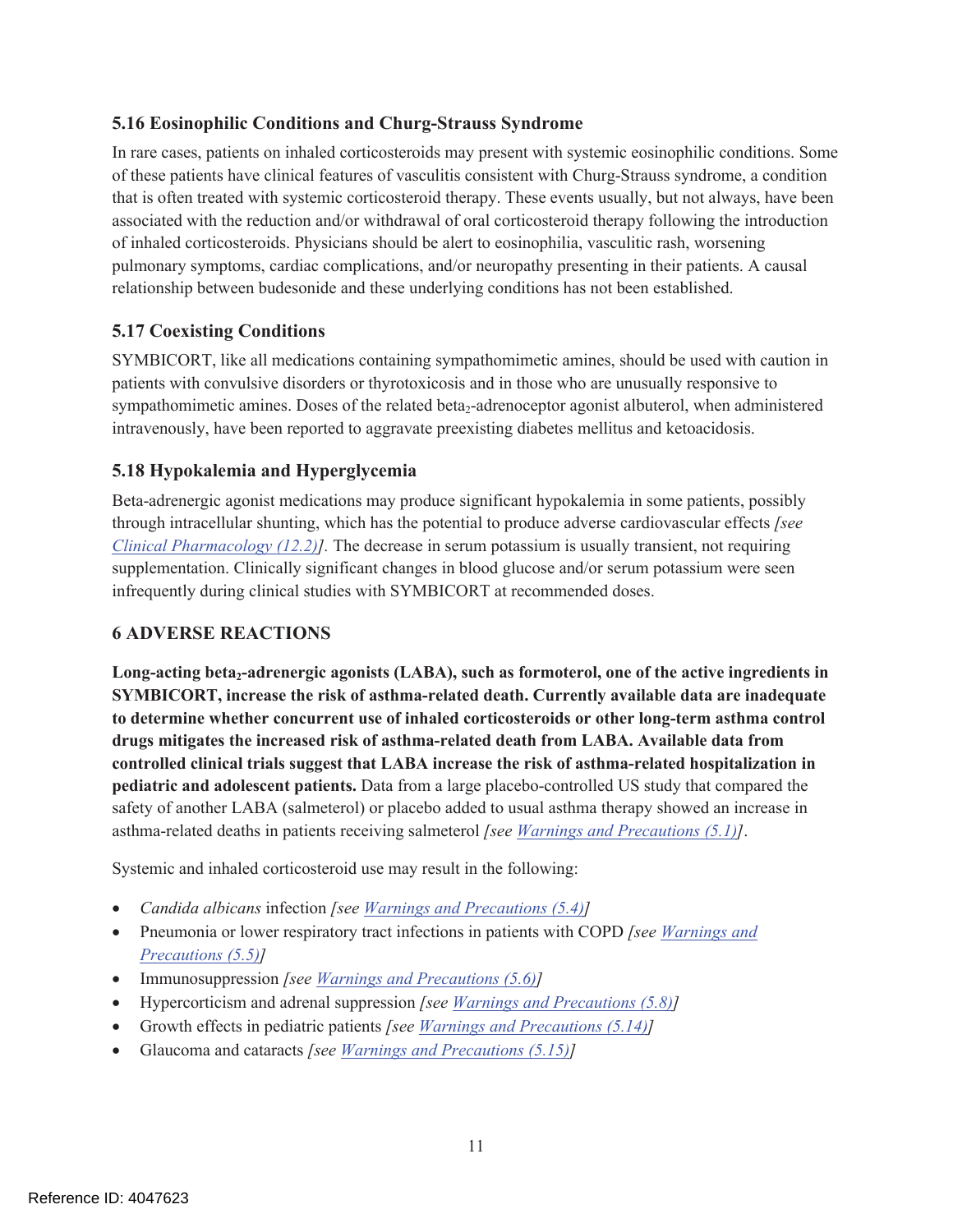### **5.16 Eosinophilic Conditions and Churg-Strauss Syndrome**

In rare cases, patients on inhaled corticosteroids may present with systemic eosinophilic conditions. Some of these patients have clinical features of vasculitis consistent with Churg-Strauss syndrome, a condition that is often treated with systemic corticosteroid therapy. These events usually, but not always, have been associated with the reduction and/or withdrawal of oral corticosteroid therapy following the introduction of inhaled corticosteroids. Physicians should be alert to eosinophilia, vasculitic rash, worsening pulmonary symptoms, cardiac complications, and/or neuropathy presenting in their patients. A causal relationship between budesonide and these underlying conditions has not been established.

# **5.17 Coexisting Conditions**

SYMBICORT, like all medications containing sympathomimetic amines, should be used with caution in patients with convulsive disorders or thyrotoxicosis and in those who are unusually responsive to sympathomimetic amines. Doses of the related beta<sub>2</sub>-adrenoceptor agonist albuterol, when administered intravenously, have been reported to aggravate preexisting diabetes mellitus and ketoacidosis.

# **5.18 Hypokalemia and Hyperglycemia**

Beta-adrenergic agonist medications may produce significant hypokalemia in some patients, possibly through intracellular shunting, which has the potential to produce adverse cardiovascular effects *[see Clinical Pharmacology (12.2)].* The decrease in serum potassium is usually transient, not requiring supplementation. Clinically significant changes in blood glucose and/or serum potassium were seen infrequently during clinical studies with SYMBICORT at recommended doses.

# **6 ADVERSE REACTIONS**

Long-acting beta<sub>2</sub>-adrenergic agonists (LABA), such as formoterol, one of the active ingredients in **SYMBICORT, increase the risk of asthma-related death. Currently available data are inadequate to determine whether concurrent use of inhaled corticosteroids or other long-term asthma control drugs mitigates the increased risk of asthma-related death from LABA. Available data from controlled clinical trials suggest that LABA increase the risk of asthma-related hospitalization in pediatric and adolescent patients.** Data from a large placebo-controlled US study that compared the safety of another LABA (salmeterol) or placebo added to usual asthma therapy showed an increase in asthma-related deaths in patients receiving salmeterol *[see Warnings and Precautions (5.1)]*.

Systemic and inhaled corticosteroid use may result in the following:

- ! *Candida albicans* infection *[see Warnings and Precautions (5.4)]*
- ! Pneumonia or lower respiratory tract infections in patients with COPD *[see Warnings and Precautions (5.5)]*
- ! Immunosuppression *[see Warnings and Precautions (5.6)]*
- ! Hypercorticism and adrenal suppression *[see Warnings and Precautions (5.8)]*
- ! Growth effects in pediatric patients *[see Warnings and Precautions (5.14)]*
- ! Glaucoma and cataracts *[see Warnings and Precautions (5.15)]*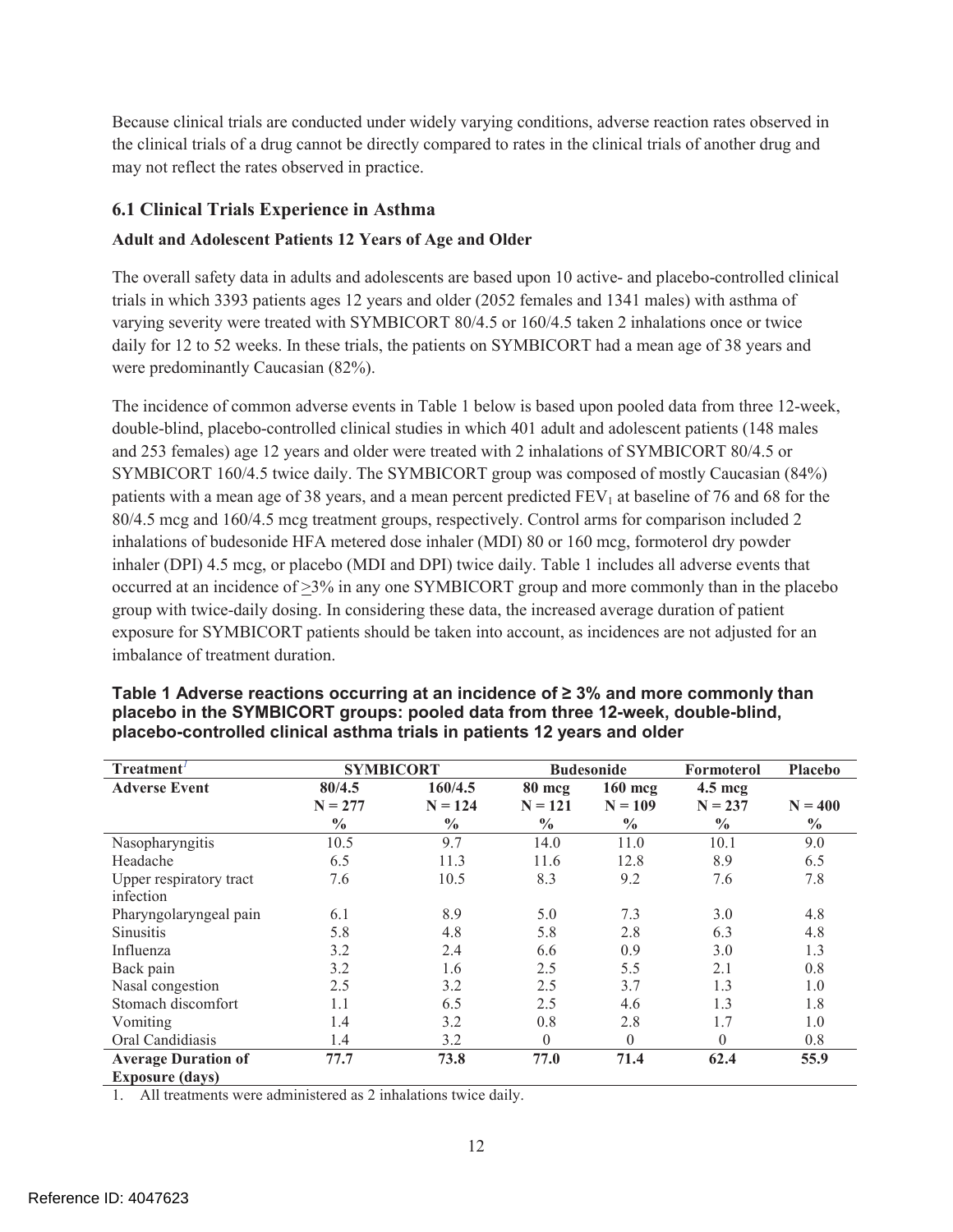Because clinical trials are conducted under widely varying conditions, adverse reaction rates observed in the clinical trials of a drug cannot be directly compared to rates in the clinical trials of another drug and may not reflect the rates observed in practice.

# **6.1 Clinical Trials Experience in Asthma**

### **Adult and Adolescent Patients 12 Years of Age and Older**

The overall safety data in adults and adolescents are based upon 10 active- and placebo-controlled clinical trials in which 3393 patients ages 12 years and older (2052 females and 1341 males) with asthma of varying severity were treated with SYMBICORT 80/4.5 or 160/4.5 taken 2 inhalations once or twice daily for 12 to 52 weeks. In these trials, the patients on SYMBICORT had a mean age of 38 years and were predominantly Caucasian (82%).

The incidence of common adverse events in Table 1 below is based upon pooled data from three 12-week, double-blind, placebo-controlled clinical studies in which 401 adult and adolescent patients (148 males and 253 females) age 12 years and older were treated with 2 inhalations of SYMBICORT 80/4.5 or SYMBICORT 160/4.5 twice daily. The SYMBICORT group was composed of mostly Caucasian (84%) patients with a mean age of 38 years, and a mean percent predicted  $FEV<sub>1</sub>$  at baseline of 76 and 68 for the 80/4.5 mcg and 160/4.5 mcg treatment groups, respectively. Control arms for comparison included 2 inhalations of budesonide HFA metered dose inhaler (MDI) 80 or 160 mcg, formoterol dry powder inhaler (DPI) 4.5 mcg, or placebo (MDI and DPI) twice daily. Table 1 includes all adverse events that occurred at an incidence of  $\geq$ 3% in any one SYMBICORT group and more commonly than in the placebo group with twice-daily dosing. In considering these data, the increased average duration of patient exposure for SYMBICORT patients should be taken into account, as incidences are not adjusted for an imbalance of treatment duration.

| Treatment'                           | <b>SYMBICORT</b>                     |                                       |                                      | <b>Budesonide</b>                       | Formoterol                                      | <b>Placebo</b>             |
|--------------------------------------|--------------------------------------|---------------------------------------|--------------------------------------|-----------------------------------------|-------------------------------------------------|----------------------------|
| <b>Adverse Event</b>                 | 80/4.5<br>$N = 277$<br>$\frac{0}{0}$ | 160/4.5<br>$N = 124$<br>$\frac{0}{0}$ | 80 mcg<br>$N = 121$<br>$\frac{0}{0}$ | $160$ mcg<br>$N = 109$<br>$\frac{6}{6}$ | $4.5 \text{~mag}$<br>$N = 237$<br>$\frac{0}{0}$ | $N = 400$<br>$\frac{0}{0}$ |
| Nasopharyngitis                      | 10.5                                 | 9.7                                   | 14.0                                 | 11.0                                    | 10.1                                            | 9.0                        |
| Headache                             | 6.5                                  | 11.3                                  | 11.6                                 | 12.8                                    | 8.9                                             | 6.5                        |
| Upper respiratory tract<br>infection | 7.6                                  | 10.5                                  | 8.3                                  | 9.2                                     | 7.6                                             | 7.8                        |
| Pharyngolaryngeal pain               | 6.1                                  | 8.9                                   | 5.0                                  | 7.3                                     | 3.0                                             | 4.8                        |
| <b>Sinusitis</b>                     | 5.8                                  | 4.8                                   | 5.8                                  | 2.8                                     | 6.3                                             | 4.8                        |
| Influenza                            | 3.2                                  | 2.4                                   | 6.6                                  | 0.9                                     | 3.0                                             | 1.3                        |
| Back pain                            | 3.2                                  | 1.6                                   | 2.5                                  | 5.5                                     | 2.1                                             | 0.8                        |
| Nasal congestion                     | 2.5                                  | 3.2                                   | 2.5                                  | 3.7                                     | 1.3                                             | 1.0                        |
| Stomach discomfort                   | 1.1                                  | 6.5                                   | 2.5                                  | 4.6                                     | 1.3                                             | 1.8                        |
| Vomiting                             | 1.4                                  | 3.2                                   | 0.8                                  | 2.8                                     | 1.7                                             | 1.0                        |
| Oral Candidiasis                     | 1.4                                  | 3.2                                   | $\Omega$                             | $\theta$                                | $\Omega$                                        | 0.8                        |
| <b>Average Duration of</b>           | 77.7                                 | 73.8                                  | 77.0                                 | 71.4                                    | 62.4                                            | 55.9                       |
| <b>Exposure (days)</b>               |                                      |                                       |                                      |                                         |                                                 |                            |

#### **Table 1 Adverse reactions occurring at an incidence of ≥ 3% and more commonly than placebo in the SYMBICORT groups: pooled data from three 12-week, double-blind, placebo-controlled clinical asthma trials in patients 12 years and older**

1. All treatments were administered as 2 inhalations twice daily.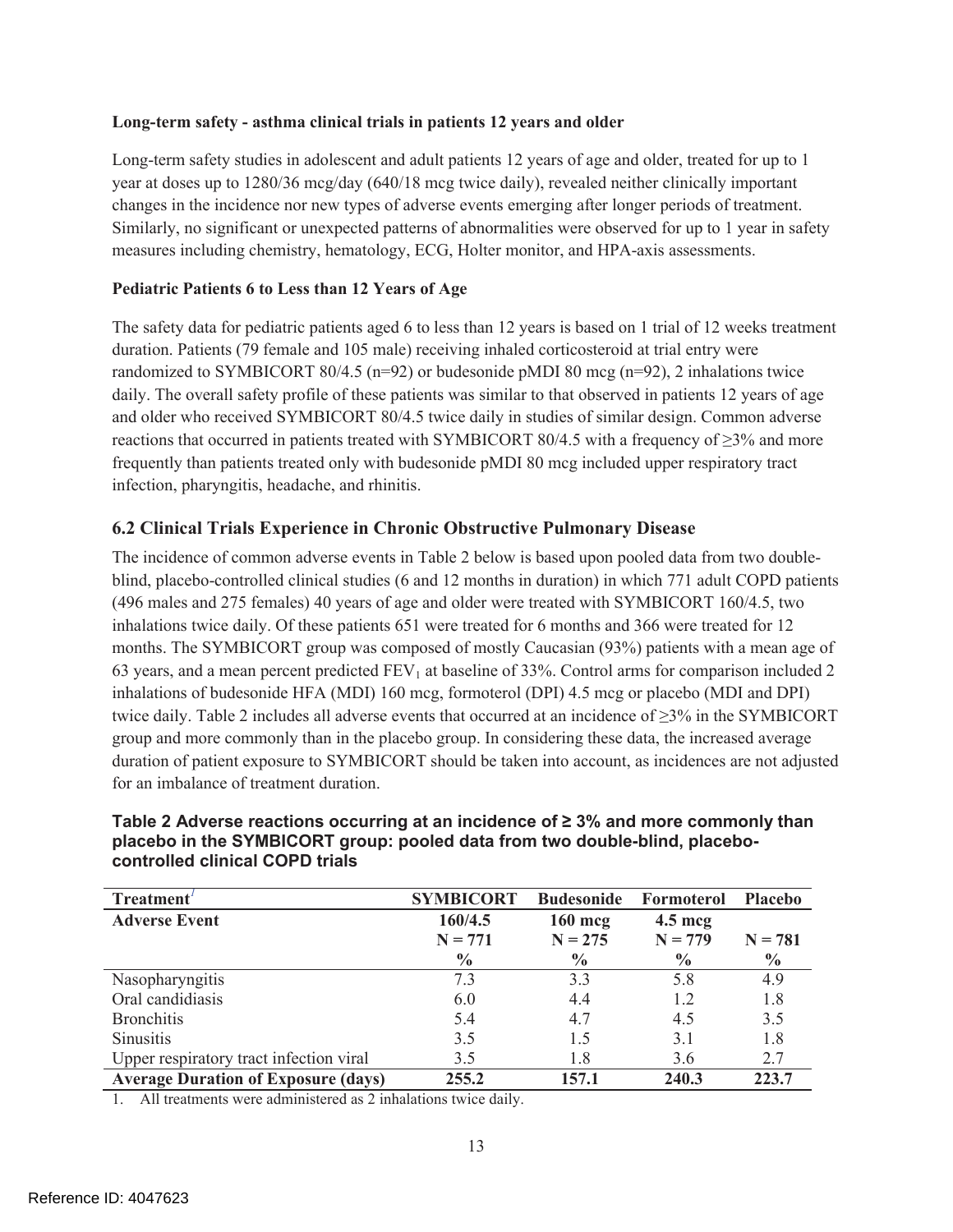#### **Long-term safety - asthma clinical trials in patients 12 years and older**

Long-term safety studies in adolescent and adult patients 12 years of age and older, treated for up to 1 year at doses up to 1280/36 mcg/day (640/18 mcg twice daily), revealed neither clinically important changes in the incidence nor new types of adverse events emerging after longer periods of treatment. Similarly, no significant or unexpected patterns of abnormalities were observed for up to 1 year in safety measures including chemistry, hematology, ECG, Holter monitor, and HPA-axis assessments.

#### **Pediatric Patients 6 to Less than 12 Years of Age**

The safety data for pediatric patients aged 6 to less than 12 years is based on 1 trial of 12 weeks treatment duration. Patients (79 female and 105 male) receiving inhaled corticosteroid at trial entry were randomized to SYMBICORT 80/4.5 (n=92) or budesonide pMDI 80 mcg (n=92), 2 inhalations twice daily. The overall safety profile of these patients was similar to that observed in patients 12 years of age and older who received SYMBICORT 80/4.5 twice daily in studies of similar design. Common adverse reactions that occurred in patients treated with SYMBICORT 80/4.5 with a frequency of  $\geq$ 3% and more frequently than patients treated only with budesonide pMDI 80 mcg included upper respiratory tract infection, pharyngitis, headache, and rhinitis.

### **6.2 Clinical Trials Experience in Chronic Obstructive Pulmonary Disease**

The incidence of common adverse events in Table 2 below is based upon pooled data from two doubleblind, placebo-controlled clinical studies (6 and 12 months in duration) in which 771 adult COPD patients (496 males and 275 females) 40 years of age and older were treated with SYMBICORT 160/4.5, two inhalations twice daily. Of these patients 651 were treated for 6 months and 366 were treated for 12 months. The SYMBICORT group was composed of mostly Caucasian (93%) patients with a mean age of 63 years, and a mean percent predicted  $FEV<sub>1</sub>$  at baseline of 33%. Control arms for comparison included 2 inhalations of budesonide HFA (MDI) 160 mcg, formoterol (DPI) 4.5 mcg or placebo (MDI and DPI) twice daily. Table 2 includes all adverse events that occurred at an incidence of ≥3% in the SYMBICORT group and more commonly than in the placebo group. In considering these data, the increased average duration of patient exposure to SYMBICORT should be taken into account, as incidences are not adjusted for an imbalance of treatment duration.

| Treatment'                                 | <b>SYMBICORT</b> | <b>Budesonide</b> | Formoterol        | <b>Placebo</b> |
|--------------------------------------------|------------------|-------------------|-------------------|----------------|
| <b>Adverse Event</b>                       | 160/4.5          | $160$ mcg         | $4.5 \text{~mag}$ |                |
|                                            | $N = 771$        | $N = 275$         | $N = 779$         | $N = 781$      |
|                                            | $\frac{0}{0}$    | $\frac{0}{0}$     | $\frac{0}{0}$     | $\frac{0}{0}$  |
| Nasopharyngitis                            | 7.3              | 3.3               | 5.8               | 4.9            |
| Oral candidiasis                           | 6.0              | 4.4               | 1.2               | 1.8            |
| <b>Bronchitis</b>                          | 5.4              | 4.7               | 4.5               | 3.5            |
| <b>Sinusitis</b>                           | 3.5              | 1.5               | 3.1               | 1.8            |
| Upper respiratory tract infection viral    | 3.5              | 1.8               | 3.6               | 2.7            |
| <b>Average Duration of Exposure (days)</b> | 255.2            | 157.1             | 240.3             | 223.7          |

#### **Table 2 Adverse reactions occurring at an incidence of ≥ 3% and more commonly than placebo in the SYMBICORT group: pooled data from two double-blind, placebocontrolled clinical COPD trials**

1. All treatments were administered as 2 inhalations twice daily.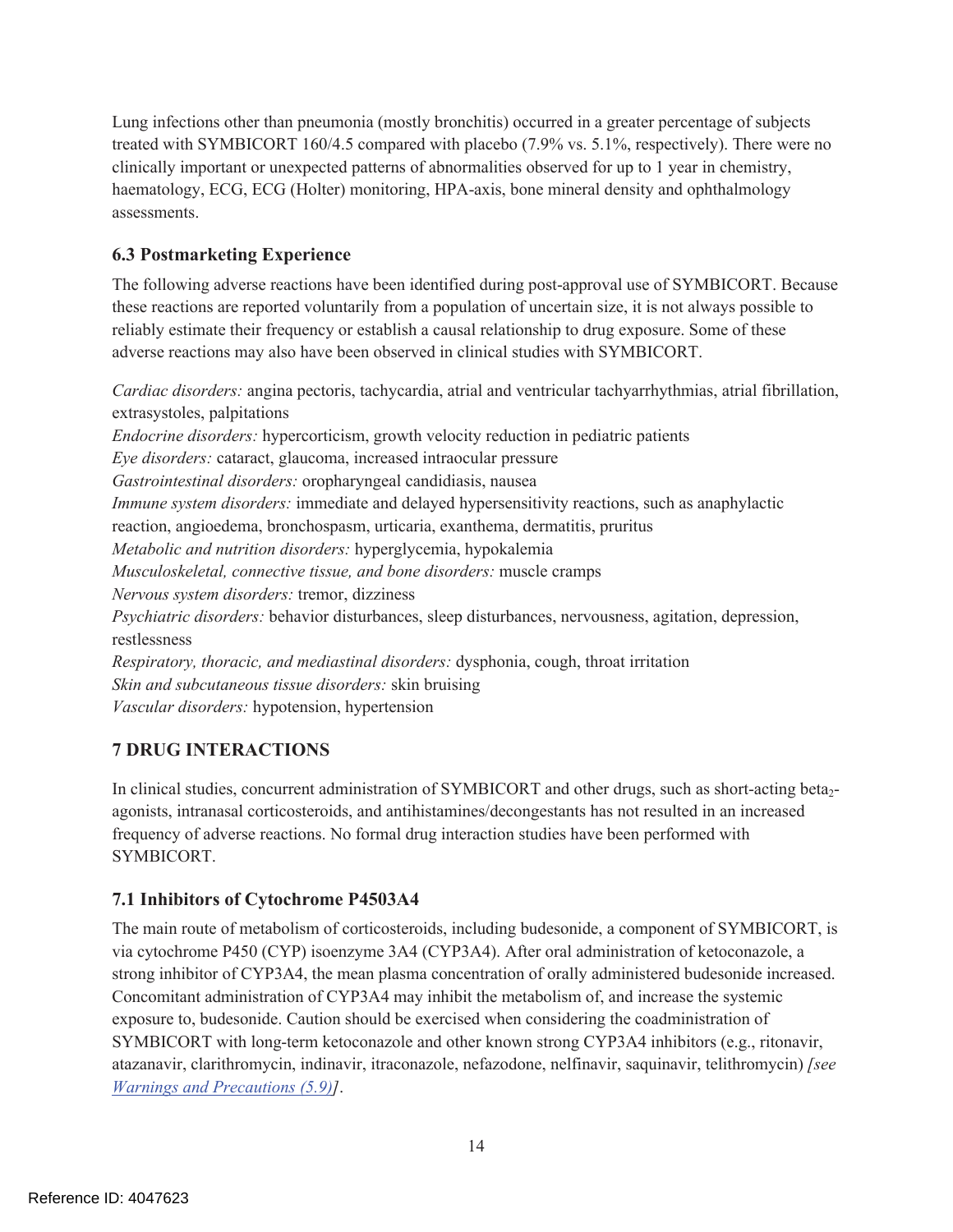Lung infections other than pneumonia (mostly bronchitis) occurred in a greater percentage of subjects treated with SYMBICORT 160/4.5 compared with placebo (7.9% vs. 5.1%, respectively). There were no clinically important or unexpected patterns of abnormalities observed for up to 1 year in chemistry, haematology, ECG, ECG (Holter) monitoring, HPA-axis, bone mineral density and ophthalmology assessments.

# **6.3 Postmarketing Experience**

The following adverse reactions have been identified during post-approval use of SYMBICORT. Because these reactions are reported voluntarily from a population of uncertain size, it is not always possible to reliably estimate their frequency or establish a causal relationship to drug exposure. Some of these adverse reactions may also have been observed in clinical studies with SYMBICORT.

*Cardiac disorders:* angina pectoris, tachycardia, atrial and ventricular tachyarrhythmias, atrial fibrillation, extrasystoles, palpitations *Endocrine disorders:* hypercorticism, growth velocity reduction in pediatric patients *Eye disorders:* cataract, glaucoma, increased intraocular pressure *Gastrointestinal disorders:* oropharyngeal candidiasis, nausea *Immune system disorders:* immediate and delayed hypersensitivity reactions, such as anaphylactic reaction, angioedema, bronchospasm, urticaria, exanthema, dermatitis, pruritus *Metabolic and nutrition disorders:* hyperglycemia, hypokalemia *Musculoskeletal, connective tissue, and bone disorders:* muscle cramps *Nervous system disorders:* tremor, dizziness *Psychiatric disorders:* behavior disturbances, sleep disturbances, nervousness, agitation, depression, restlessness *Respiratory, thoracic, and mediastinal disorders:* dysphonia, cough, throat irritation *Skin and subcutaneous tissue disorders:* skin bruising *Vascular disorders:* hypotension, hypertension

# **7 DRUG INTERACTIONS**

In clinical studies, concurrent administration of SYMBICORT and other drugs, such as short-acting beta<sub>2</sub>agonists, intranasal corticosteroids, and antihistamines/decongestants has not resulted in an increased frequency of adverse reactions. No formal drug interaction studies have been performed with SYMBICORT.

# **7.1 Inhibitors of Cytochrome P4503A4**

The main route of metabolism of corticosteroids, including budesonide, a component of SYMBICORT, is via cytochrome P450 (CYP) isoenzyme 3A4 (CYP3A4). After oral administration of ketoconazole, a strong inhibitor of CYP3A4, the mean plasma concentration of orally administered budesonide increased. Concomitant administration of CYP3A4 may inhibit the metabolism of, and increase the systemic exposure to, budesonide. Caution should be exercised when considering the coadministration of SYMBICORT with long-term ketoconazole and other known strong CYP3A4 inhibitors (e.g., ritonavir, atazanavir, clarithromycin, indinavir, itraconazole, nefazodone, nelfinavir, saquinavir, telithromycin) *[see Warnings and Precautions (5.9)]*.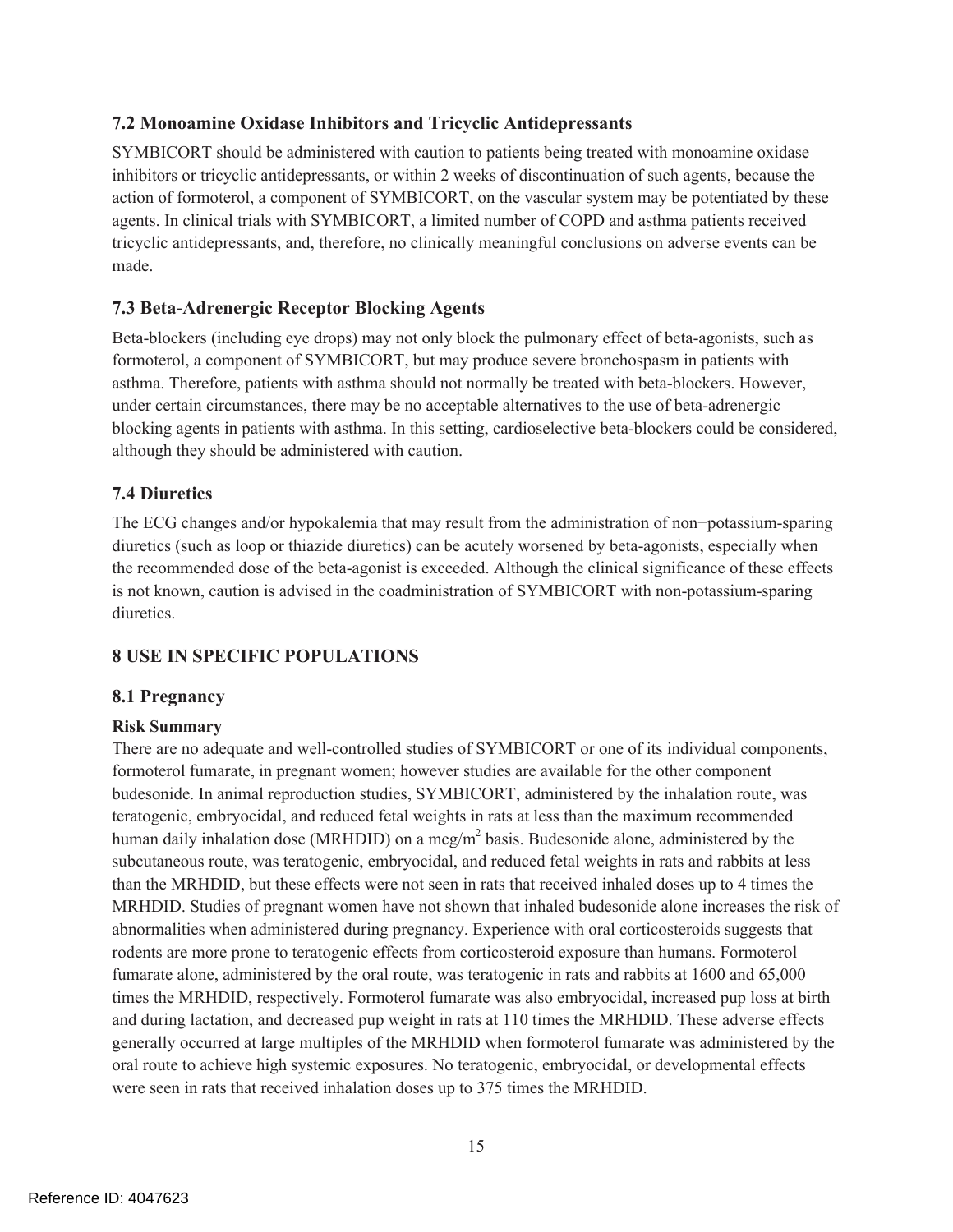### **7.2 Monoamine Oxidase Inhibitors and Tricyclic Antidepressants**

SYMBICORT should be administered with caution to patients being treated with monoamine oxidase inhibitors or tricyclic antidepressants, or within 2 weeks of discontinuation of such agents, because the action of formoterol, a component of SYMBICORT, on the vascular system may be potentiated by these agents. In clinical trials with SYMBICORT, a limited number of COPD and asthma patients received tricyclic antidepressants, and, therefore, no clinically meaningful conclusions on adverse events can be made.

### **7.3 Beta-Adrenergic Receptor Blocking Agents**

Beta-blockers (including eye drops) may not only block the pulmonary effect of beta-agonists, such as formoterol, a component of SYMBICORT, but may produce severe bronchospasm in patients with asthma. Therefore, patients with asthma should not normally be treated with beta-blockers. However, under certain circumstances, there may be no acceptable alternatives to the use of beta-adrenergic blocking agents in patients with asthma. In this setting, cardioselective beta-blockers could be considered, although they should be administered with caution.

### **7.4 Diuretics**

The ECG changes and/or hypokalemia that may result from the administration of non−potassium-sparing diuretics (such as loop or thiazide diuretics) can be acutely worsened by beta-agonists, especially when the recommended dose of the beta-agonist is exceeded. Although the clinical significance of these effects is not known, caution is advised in the coadministration of SYMBICORT with non-potassium-sparing diuretics.

# **8 USE IN SPECIFIC POPULATIONS**

# **8.1 Pregnancy**

### **Risk Summary**

There are no adequate and well-controlled studies of SYMBICORT or one of its individual components, formoterol fumarate, in pregnant women; however studies are available for the other component budesonide. In animal reproduction studies, SYMBICORT, administered by the inhalation route, was teratogenic, embryocidal, and reduced fetal weights in rats at less than the maximum recommended human daily inhalation dose (MRHDID) on a mcg/m<sup>2</sup> basis. Budesonide alone, administered by the subcutaneous route, was teratogenic, embryocidal, and reduced fetal weights in rats and rabbits at less than the MRHDID, but these effects were not seen in rats that received inhaled doses up to 4 times the MRHDID. Studies of pregnant women have not shown that inhaled budesonide alone increases the risk of abnormalities when administered during pregnancy. Experience with oral corticosteroids suggests that rodents are more prone to teratogenic effects from corticosteroid exposure than humans. Formoterol fumarate alone, administered by the oral route, was teratogenic in rats and rabbits at 1600 and 65,000 times the MRHDID, respectively. Formoterol fumarate was also embryocidal, increased pup loss at birth and during lactation, and decreased pup weight in rats at 110 times the MRHDID. These adverse effects generally occurred at large multiples of the MRHDID when formoterol fumarate was administered by the oral route to achieve high systemic exposures. No teratogenic, embryocidal, or developmental effects were seen in rats that received inhalation doses up to 375 times the MRHDID.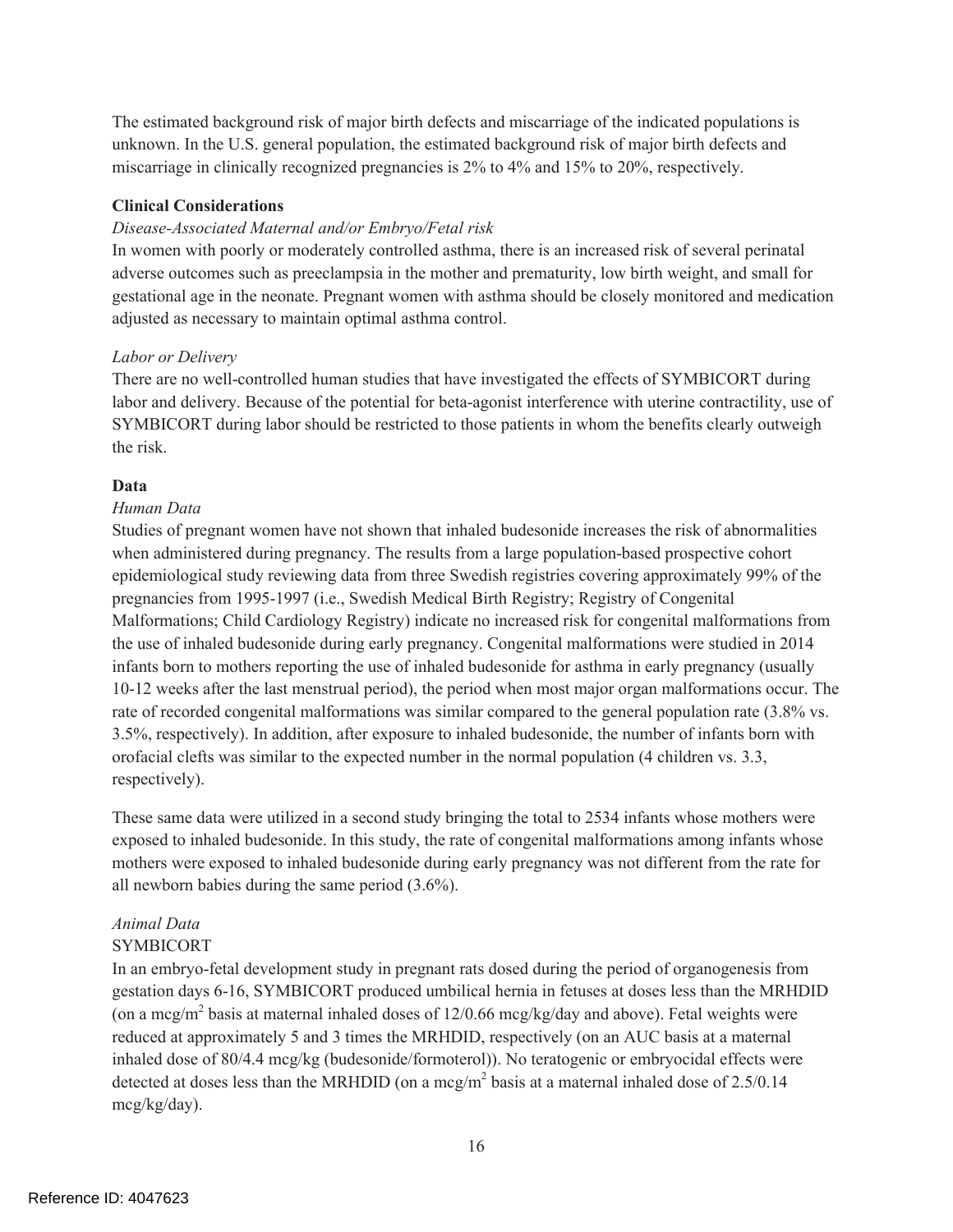The estimated background risk of major birth defects and miscarriage of the indicated populations is unknown. In the U.S. general population, the estimated background risk of major birth defects and miscarriage in clinically recognized pregnancies is 2% to 4% and 15% to 20%, respectively.

#### **Clinical Considerations**

### *Disease-Associated Maternal and/or Embryo/Fetal risk*

In women with poorly or moderately controlled asthma, there is an increased risk of several perinatal adverse outcomes such as preeclampsia in the mother and prematurity, low birth weight, and small for gestational age in the neonate. Pregnant women with asthma should be closely monitored and medication adjusted as necessary to maintain optimal asthma control.

### *Labor or Delivery*

There are no well-controlled human studies that have investigated the effects of SYMBICORT during labor and delivery. Because of the potential for beta-agonist interference with uterine contractility, use of SYMBICORT during labor should be restricted to those patients in whom the benefits clearly outweigh the risk.

### **Data**

### *Human Data*

Studies of pregnant women have not shown that inhaled budesonide increases the risk of abnormalities when administered during pregnancy. The results from a large population-based prospective cohort epidemiological study reviewing data from three Swedish registries covering approximately 99% of the pregnancies from 1995-1997 (i.e., Swedish Medical Birth Registry; Registry of Congenital Malformations; Child Cardiology Registry) indicate no increased risk for congenital malformations from the use of inhaled budesonide during early pregnancy. Congenital malformations were studied in 2014 infants born to mothers reporting the use of inhaled budesonide for asthma in early pregnancy (usually 10-12 weeks after the last menstrual period), the period when most major organ malformations occur. The rate of recorded congenital malformations was similar compared to the general population rate (3.8% vs. 3.5%, respectively). In addition, after exposure to inhaled budesonide, the number of infants born with orofacial clefts was similar to the expected number in the normal population (4 children vs. 3.3, respectively).

These same data were utilized in a second study bringing the total to 2534 infants whose mothers were exposed to inhaled budesonide. In this study, the rate of congenital malformations among infants whose mothers were exposed to inhaled budesonide during early pregnancy was not different from the rate for all newborn babies during the same period (3.6%).

# *Animal Data*

### SYMBICORT

In an embryo-fetal development study in pregnant rats dosed during the period of organogenesis from gestation days 6-16, SYMBICORT produced umbilical hernia in fetuses at doses less than the MRHDID (on a mcg/m<sup>2</sup> basis at maternal inhaled doses of  $12/0.66$  mcg/kg/day and above). Fetal weights were reduced at approximately 5 and 3 times the MRHDID, respectively (on an AUC basis at a maternal inhaled dose of 80/4.4 mcg/kg (budesonide/formoterol)). No teratogenic or embryocidal effects were detected at doses less than the MRHDID (on a mcg/m<sup>2</sup> basis at a maternal inhaled dose of 2.5/0.14 mcg/kg/day).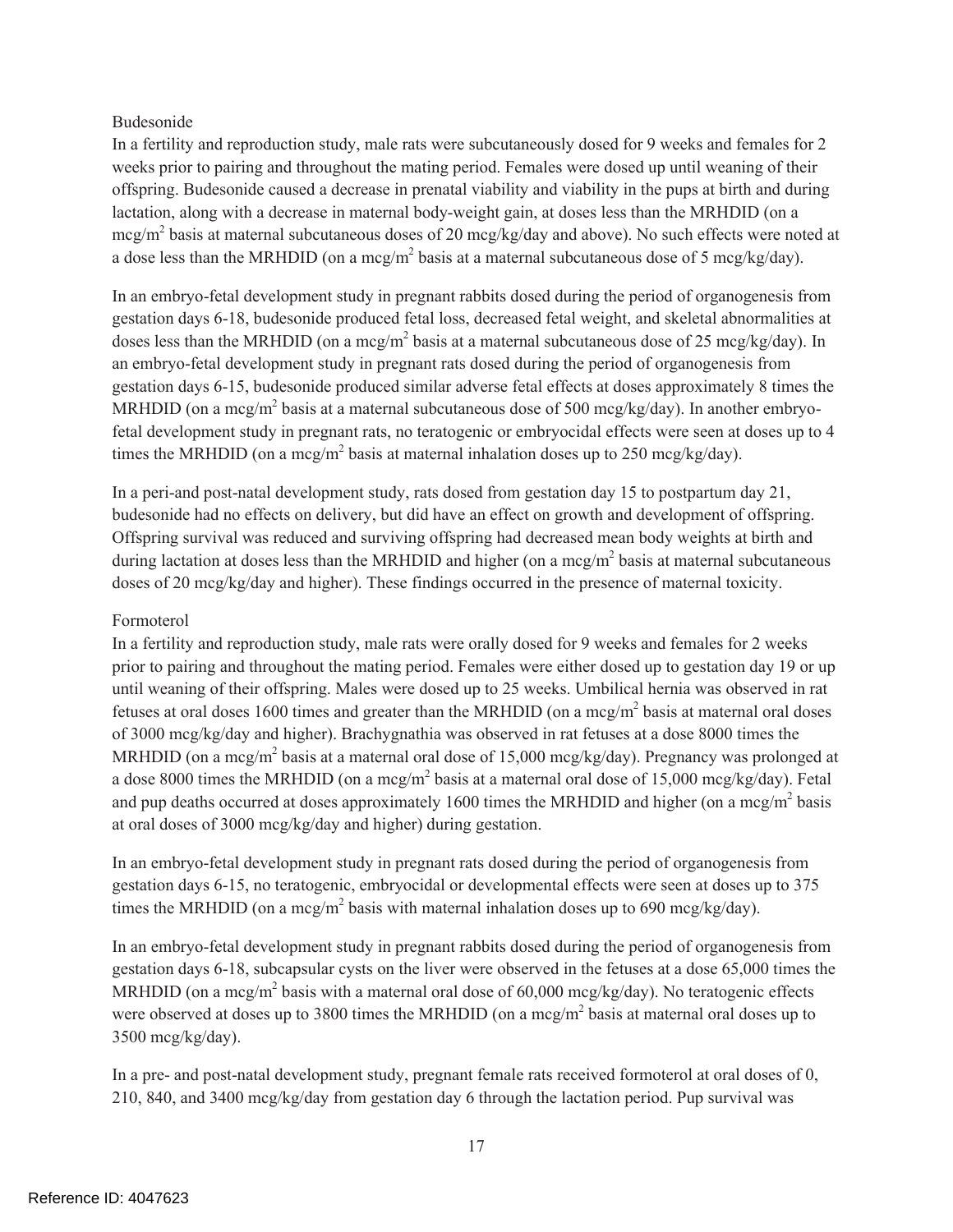### Budesonide

In a fertility and reproduction study, male rats were subcutaneously dosed for 9 weeks and females for 2 weeks prior to pairing and throughout the mating period. Females were dosed up until weaning of their offspring. Budesonide caused a decrease in prenatal viability and viability in the pups at birth and during lactation, along with a decrease in maternal body-weight gain, at doses less than the MRHDID (on a mcg/m2 basis at maternal subcutaneous doses of 20 mcg/kg/day and above). No such effects were noted at a dose less than the MRHDID (on a mcg/m<sup>2</sup> basis at a maternal subcutaneous dose of 5 mcg/kg/day).

In an embryo-fetal development study in pregnant rabbits dosed during the period of organogenesis from gestation days 6-18, budesonide produced fetal loss, decreased fetal weight, and skeletal abnormalities at doses less than the MRHDID (on a mcg/m<sup>2</sup> basis at a maternal subcutaneous dose of 25 mcg/kg/day). In an embryo-fetal development study in pregnant rats dosed during the period of organogenesis from gestation days 6-15, budesonide produced similar adverse fetal effects at doses approximately 8 times the MRHDID (on a mcg/m<sup>2</sup> basis at a maternal subcutaneous dose of 500 mcg/kg/day). In another embryofetal development study in pregnant rats, no teratogenic or embryocidal effects were seen at doses up to 4 times the MRHDID (on a mcg/m<sup>2</sup> basis at maternal inhalation doses up to 250 mcg/kg/day).

In a peri-and post-natal development study, rats dosed from gestation day 15 to postpartum day 21, budesonide had no effects on delivery, but did have an effect on growth and development of offspring. Offspring survival was reduced and surviving offspring had decreased mean body weights at birth and during lactation at doses less than the MRHDID and higher (on a mcg/m<sup>2</sup> basis at maternal subcutaneous doses of 20 mcg/kg/day and higher). These findings occurred in the presence of maternal toxicity.

#### Formoterol

In a fertility and reproduction study, male rats were orally dosed for 9 weeks and females for 2 weeks prior to pairing and throughout the mating period. Females were either dosed up to gestation day 19 or up until weaning of their offspring. Males were dosed up to 25 weeks. Umbilical hernia was observed in rat fetuses at oral doses 1600 times and greater than the MRHDID (on a mcg/m<sup>2</sup> basis at maternal oral doses of 3000 mcg/kg/day and higher). Brachygnathia was observed in rat fetuses at a dose 8000 times the MRHDID (on a mcg/m<sup>2</sup> basis at a maternal oral dose of 15,000 mcg/kg/day). Pregnancy was prolonged at a dose 8000 times the MRHDID (on a mcg/m<sup>2</sup> basis at a maternal oral dose of 15,000 mcg/kg/day). Fetal and pup deaths occurred at doses approximately 1600 times the MRHDID and higher (on a mcg/m<sup>2</sup> basis at oral doses of 3000 mcg/kg/day and higher) during gestation.

In an embryo-fetal development study in pregnant rats dosed during the period of organogenesis from gestation days 6-15, no teratogenic, embryocidal or developmental effects were seen at doses up to 375 times the MRHDID (on a mcg/m<sup>2</sup> basis with maternal inhalation doses up to 690 mcg/kg/day).

In an embryo-fetal development study in pregnant rabbits dosed during the period of organogenesis from gestation days 6-18, subcapsular cysts on the liver were observed in the fetuses at a dose 65,000 times the MRHDID (on a mcg/m<sup>2</sup> basis with a maternal oral dose of 60,000 mcg/kg/day). No teratogenic effects were observed at doses up to 3800 times the MRHDID (on a mcg/m<sup>2</sup> basis at maternal oral doses up to 3500 mcg/kg/day).

In a pre- and post-natal development study, pregnant female rats received formoterol at oral doses of 0, 210, 840, and 3400 mcg/kg/day from gestation day 6 through the lactation period. Pup survival was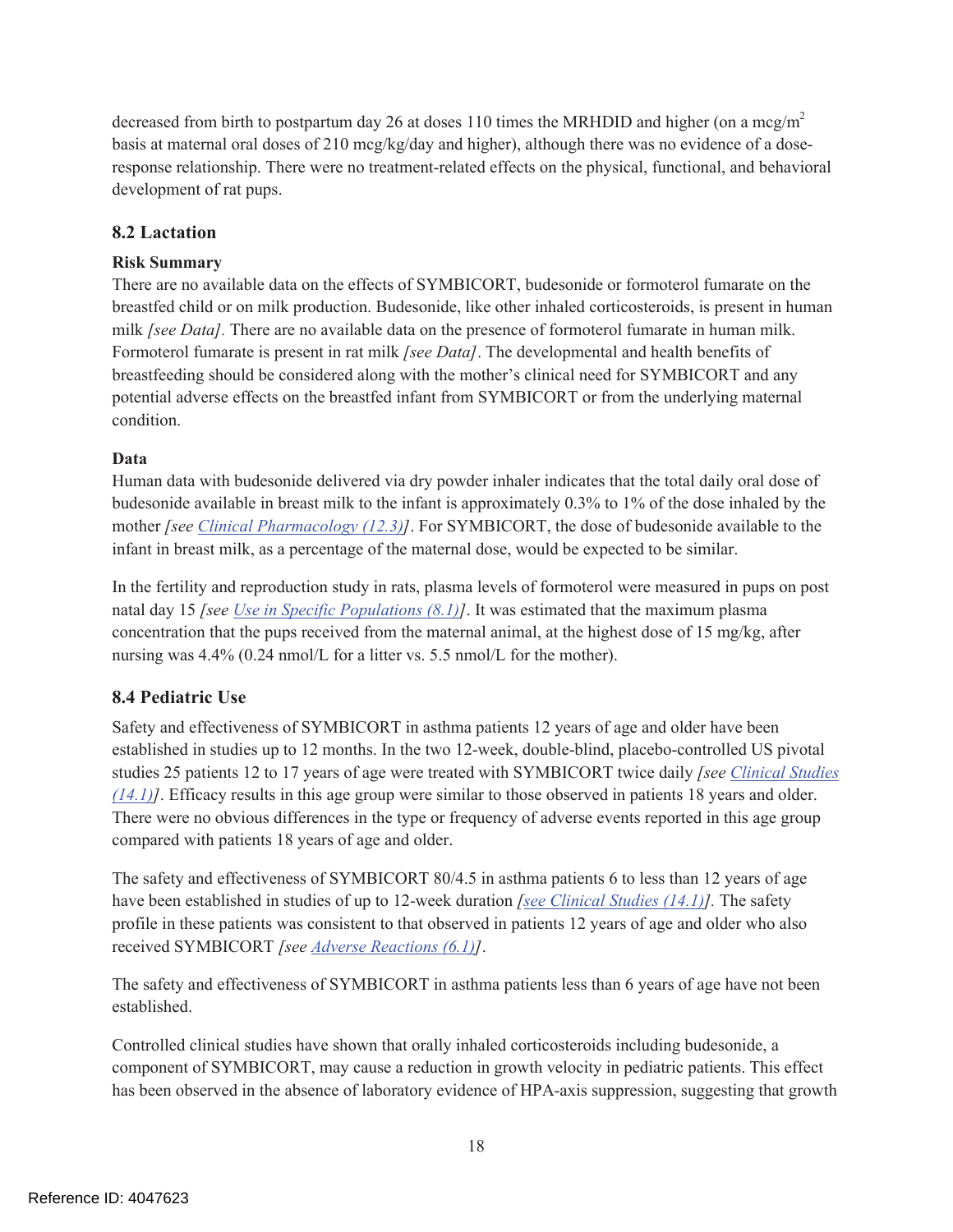decreased from birth to postpartum day 26 at doses 110 times the MRHDID and higher (on a mcg/m<sup>2</sup> basis at maternal oral doses of 210 mcg/kg/day and higher), although there was no evidence of a doseresponse relationship. There were no treatment-related effects on the physical, functional, and behavioral development of rat pups.

### **8.2 Lactation**

### **Risk Summary**

There are no available data on the effects of SYMBICORT, budesonide or formoterol fumarate on the breastfed child or on milk production. Budesonide, like other inhaled corticosteroids, is present in human milk *[see Data].* There are no available data on the presence of formoterol fumarate in human milk. Formoterol fumarate is present in rat milk *[see Data]*. The developmental and health benefits of breastfeeding should be considered along with the mother's clinical need for SYMBICORT and any potential adverse effects on the breastfed infant from SYMBICORT or from the underlying maternal condition.

### **Data**

Human data with budesonide delivered via dry powder inhaler indicates that the total daily oral dose of budesonide available in breast milk to the infant is approximately 0.3% to 1% of the dose inhaled by the mother *[see Clinical Pharmacology (12.3)]*. For SYMBICORT, the dose of budesonide available to the infant in breast milk, as a percentage of the maternal dose, would be expected to be similar.

In the fertility and reproduction study in rats, plasma levels of formoterol were measured in pups on post natal day 15 *[see Use in Specific Populations (8.1)]*. It was estimated that the maximum plasma concentration that the pups received from the maternal animal, at the highest dose of 15 mg/kg, after nursing was 4.4% (0.24 nmol/L for a litter vs. 5.5 nmol/L for the mother).

### **8.4 Pediatric Use**

Safety and effectiveness of SYMBICORT in asthma patients 12 years of age and older have been established in studies up to 12 months. In the two 12-week, double-blind, placebo-controlled US pivotal studies 25 patients 12 to 17 years of age were treated with SYMBICORT twice daily *[see Clinical Studies (14.1)]*. Efficacy results in this age group were similar to those observed in patients 18 years and older. There were no obvious differences in the type or frequency of adverse events reported in this age group compared with patients 18 years of age and older.

The safety and effectiveness of SYMBICORT 80/4.5 in asthma patients 6 to less than 12 years of age have been established in studies of up to 12-week duration *[see Clinical Studies (14.1)].* The safety profile in these patients was consistent to that observed in patients 12 years of age and older who also received SYMBICORT *[see Adverse Reactions (6.1)]*.

The safety and effectiveness of SYMBICORT in asthma patients less than 6 years of age have not been established.

Controlled clinical studies have shown that orally inhaled corticosteroids including budesonide, a component of SYMBICORT, may cause a reduction in growth velocity in pediatric patients. This effect has been observed in the absence of laboratory evidence of HPA-axis suppression, suggesting that growth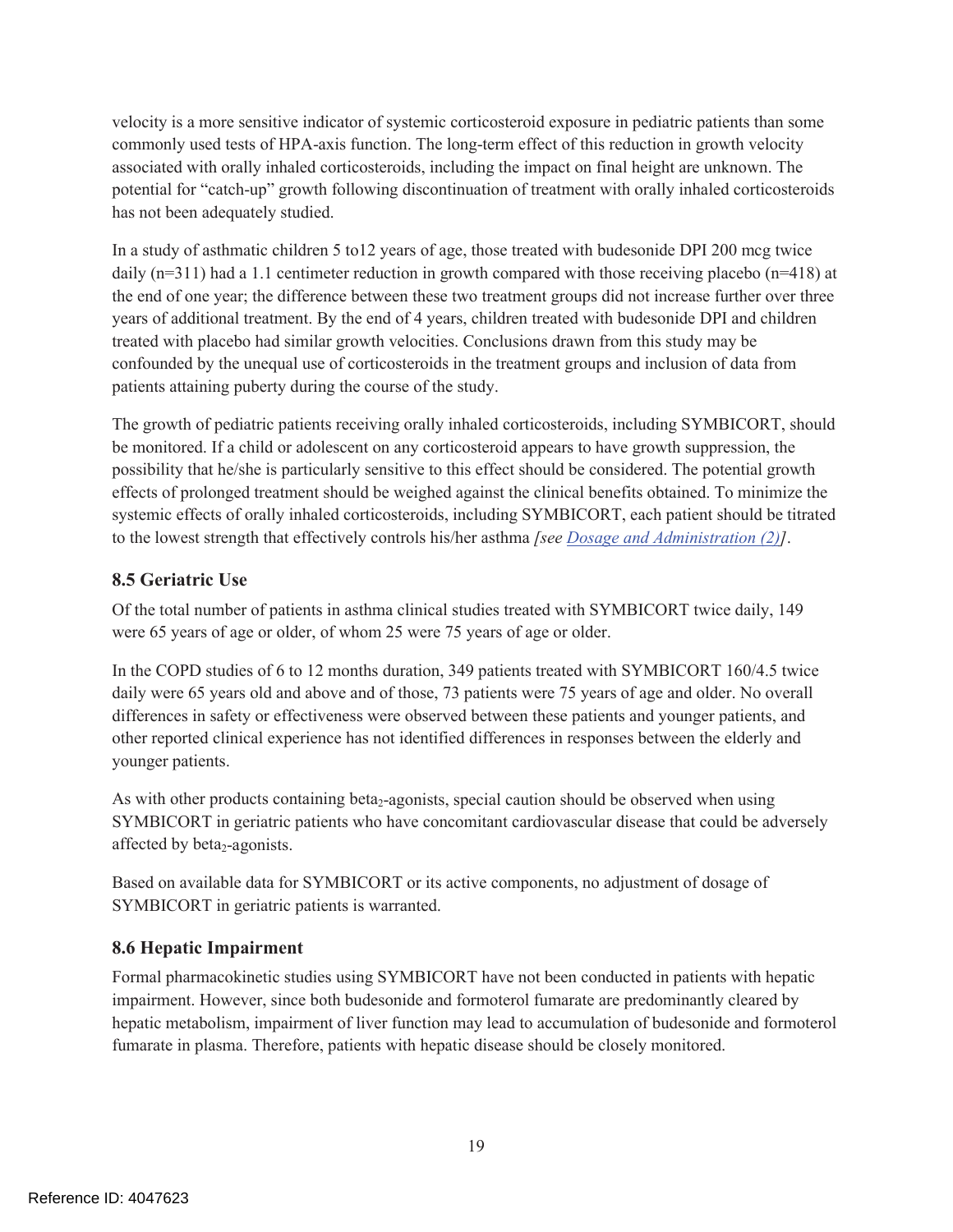velocity is a more sensitive indicator of systemic corticosteroid exposure in pediatric patients than some commonly used tests of HPA-axis function. The long-term effect of this reduction in growth velocity associated with orally inhaled corticosteroids, including the impact on final height are unknown. The potential for "catch-up" growth following discontinuation of treatment with orally inhaled corticosteroids has not been adequately studied.

In a study of asthmatic children 5 to12 years of age, those treated with budesonide DPI 200 mcg twice daily (n=311) had a 1.1 centimeter reduction in growth compared with those receiving placebo (n=418) at the end of one year; the difference between these two treatment groups did not increase further over three years of additional treatment. By the end of 4 years, children treated with budesonide DPI and children treated with placebo had similar growth velocities. Conclusions drawn from this study may be confounded by the unequal use of corticosteroids in the treatment groups and inclusion of data from patients attaining puberty during the course of the study.

The growth of pediatric patients receiving orally inhaled corticosteroids, including SYMBICORT, should be monitored. If a child or adolescent on any corticosteroid appears to have growth suppression, the possibility that he/she is particularly sensitive to this effect should be considered. The potential growth effects of prolonged treatment should be weighed against the clinical benefits obtained. To minimize the systemic effects of orally inhaled corticosteroids, including SYMBICORT, each patient should be titrated to the lowest strength that effectively controls his/her asthma *[see Dosage and Administration (2)]*.

### **8.5 Geriatric Use**

Of the total number of patients in asthma clinical studies treated with SYMBICORT twice daily, 149 were 65 years of age or older, of whom 25 were 75 years of age or older.

In the COPD studies of 6 to 12 months duration, 349 patients treated with SYMBICORT 160/4.5 twice daily were 65 years old and above and of those, 73 patients were 75 years of age and older. No overall differences in safety or effectiveness were observed between these patients and younger patients, and other reported clinical experience has not identified differences in responses between the elderly and younger patients.

As with other products containing beta<sub>2</sub>-agonists, special caution should be observed when using SYMBICORT in geriatric patients who have concomitant cardiovascular disease that could be adversely affected by beta<sub>2</sub>-agonists.

Based on available data for SYMBICORT or its active components, no adjustment of dosage of SYMBICORT in geriatric patients is warranted.

# **8.6 Hepatic Impairment**

Formal pharmacokinetic studies using SYMBICORT have not been conducted in patients with hepatic impairment. However, since both budesonide and formoterol fumarate are predominantly cleared by hepatic metabolism, impairment of liver function may lead to accumulation of budesonide and formoterol fumarate in plasma. Therefore, patients with hepatic disease should be closely monitored.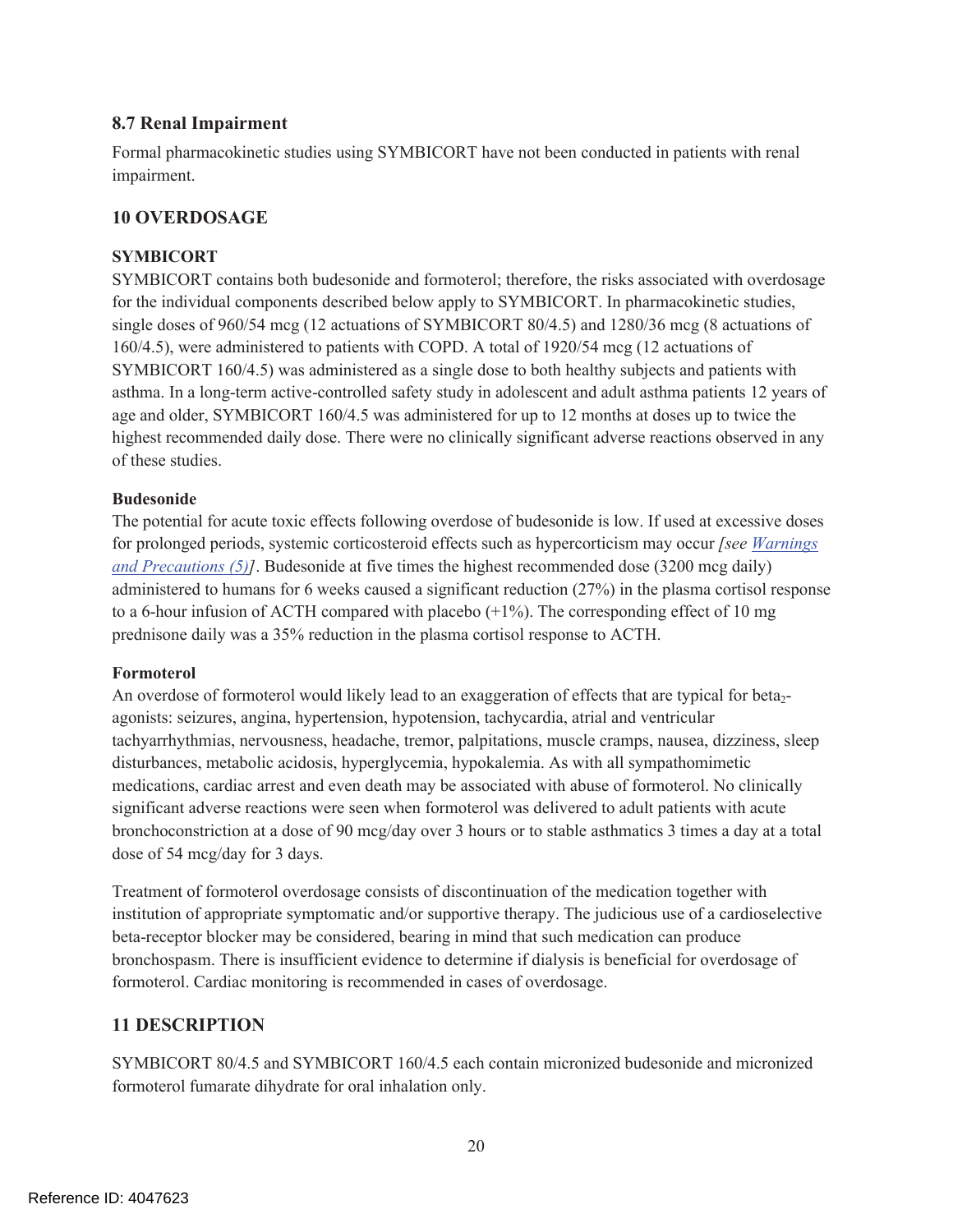### **8.7 Renal Impairment**

Formal pharmacokinetic studies using SYMBICORT have not been conducted in patients with renal impairment.

### **10 OVERDOSAGE**

#### **SYMBICORT**

SYMBICORT contains both budesonide and formoterol; therefore, the risks associated with overdosage for the individual components described below apply to SYMBICORT. In pharmacokinetic studies, single doses of 960/54 mcg (12 actuations of SYMBICORT 80/4.5) and 1280/36 mcg (8 actuations of 160/4.5), were administered to patients with COPD. A total of 1920/54 mcg (12 actuations of SYMBICORT 160/4.5) was administered as a single dose to both healthy subjects and patients with asthma. In a long-term active-controlled safety study in adolescent and adult asthma patients 12 years of age and older, SYMBICORT 160/4.5 was administered for up to 12 months at doses up to twice the highest recommended daily dose. There were no clinically significant adverse reactions observed in any of these studies.

#### **Budesonide**

The potential for acute toxic effects following overdose of budesonide is low. If used at excessive doses for prolonged periods, systemic corticosteroid effects such as hypercorticism may occur *[see Warnings and Precautions (5)]*. Budesonide at five times the highest recommended dose (3200 mcg daily) administered to humans for 6 weeks caused a significant reduction (27%) in the plasma cortisol response to a 6-hour infusion of ACTH compared with placebo  $(+1\%)$ . The corresponding effect of 10 mg prednisone daily was a 35% reduction in the plasma cortisol response to ACTH.

#### **Formoterol**

An overdose of formoterol would likely lead to an exaggeration of effects that are typical for beta<sub>2</sub>agonists: seizures, angina, hypertension, hypotension, tachycardia, atrial and ventricular tachyarrhythmias, nervousness, headache, tremor, palpitations, muscle cramps, nausea, dizziness, sleep disturbances, metabolic acidosis, hyperglycemia, hypokalemia. As with all sympathomimetic medications, cardiac arrest and even death may be associated with abuse of formoterol. No clinically significant adverse reactions were seen when formoterol was delivered to adult patients with acute bronchoconstriction at a dose of 90 mcg/day over 3 hours or to stable asthmatics 3 times a day at a total dose of 54 mcg/day for 3 days.

Treatment of formoterol overdosage consists of discontinuation of the medication together with institution of appropriate symptomatic and/or supportive therapy. The judicious use of a cardioselective beta-receptor blocker may be considered, bearing in mind that such medication can produce bronchospasm. There is insufficient evidence to determine if dialysis is beneficial for overdosage of formoterol. Cardiac monitoring is recommended in cases of overdosage.

### **11 DESCRIPTION**

SYMBICORT 80/4.5 and SYMBICORT 160/4.5 each contain micronized budesonide and micronized formoterol fumarate dihydrate for oral inhalation only.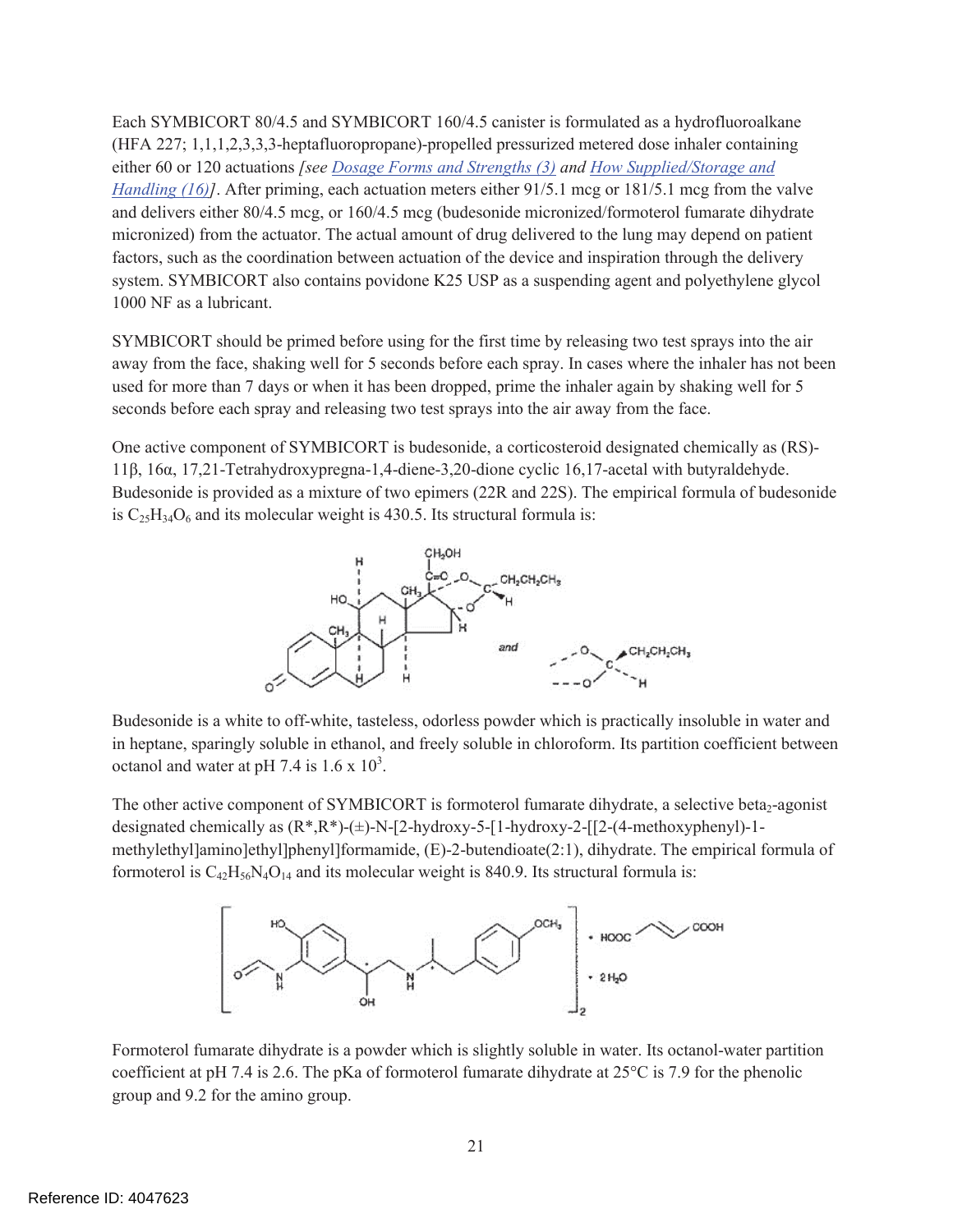Each SYMBICORT 80/4.5 and SYMBICORT 160/4.5 canister is formulated as a hydrofluoroalkane (HFA 227; 1,1,1,2,3,3,3-heptafluoropropane)-propelled pressurized metered dose inhaler containing either 60 or 120 actuations *[see Dosage Forms and Strengths (3) and How Supplied/Storage and Handling (16)]*. After priming, each actuation meters either 91/5.1 mcg or 181/5.1 mcg from the valve and delivers either 80/4.5 mcg, or 160/4.5 mcg (budesonide micronized/formoterol fumarate dihydrate micronized) from the actuator. The actual amount of drug delivered to the lung may depend on patient factors, such as the coordination between actuation of the device and inspiration through the delivery system. SYMBICORT also contains povidone K25 USP as a suspending agent and polyethylene glycol 1000 NF as a lubricant.

SYMBICORT should be primed before using for the first time by releasing two test sprays into the air away from the face, shaking well for 5 seconds before each spray. In cases where the inhaler has not been used for more than 7 days or when it has been dropped, prime the inhaler again by shaking well for 5 seconds before each spray and releasing two test sprays into the air away from the face.

One active component of SYMBICORT is budesonide, a corticosteroid designated chemically as (RS) 11β, 16α, 17,21-Tetrahydroxypregna-1,4-diene-3,20-dione cyclic 16,17-acetal with butyraldehyde. Budesonide is provided as a mixture of two epimers (22R and 22S). The empirical formula of budesonide is  $C_2$ <sub>5</sub>H<sub>34</sub>O<sub>6</sub> and its molecular weight is 430.5. Its structural formula is:



Budesonide is a white to off-white, tasteless, odorless powder which is practically insoluble in water and in heptane, sparingly soluble in ethanol, and freely soluble in chloroform. Its partition coefficient between octanol and water at pH 7.4 is  $1.6 \times 10^3$ .

The other active component of SYMBICORT is formoterol fumarate dihydrate, a selective beta<sub>2</sub>-agonist designated chemically as  $(R^*, R^*)$ -( $\pm$ )-N-[2-hydroxy-5-[1-hydroxy-2-[[2-(4-methoxyphenyl)-1methylethyl]amino]ethyl]phenyl]formamide, (E)-2-butendioate(2:1), dihydrate. The empirical formula of formoterol is  $C_{42}H_{56}N_4O_{14}$  and its molecular weight is 840.9. Its structural formula is:



Formoterol fumarate dihydrate is a powder which is slightly soluble in water. Its octanol-water partition coefficient at pH 7.4 is 2.6. The pKa of formoterol fumarate dihydrate at 25°C is 7.9 for the phenolic group and 9.2 for the amino group.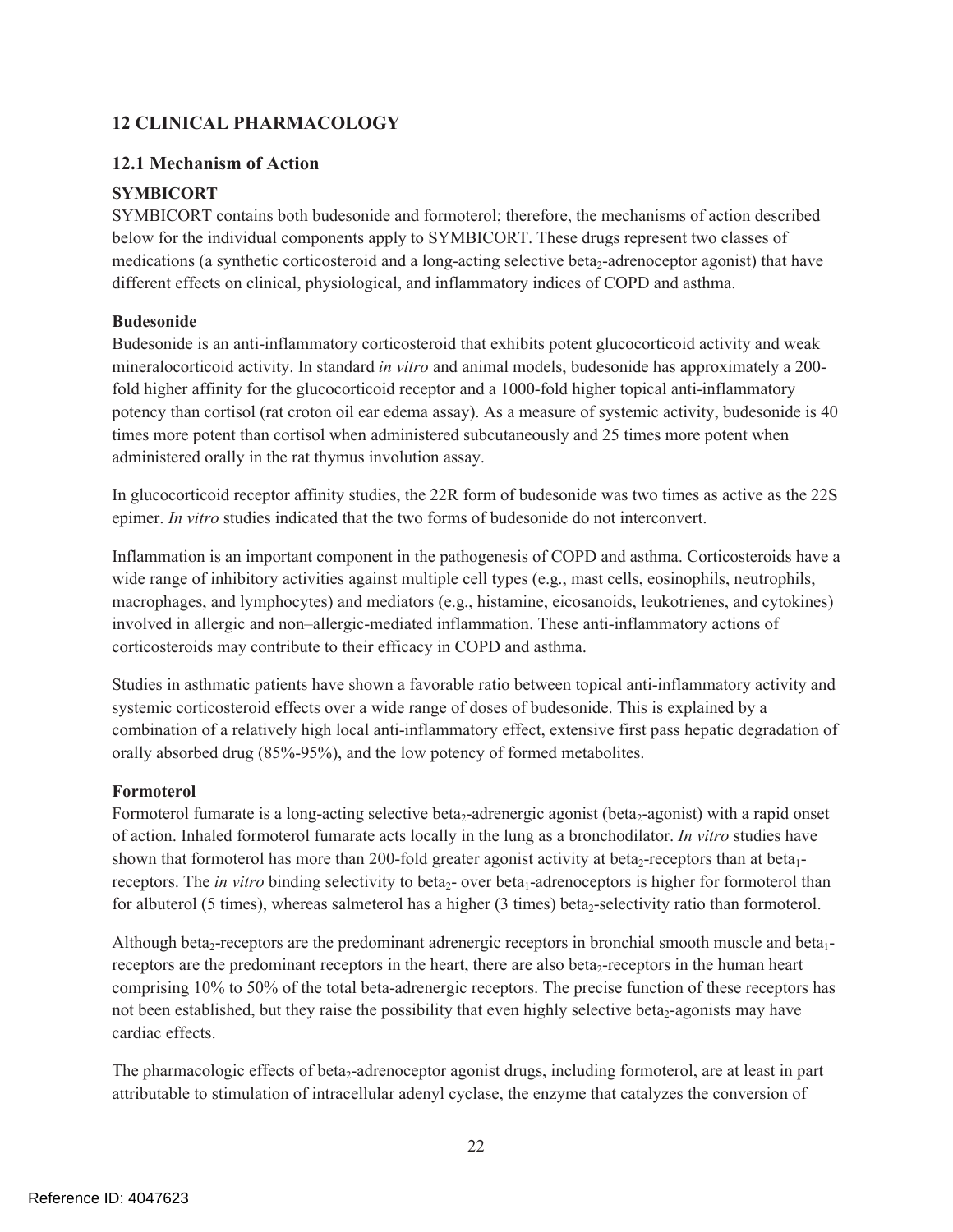# **12 CLINICAL PHARMACOLOGY**

### **12.1 Mechanism of Action**

### **SYMBICORT**

SYMBICORT contains both budesonide and formoterol; therefore, the mechanisms of action described below for the individual components apply to SYMBICORT. These drugs represent two classes of medications (a synthetic corticosteroid and a long-acting selective beta<sub>2</sub>-adrenoceptor agonist) that have different effects on clinical, physiological, and inflammatory indices of COPD and asthma.

### **Budesonide**

Budesonide is an anti-inflammatory corticosteroid that exhibits potent glucocorticoid activity and weak mineralocorticoid activity. In standard *in vitro* and animal models, budesonide has approximately a 200 fold higher affinity for the glucocorticoid receptor and a 1000-fold higher topical anti-inflammatory potency than cortisol (rat croton oil ear edema assay). As a measure of systemic activity, budesonide is 40 times more potent than cortisol when administered subcutaneously and 25 times more potent when administered orally in the rat thymus involution assay.

In glucocorticoid receptor affinity studies, the 22R form of budesonide was two times as active as the 22S epimer. *In vitro* studies indicated that the two forms of budesonide do not interconvert.

Inflammation is an important component in the pathogenesis of COPD and asthma. Corticosteroids have a wide range of inhibitory activities against multiple cell types (e.g., mast cells, eosinophils, neutrophils, macrophages, and lymphocytes) and mediators (e.g., histamine, eicosanoids, leukotrienes, and cytokines) involved in allergic and non–allergic-mediated inflammation. These anti-inflammatory actions of corticosteroids may contribute to their efficacy in COPD and asthma.

Studies in asthmatic patients have shown a favorable ratio between topical anti-inflammatory activity and systemic corticosteroid effects over a wide range of doses of budesonide. This is explained by a combination of a relatively high local anti-inflammatory effect, extensive first pass hepatic degradation of orally absorbed drug (85%-95%), and the low potency of formed metabolites.

### **Formoterol**

Formoterol fumarate is a long-acting selective beta<sub>2</sub>-adrenergic agonist (beta<sub>2</sub>-agonist) with a rapid onset of action. Inhaled formoterol fumarate acts locally in the lung as a bronchodilator. *In vitro* studies have shown that formoterol has more than 200-fold greater agonist activity at beta<sub>2</sub>-receptors than at beta<sub>1</sub>receptors. The *in vitro* binding selectivity to beta<sub>2</sub>- over beta<sub>1</sub>-adrenoceptors is higher for formoterol than for albuterol (5 times), whereas salmeterol has a higher (3 times) beta<sub>2</sub>-selectivity ratio than formoterol.

Although beta<sub>2</sub>-receptors are the predominant adrenergic receptors in bronchial smooth muscle and beta<sub>1</sub>receptors are the predominant receptors in the heart, there are also beta<sub>2</sub>-receptors in the human heart comprising 10% to 50% of the total beta-adrenergic receptors. The precise function of these receptors has not been established, but they raise the possibility that even highly selective beta<sub>2</sub>-agonists may have cardiac effects.

The pharmacologic effects of beta<sub>2</sub>-adrenoceptor agonist drugs, including formoterol, are at least in part attributable to stimulation of intracellular adenyl cyclase, the enzyme that catalyzes the conversion of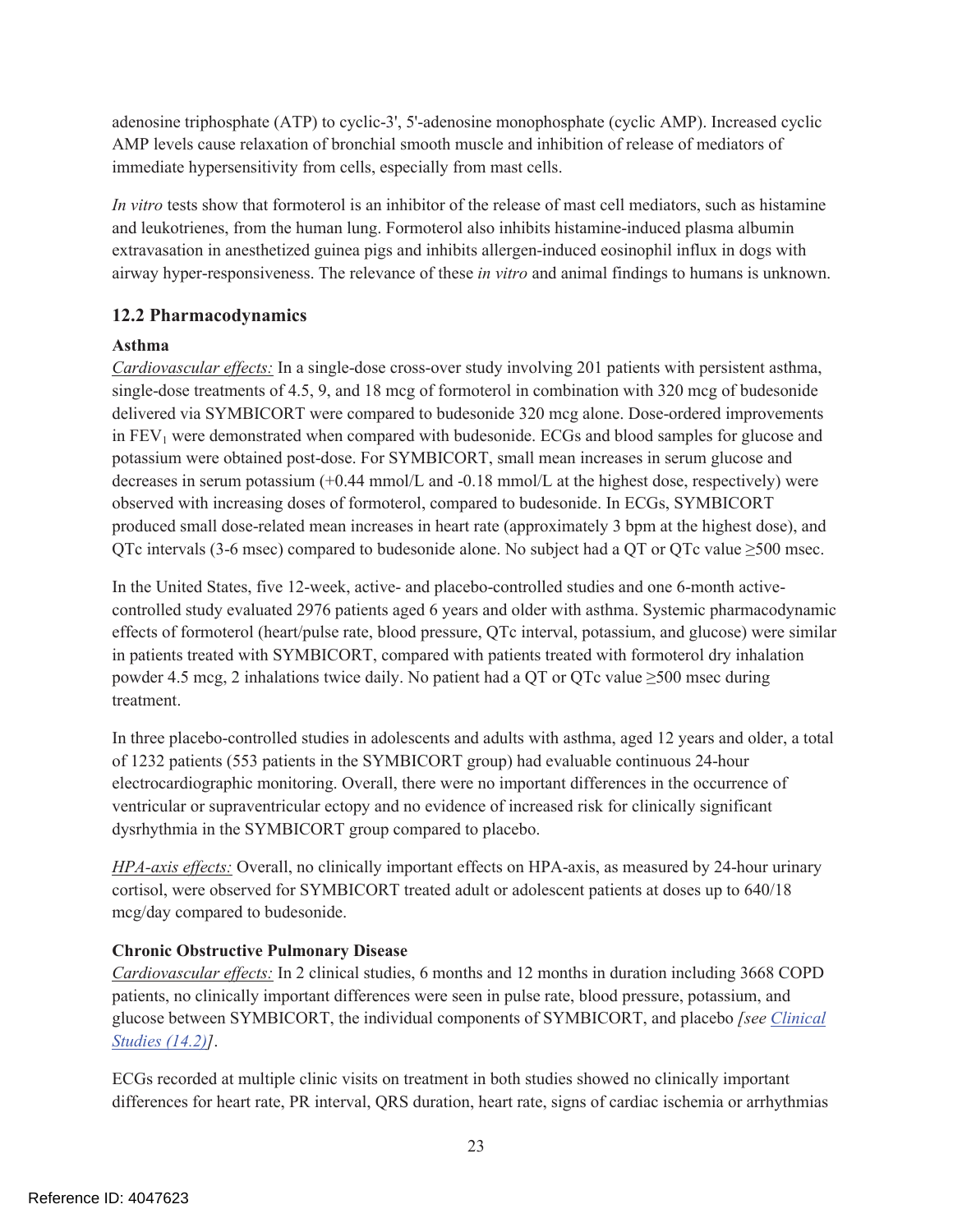adenosine triphosphate (ATP) to cyclic-3', 5'-adenosine monophosphate (cyclic AMP). Increased cyclic AMP levels cause relaxation of bronchial smooth muscle and inhibition of release of mediators of immediate hypersensitivity from cells, especially from mast cells.

*In vitro* tests show that formoterol is an inhibitor of the release of mast cell mediators, such as histamine and leukotrienes, from the human lung. Formoterol also inhibits histamine-induced plasma albumin extravasation in anesthetized guinea pigs and inhibits allergen-induced eosinophil influx in dogs with airway hyper-responsiveness. The relevance of these *in vitro* and animal findings to humans is unknown.

# **12.2 Pharmacodynamics**

### **Asthma**

*Cardiovascular effects:* In a single-dose cross-over study involving 201 patients with persistent asthma, single-dose treatments of 4.5, 9, and 18 mcg of formoterol in combination with 320 mcg of budesonide delivered via SYMBICORT were compared to budesonide 320 mcg alone. Dose-ordered improvements in FEV<sub>1</sub> were demonstrated when compared with budesonide. ECGs and blood samples for glucose and potassium were obtained post-dose. For SYMBICORT, small mean increases in serum glucose and decreases in serum potassium (+0.44 mmol/L and -0.18 mmol/L at the highest dose, respectively) were observed with increasing doses of formoterol, compared to budesonide. In ECGs, SYMBICORT produced small dose-related mean increases in heart rate (approximately 3 bpm at the highest dose), and QTc intervals (3-6 msec) compared to budesonide alone. No subject had a QT or QTc value ≥500 msec.

In the United States, five 12-week, active- and placebo-controlled studies and one 6-month activecontrolled study evaluated 2976 patients aged 6 years and older with asthma. Systemic pharmacodynamic effects of formoterol (heart/pulse rate, blood pressure, QTc interval, potassium, and glucose) were similar in patients treated with SYMBICORT, compared with patients treated with formoterol dry inhalation powder 4.5 mcg, 2 inhalations twice daily. No patient had a QT or QTc value  $\geq$ 500 msec during treatment.

In three placebo-controlled studies in adolescents and adults with asthma, aged 12 years and older, a total of 1232 patients (553 patients in the SYMBICORT group) had evaluable continuous 24-hour electrocardiographic monitoring. Overall, there were no important differences in the occurrence of ventricular or supraventricular ectopy and no evidence of increased risk for clinically significant dysrhythmia in the SYMBICORT group compared to placebo.

*HPA-axis effects:* Overall, no clinically important effects on HPA-axis, as measured by 24-hour urinary cortisol, were observed for SYMBICORT treated adult or adolescent patients at doses up to 640/18 mcg/day compared to budesonide.

### **Chronic Obstructive Pulmonary Disease**

*Cardiovascular effects:* In 2 clinical studies, 6 months and 12 months in duration including 3668 COPD patients, no clinically important differences were seen in pulse rate, blood pressure, potassium, and glucose between SYMBICORT, the individual components of SYMBICORT, and placebo *[see Clinical Studies (14.2)]*.

ECGs recorded at multiple clinic visits on treatment in both studies showed no clinically important differences for heart rate, PR interval, QRS duration, heart rate, signs of cardiac ischemia or arrhythmias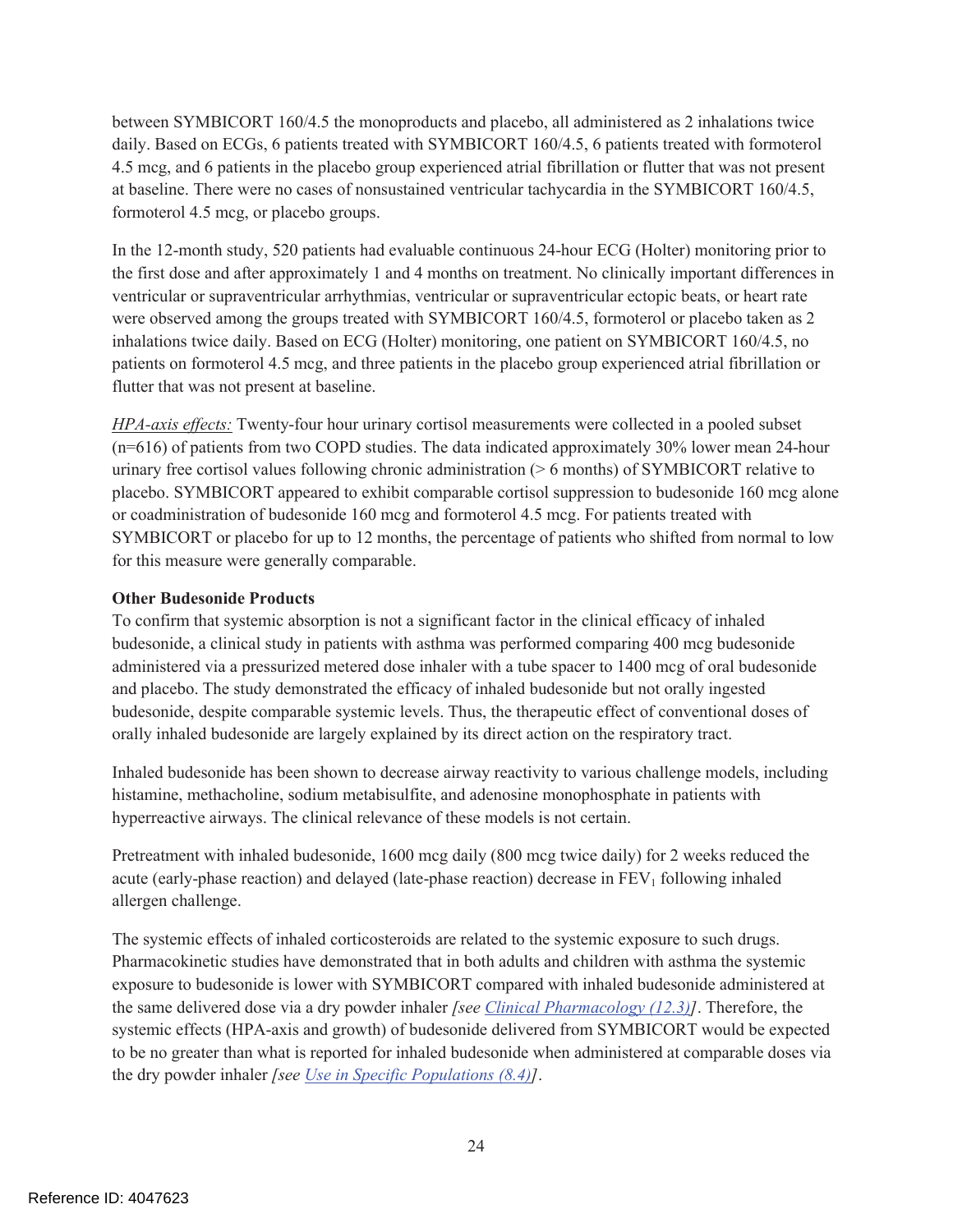between SYMBICORT 160/4.5 the monoproducts and placebo, all administered as 2 inhalations twice daily. Based on ECGs, 6 patients treated with SYMBICORT 160/4.5, 6 patients treated with formoterol 4.5 mcg, and 6 patients in the placebo group experienced atrial fibrillation or flutter that was not present at baseline. There were no cases of nonsustained ventricular tachycardia in the SYMBICORT 160/4.5, formoterol 4.5 mcg, or placebo groups.

In the 12-month study, 520 patients had evaluable continuous 24-hour ECG (Holter) monitoring prior to the first dose and after approximately 1 and 4 months on treatment. No clinically important differences in ventricular or supraventricular arrhythmias, ventricular or supraventricular ectopic beats, or heart rate were observed among the groups treated with SYMBICORT 160/4.5, formoterol or placebo taken as 2 inhalations twice daily. Based on ECG (Holter) monitoring, one patient on SYMBICORT 160/4.5, no patients on formoterol 4.5 mcg, and three patients in the placebo group experienced atrial fibrillation or flutter that was not present at baseline.

*HPA-axis effects:* Twenty-four hour urinary cortisol measurements were collected in a pooled subset (n=616) of patients from two COPD studies. The data indicated approximately 30% lower mean 24-hour urinary free cortisol values following chronic administration (> 6 months) of SYMBICORT relative to placebo. SYMBICORT appeared to exhibit comparable cortisol suppression to budesonide 160 mcg alone or coadministration of budesonide 160 mcg and formoterol 4.5 mcg. For patients treated with SYMBICORT or placebo for up to 12 months, the percentage of patients who shifted from normal to low for this measure were generally comparable.

### **Other Budesonide Products**

To confirm that systemic absorption is not a significant factor in the clinical efficacy of inhaled budesonide, a clinical study in patients with asthma was performed comparing 400 mcg budesonide administered via a pressurized metered dose inhaler with a tube spacer to 1400 mcg of oral budesonide and placebo. The study demonstrated the efficacy of inhaled budesonide but not orally ingested budesonide, despite comparable systemic levels. Thus, the therapeutic effect of conventional doses of orally inhaled budesonide are largely explained by its direct action on the respiratory tract.

Inhaled budesonide has been shown to decrease airway reactivity to various challenge models, including histamine, methacholine, sodium metabisulfite, and adenosine monophosphate in patients with hyperreactive airways. The clinical relevance of these models is not certain.

Pretreatment with inhaled budesonide, 1600 mcg daily (800 mcg twice daily) for 2 weeks reduced the acute (early-phase reaction) and delayed (late-phase reaction) decrease in  $FEV<sub>1</sub>$  following inhaled allergen challenge.

The systemic effects of inhaled corticosteroids are related to the systemic exposure to such drugs. Pharmacokinetic studies have demonstrated that in both adults and children with asthma the systemic exposure to budesonide is lower with SYMBICORT compared with inhaled budesonide administered at the same delivered dose via a dry powder inhaler *[see Clinical Pharmacology (12.3)]*. Therefore, the systemic effects (HPA-axis and growth) of budesonide delivered from SYMBICORT would be expected to be no greater than what is reported for inhaled budesonide when administered at comparable doses via the dry powder inhaler *[see Use in Specific Populations (8.4)]*.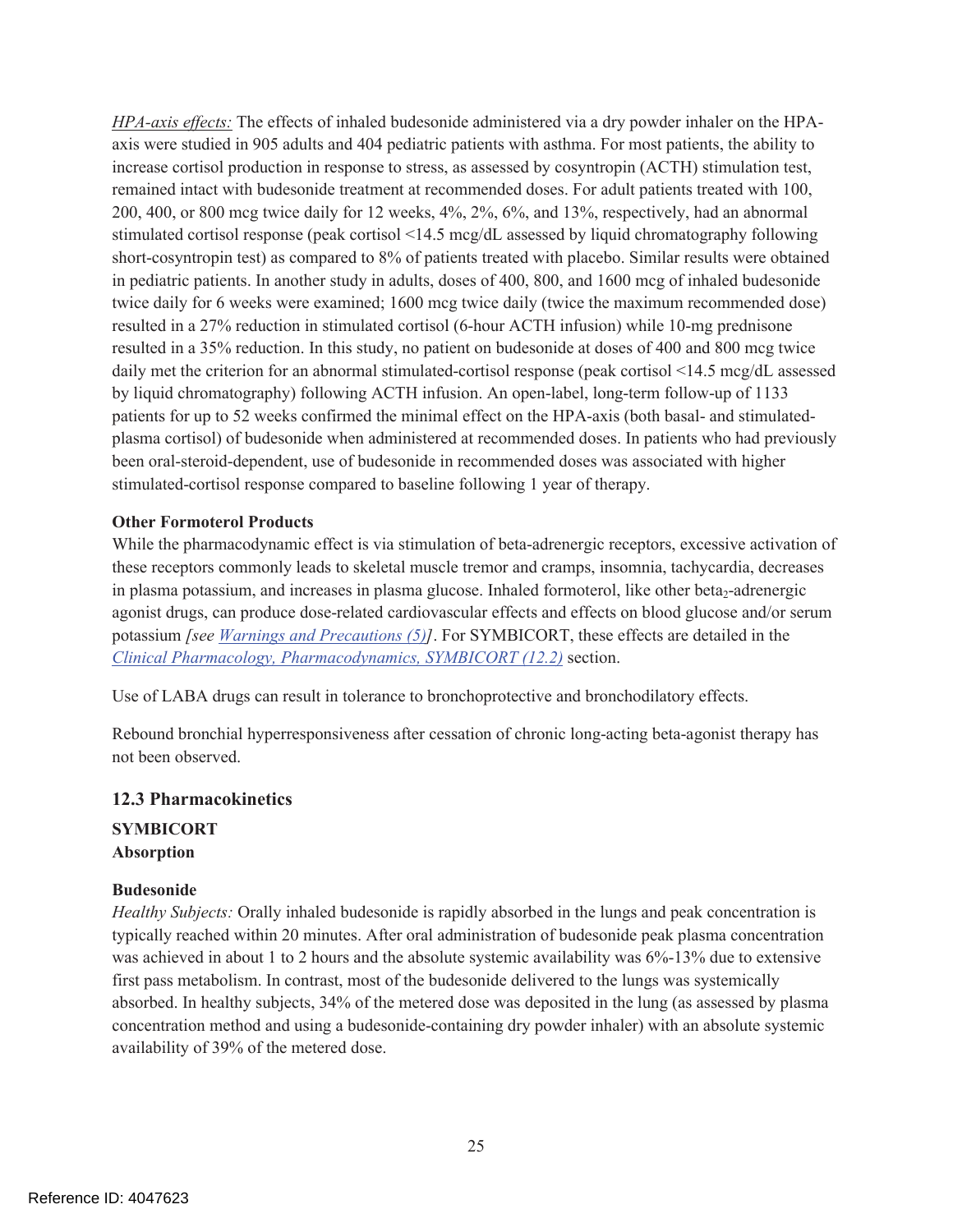*HPA-axis effects:* The effects of inhaled budesonide administered via a dry powder inhaler on the HPAaxis were studied in 905 adults and 404 pediatric patients with asthma. For most patients, the ability to increase cortisol production in response to stress, as assessed by cosyntropin (ACTH) stimulation test, remained intact with budesonide treatment at recommended doses. For adult patients treated with 100, 200, 400, or 800 mcg twice daily for 12 weeks, 4%, 2%, 6%, and 13%, respectively, had an abnormal stimulated cortisol response (peak cortisol <14.5 mcg/dL assessed by liquid chromatography following short-cosyntropin test) as compared to 8% of patients treated with placebo. Similar results were obtained in pediatric patients. In another study in adults, doses of 400, 800, and 1600 mcg of inhaled budesonide twice daily for 6 weeks were examined; 1600 mcg twice daily (twice the maximum recommended dose) resulted in a 27% reduction in stimulated cortisol (6-hour ACTH infusion) while 10-mg prednisone resulted in a 35% reduction. In this study, no patient on budesonide at doses of 400 and 800 mcg twice daily met the criterion for an abnormal stimulated-cortisol response (peak cortisol <14.5 mcg/dL assessed by liquid chromatography) following ACTH infusion. An open-label, long-term follow-up of 1133 patients for up to 52 weeks confirmed the minimal effect on the HPA-axis (both basal- and stimulatedplasma cortisol) of budesonide when administered at recommended doses. In patients who had previously been oral-steroid-dependent, use of budesonide in recommended doses was associated with higher stimulated-cortisol response compared to baseline following 1 year of therapy.

#### **Other Formoterol Products**

While the pharmacodynamic effect is via stimulation of beta-adrenergic receptors, excessive activation of these receptors commonly leads to skeletal muscle tremor and cramps, insomnia, tachycardia, decreases in plasma potassium, and increases in plasma glucose. Inhaled formoterol, like other beta<sub>2</sub>-adrenergic agonist drugs, can produce dose-related cardiovascular effects and effects on blood glucose and/or serum potassium *[see Warnings and Precautions (5)]*. For SYMBICORT, these effects are detailed in the *Clinical Pharmacology, Pharmacodynamics, SYMBICORT (12.2)* section.

Use of LABA drugs can result in tolerance to bronchoprotective and bronchodilatory effects.

Rebound bronchial hyperresponsiveness after cessation of chronic long-acting beta-agonist therapy has not been observed.

#### **12.3 Pharmacokinetics**

**SYMBICORT Absorption** 

#### **Budesonide**

*Healthy Subjects:* Orally inhaled budesonide is rapidly absorbed in the lungs and peak concentration is typically reached within 20 minutes. After oral administration of budesonide peak plasma concentration was achieved in about 1 to 2 hours and the absolute systemic availability was 6%-13% due to extensive first pass metabolism. In contrast, most of the budesonide delivered to the lungs was systemically absorbed. In healthy subjects, 34% of the metered dose was deposited in the lung (as assessed by plasma concentration method and using a budesonide-containing dry powder inhaler) with an absolute systemic availability of 39% of the metered dose.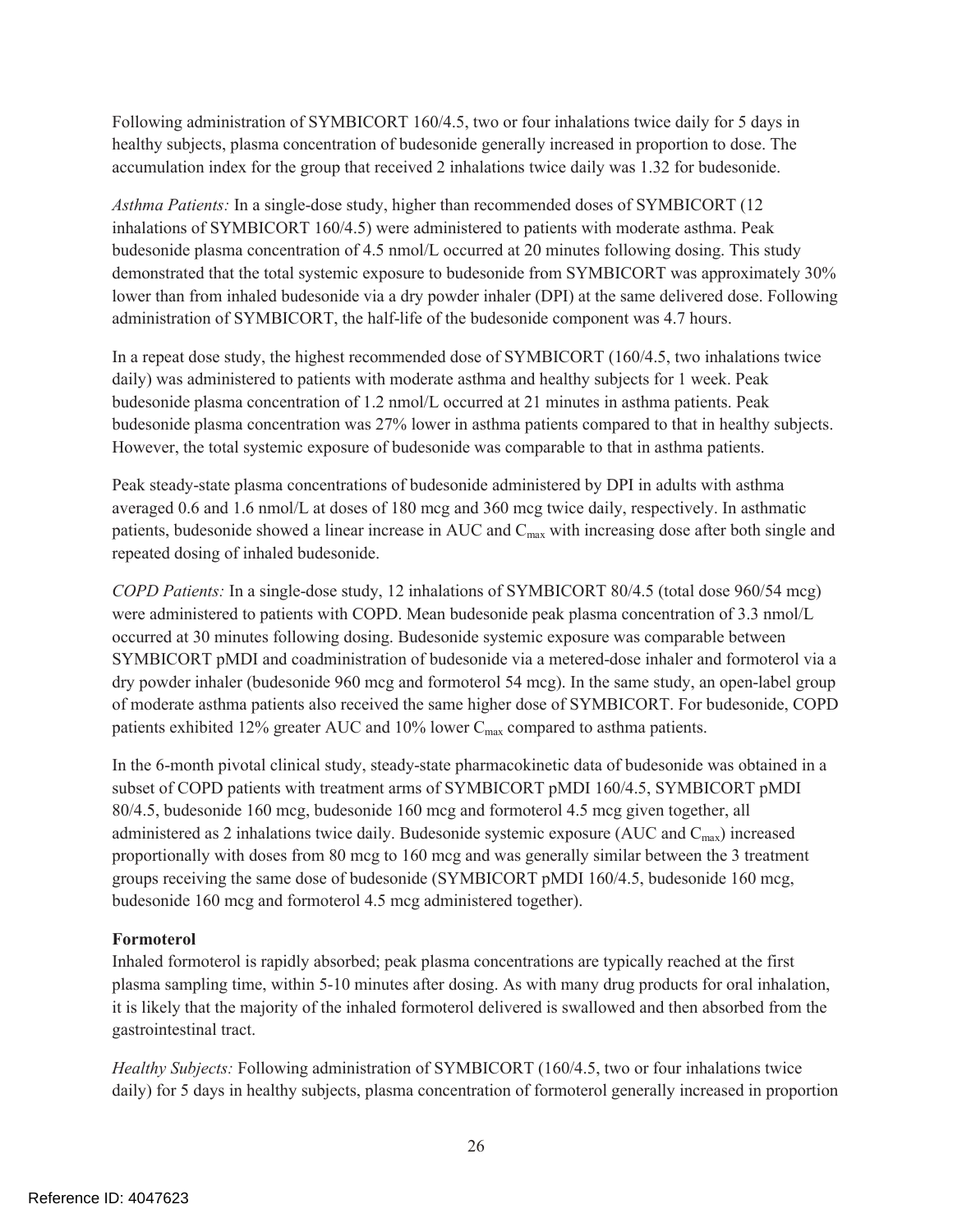Following administration of SYMBICORT 160/4.5, two or four inhalations twice daily for 5 days in healthy subjects, plasma concentration of budesonide generally increased in proportion to dose. The accumulation index for the group that received 2 inhalations twice daily was 1.32 for budesonide.

*Asthma Patients:* In a single-dose study, higher than recommended doses of SYMBICORT (12 inhalations of SYMBICORT 160/4.5) were administered to patients with moderate asthma. Peak budesonide plasma concentration of 4.5 nmol/L occurred at 20 minutes following dosing. This study demonstrated that the total systemic exposure to budesonide from SYMBICORT was approximately 30% lower than from inhaled budesonide via a dry powder inhaler (DPI) at the same delivered dose. Following administration of SYMBICORT, the half-life of the budesonide component was 4.7 hours.

In a repeat dose study, the highest recommended dose of SYMBICORT (160/4.5, two inhalations twice daily) was administered to patients with moderate asthma and healthy subjects for 1 week. Peak budesonide plasma concentration of 1.2 nmol/L occurred at 21 minutes in asthma patients. Peak budesonide plasma concentration was 27% lower in asthma patients compared to that in healthy subjects. However, the total systemic exposure of budesonide was comparable to that in asthma patients.

Peak steady-state plasma concentrations of budesonide administered by DPI in adults with asthma averaged 0.6 and 1.6 nmol/L at doses of 180 mcg and 360 mcg twice daily, respectively. In asthmatic patients, budesonide showed a linear increase in AUC and C<sub>max</sub> with increasing dose after both single and repeated dosing of inhaled budesonide.

*COPD Patients:* In a single-dose study, 12 inhalations of SYMBICORT 80/4.5 (total dose 960/54 mcg) were administered to patients with COPD. Mean budesonide peak plasma concentration of 3.3 nmol/L occurred at 30 minutes following dosing. Budesonide systemic exposure was comparable between SYMBICORT pMDI and coadministration of budesonide via a metered-dose inhaler and formoterol via a dry powder inhaler (budesonide 960 mcg and formoterol 54 mcg). In the same study, an open-label group of moderate asthma patients also received the same higher dose of SYMBICORT. For budesonide, COPD patients exhibited 12% greater AUC and 10% lower  $C_{\text{max}}$  compared to asthma patients.

In the 6-month pivotal clinical study, steady-state pharmacokinetic data of budesonide was obtained in a subset of COPD patients with treatment arms of SYMBICORT pMDI 160/4.5, SYMBICORT pMDI 80/4.5, budesonide 160 mcg, budesonide 160 mcg and formoterol 4.5 mcg given together, all administered as 2 inhalations twice daily. Budesonide systemic exposure (AUC and  $C_{\text{max}}$ ) increased proportionally with doses from 80 mcg to 160 mcg and was generally similar between the 3 treatment groups receiving the same dose of budesonide (SYMBICORT pMDI 160/4.5, budesonide 160 mcg, budesonide 160 mcg and formoterol 4.5 mcg administered together).

#### **Formoterol**

Inhaled formoterol is rapidly absorbed; peak plasma concentrations are typically reached at the first plasma sampling time, within 5-10 minutes after dosing. As with many drug products for oral inhalation, it is likely that the majority of the inhaled formoterol delivered is swallowed and then absorbed from the gastrointestinal tract.

*Healthy Subjects:* Following administration of SYMBICORT (160/4.5, two or four inhalations twice daily) for 5 days in healthy subjects, plasma concentration of formoterol generally increased in proportion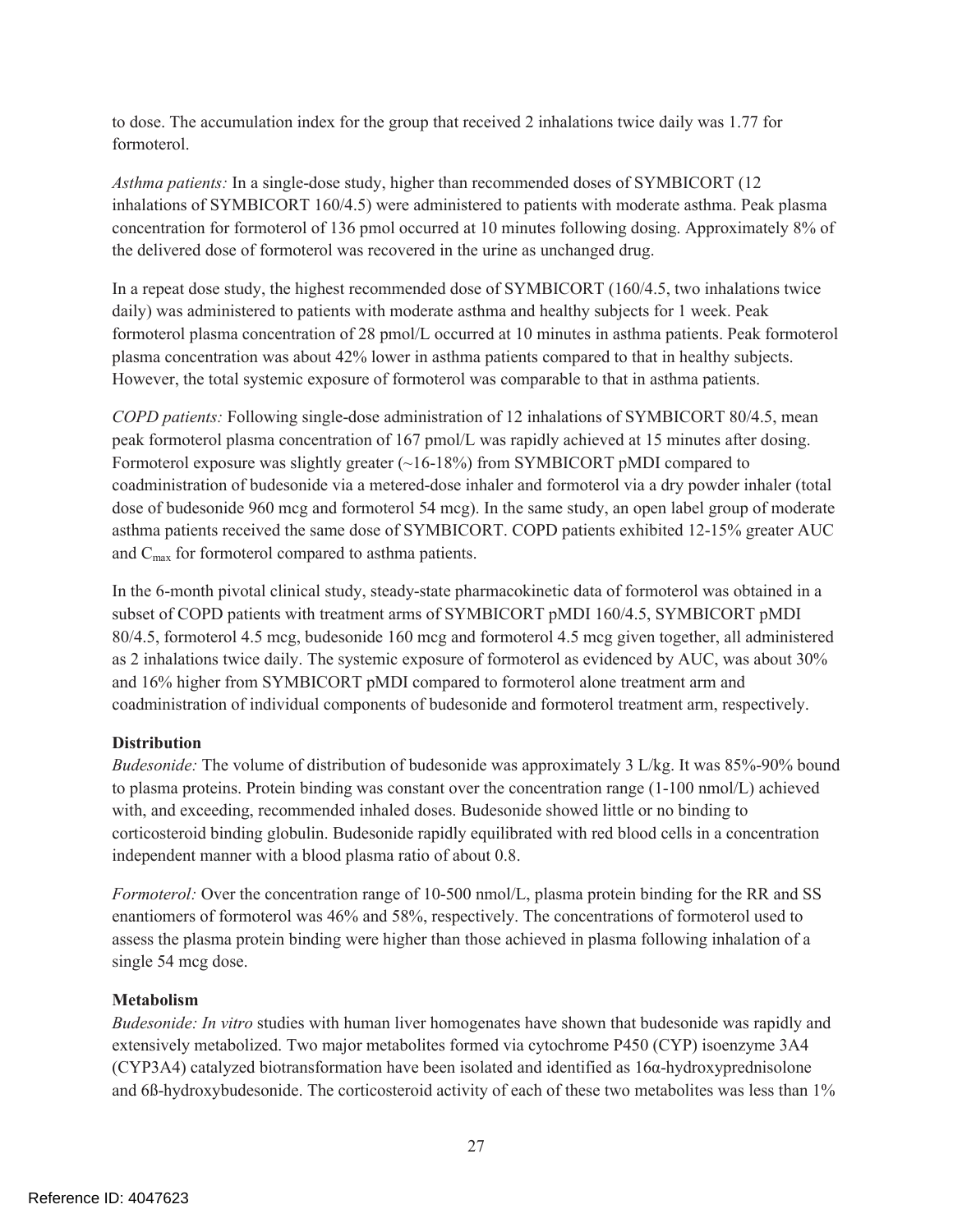to dose. The accumulation index for the group that received 2 inhalations twice daily was 1.77 for formoterol.

*Asthma patients:* In a single-dose study, higher than recommended doses of SYMBICORT (12 inhalations of SYMBICORT 160/4.5) were administered to patients with moderate asthma. Peak plasma concentration for formoterol of 136 pmol occurred at 10 minutes following dosing. Approximately 8% of the delivered dose of formoterol was recovered in the urine as unchanged drug.

In a repeat dose study, the highest recommended dose of SYMBICORT (160/4.5, two inhalations twice daily) was administered to patients with moderate asthma and healthy subjects for 1 week. Peak formoterol plasma concentration of 28 pmol/L occurred at 10 minutes in asthma patients. Peak formoterol plasma concentration was about 42% lower in asthma patients compared to that in healthy subjects. However, the total systemic exposure of formoterol was comparable to that in asthma patients.

*COPD patients:* Following single-dose administration of 12 inhalations of SYMBICORT 80/4.5, mean peak formoterol plasma concentration of 167 pmol/L was rapidly achieved at 15 minutes after dosing. Formoterol exposure was slightly greater (~16-18%) from SYMBICORT pMDI compared to coadministration of budesonide via a metered-dose inhaler and formoterol via a dry powder inhaler (total dose of budesonide 960 mcg and formoterol 54 mcg). In the same study, an open label group of moderate asthma patients received the same dose of SYMBICORT. COPD patients exhibited 12-15% greater AUC and  $C_{\text{max}}$  for formoterol compared to asthma patients.

In the 6-month pivotal clinical study, steady-state pharmacokinetic data of formoterol was obtained in a subset of COPD patients with treatment arms of SYMBICORT pMDI 160/4.5, SYMBICORT pMDI 80/4.5, formoterol 4.5 mcg, budesonide 160 mcg and formoterol 4.5 mcg given together, all administered as 2 inhalations twice daily. The systemic exposure of formoterol as evidenced by AUC, was about 30% and 16% higher from SYMBICORT pMDI compared to formoterol alone treatment arm and coadministration of individual components of budesonide and formoterol treatment arm, respectively.

### **Distribution**

*Budesonide:* The volume of distribution of budesonide was approximately 3 L/kg. It was 85%-90% bound to plasma proteins. Protein binding was constant over the concentration range (1-100 nmol/L) achieved with, and exceeding, recommended inhaled doses. Budesonide showed little or no binding to corticosteroid binding globulin. Budesonide rapidly equilibrated with red blood cells in a concentration independent manner with a blood plasma ratio of about 0.8.

*Formoterol:* Over the concentration range of 10-500 nmol/L, plasma protein binding for the RR and SS enantiomers of formoterol was 46% and 58%, respectively. The concentrations of formoterol used to assess the plasma protein binding were higher than those achieved in plasma following inhalation of a single 54 mcg dose.

#### **Metabolism**

*Budesonide: In vitro* studies with human liver homogenates have shown that budesonide was rapidly and extensively metabolized. Two major metabolites formed via cytochrome P450 (CYP) isoenzyme 3A4 (CYP3A4) catalyzed biotransformation have been isolated and identified as 16α-hydroxyprednisolone and 6ß-hydroxybudesonide. The corticosteroid activity of each of these two metabolites was less than 1%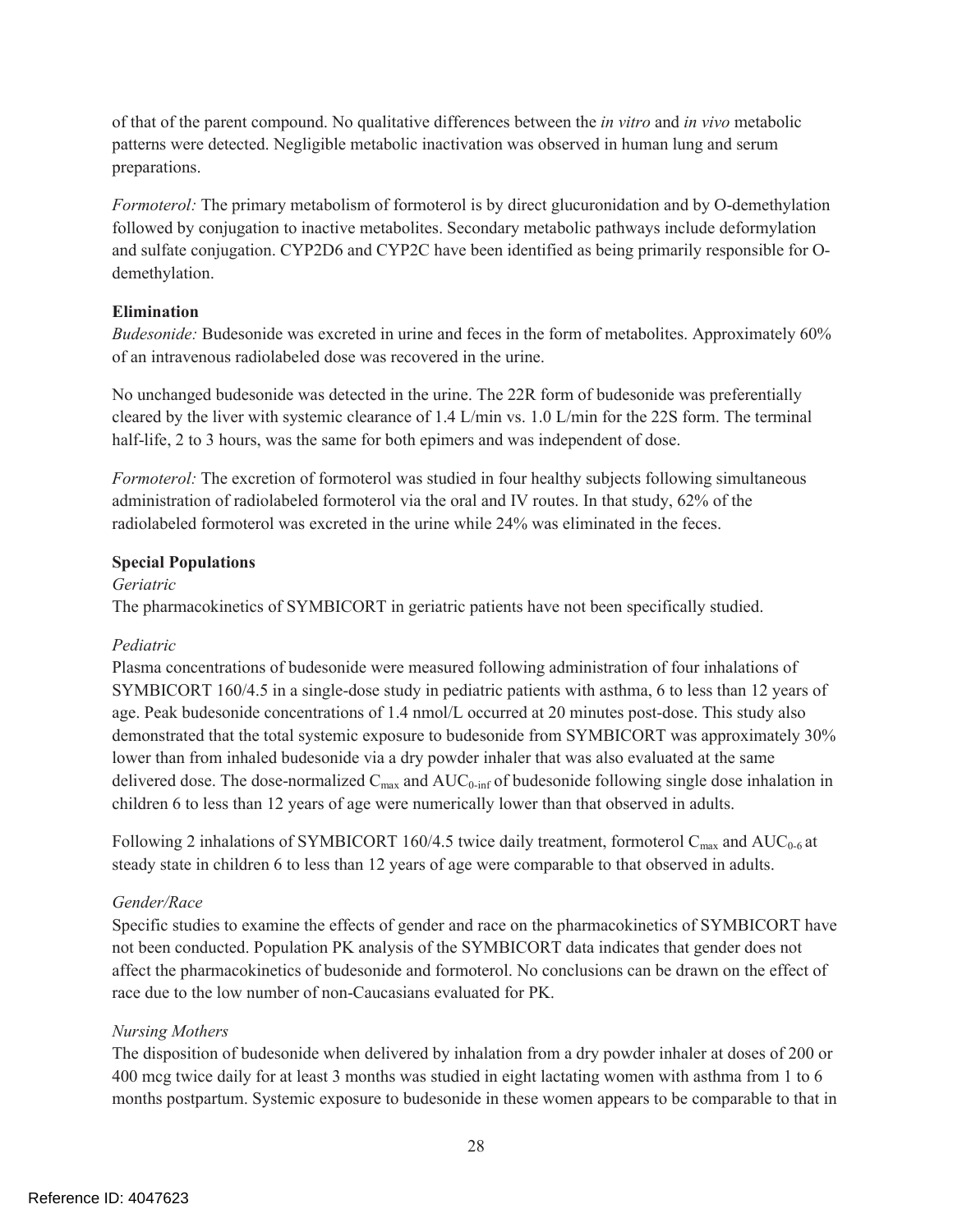of that of the parent compound. No qualitative differences between the *in vitro* and *in vivo* metabolic patterns were detected. Negligible metabolic inactivation was observed in human lung and serum preparations.

*Formoterol:* The primary metabolism of formoterol is by direct glucuronidation and by O-demethylation followed by conjugation to inactive metabolites. Secondary metabolic pathways include deformylation and sulfate conjugation. CYP2D6 and CYP2C have been identified as being primarily responsible for Odemethylation.

#### **Elimination**

*Budesonide:* Budesonide was excreted in urine and feces in the form of metabolites. Approximately 60% of an intravenous radiolabeled dose was recovered in the urine.

No unchanged budesonide was detected in the urine. The 22R form of budesonide was preferentially cleared by the liver with systemic clearance of 1.4 L/min vs. 1.0 L/min for the 22S form. The terminal half-life, 2 to 3 hours, was the same for both epimers and was independent of dose.

*Formoterol:* The excretion of formoterol was studied in four healthy subjects following simultaneous administration of radiolabeled formoterol via the oral and IV routes. In that study, 62% of the radiolabeled formoterol was excreted in the urine while 24% was eliminated in the feces.

#### **Special Populations**

*Geriatric* 

The pharmacokinetics of SYMBICORT in geriatric patients have not been specifically studied.

#### *Pediatric*

Plasma concentrations of budesonide were measured following administration of four inhalations of SYMBICORT 160/4.5 in a single-dose study in pediatric patients with asthma, 6 to less than 12 years of age. Peak budesonide concentrations of 1.4 nmol/L occurred at 20 minutes post-dose. This study also demonstrated that the total systemic exposure to budesonide from SYMBICORT was approximately 30% lower than from inhaled budesonide via a dry powder inhaler that was also evaluated at the same delivered dose. The dose-normalized  $C_{\text{max}}$  and  $AUC_{0\text{-inf}}$  of budesonide following single dose inhalation in children 6 to less than 12 years of age were numerically lower than that observed in adults.

Following 2 inhalations of SYMBICORT 160/4.5 twice daily treatment, formoterol  $C_{\text{max}}$  and AUC<sub>0-6</sub> at steady state in children 6 to less than 12 years of age were comparable to that observed in adults.

### *Gender/Race*

Specific studies to examine the effects of gender and race on the pharmacokinetics of SYMBICORT have not been conducted. Population PK analysis of the SYMBICORT data indicates that gender does not affect the pharmacokinetics of budesonide and formoterol. No conclusions can be drawn on the effect of race due to the low number of non-Caucasians evaluated for PK.

### *Nursing Mothers*

The disposition of budesonide when delivered by inhalation from a dry powder inhaler at doses of 200 or 400 mcg twice daily for at least 3 months was studied in eight lactating women with asthma from 1 to 6 months postpartum. Systemic exposure to budesonide in these women appears to be comparable to that in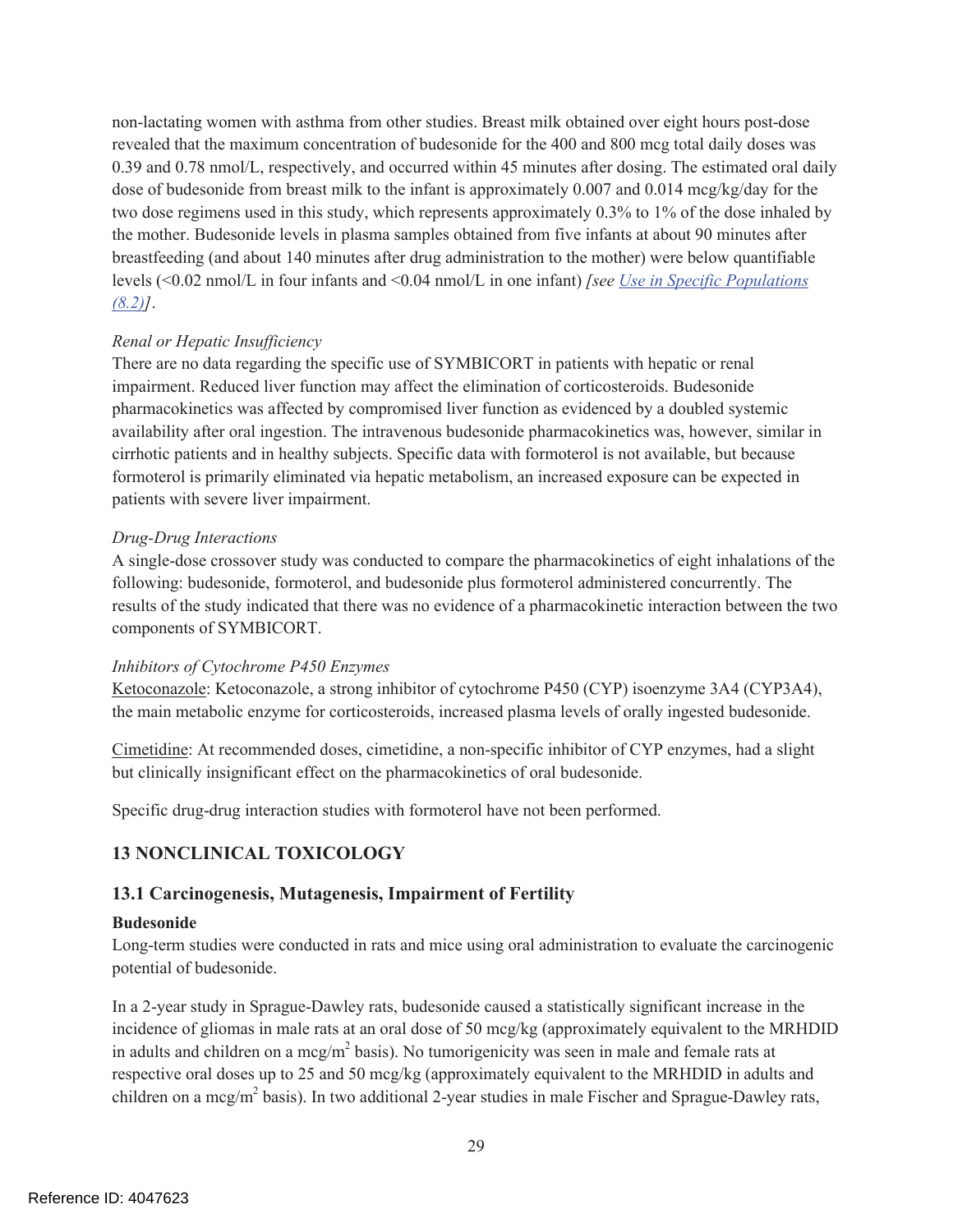non-lactating women with asthma from other studies. Breast milk obtained over eight hours post-dose revealed that the maximum concentration of budesonide for the 400 and 800 mcg total daily doses was 0.39 and 0.78 nmol/L, respectively, and occurred within 45 minutes after dosing. The estimated oral daily dose of budesonide from breast milk to the infant is approximately 0.007 and 0.014 mcg/kg/day for the two dose regimens used in this study, which represents approximately 0.3% to 1% of the dose inhaled by the mother. Budesonide levels in plasma samples obtained from five infants at about 90 minutes after breastfeeding (and about 140 minutes after drug administration to the mother) were below quantifiable levels (<0.02 nmol/L in four infants and <0.04 nmol/L in one infant) *[see Use in Specific Populations (8.2)]*.

### *Renal or Hepatic Insufficiency*

There are no data regarding the specific use of SYMBICORT in patients with hepatic or renal impairment. Reduced liver function may affect the elimination of corticosteroids. Budesonide pharmacokinetics was affected by compromised liver function as evidenced by a doubled systemic availability after oral ingestion. The intravenous budesonide pharmacokinetics was, however, similar in cirrhotic patients and in healthy subjects. Specific data with formoterol is not available, but because formoterol is primarily eliminated via hepatic metabolism, an increased exposure can be expected in patients with severe liver impairment.

### *Drug-Drug Interactions*

A single-dose crossover study was conducted to compare the pharmacokinetics of eight inhalations of the following: budesonide, formoterol, and budesonide plus formoterol administered concurrently. The results of the study indicated that there was no evidence of a pharmacokinetic interaction between the two components of SYMBICORT.

#### *Inhibitors of Cytochrome P450 Enzymes*

Ketoconazole: Ketoconazole, a strong inhibitor of cytochrome P450 (CYP) isoenzyme 3A4 (CYP3A4), the main metabolic enzyme for corticosteroids, increased plasma levels of orally ingested budesonide.

Cimetidine: At recommended doses, cimetidine, a non-specific inhibitor of CYP enzymes, had a slight but clinically insignificant effect on the pharmacokinetics of oral budesonide.

Specific drug-drug interaction studies with formoterol have not been performed.

# **13 NONCLINICAL TOXICOLOGY**

### **13.1 Carcinogenesis, Mutagenesis, Impairment of Fertility**

#### **Budesonide**

Long-term studies were conducted in rats and mice using oral administration to evaluate the carcinogenic potential of budesonide.

In a 2-year study in Sprague-Dawley rats, budesonide caused a statistically significant increase in the incidence of gliomas in male rats at an oral dose of 50 mcg/kg (approximately equivalent to the MRHDID in adults and children on a mcg/m<sup>2</sup> basis). No tumorigenicity was seen in male and female rats at respective oral doses up to 25 and 50 mcg/kg (approximately equivalent to the MRHDID in adults and children on a mcg/m<sup>2</sup> basis). In two additional 2-year studies in male Fischer and Sprague-Dawley rats,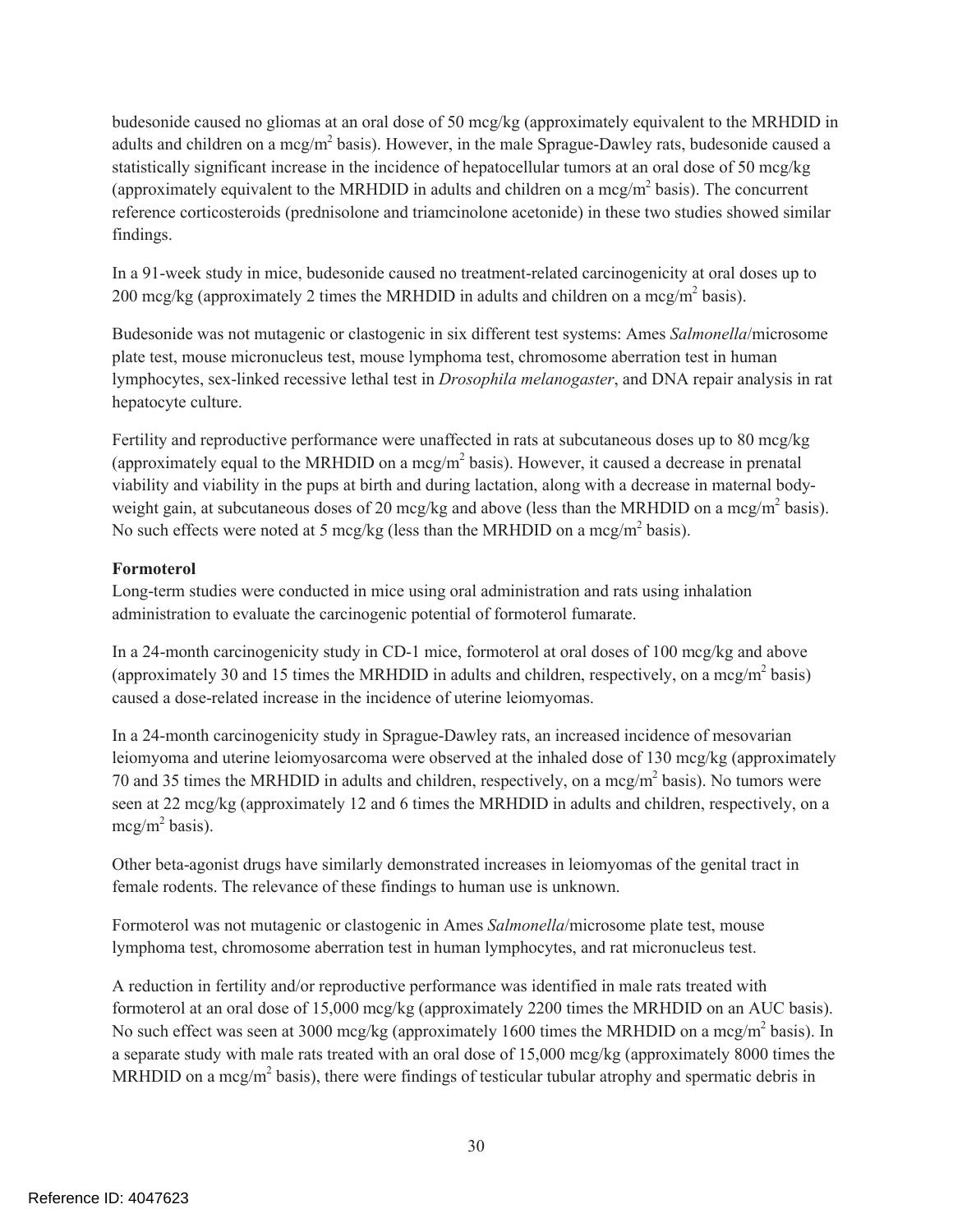budesonide caused no gliomas at an oral dose of 50 mcg/kg (approximately equivalent to the MRHDID in adults and children on a mcg/m<sup>2</sup> basis). However, in the male Sprague-Dawley rats, budesonide caused a statistically significant increase in the incidence of hepatocellular tumors at an oral dose of 50 mcg/kg (approximately equivalent to the MRHDID in adults and children on a mcg/ $m<sup>2</sup>$  basis). The concurrent reference corticosteroids (prednisolone and triamcinolone acetonide) in these two studies showed similar findings.

In a 91-week study in mice, budesonide caused no treatment-related carcinogenicity at oral doses up to 200 mcg/kg (approximately 2 times the MRHDID in adults and children on a mcg/m<sup>2</sup> basis).

Budesonide was not mutagenic or clastogenic in six different test systems: Ames *Salmonella*/microsome plate test, mouse micronucleus test, mouse lymphoma test, chromosome aberration test in human lymphocytes, sex-linked recessive lethal test in *Drosophila melanogaster*, and DNA repair analysis in rat hepatocyte culture.

Fertility and reproductive performance were unaffected in rats at subcutaneous doses up to 80 mcg/kg (approximately equal to the MRHDID on a mcg/ $m<sup>2</sup>$  basis). However, it caused a decrease in prenatal viability and viability in the pups at birth and during lactation, along with a decrease in maternal bodyweight gain, at subcutaneous doses of 20 mcg/kg and above (less than the MRHDID on a mcg/m<sup>2</sup> basis). No such effects were noted at 5 mcg/kg (less than the MRHDID on a mcg/m<sup>2</sup> basis).

#### **Formoterol**

Long-term studies were conducted in mice using oral administration and rats using inhalation administration to evaluate the carcinogenic potential of formoterol fumarate.

In a 24-month carcinogenicity study in CD-1 mice, formoterol at oral doses of 100 mcg/kg and above (approximately 30 and 15 times the MRHDID in adults and children, respectively, on a mcg/m<sup>2</sup> basis) caused a dose-related increase in the incidence of uterine leiomyomas.

In a 24-month carcinogenicity study in Sprague-Dawley rats, an increased incidence of mesovarian leiomyoma and uterine leiomyosarcoma were observed at the inhaled dose of 130 mcg/kg (approximately 70 and 35 times the MRHDID in adults and children, respectively, on a mcg/m<sup>2</sup> basis). No tumors were seen at 22 mcg/kg (approximately 12 and 6 times the MRHDID in adults and children, respectively, on a mcg/m<sup>2</sup> basis).

Other beta-agonist drugs have similarly demonstrated increases in leiomyomas of the genital tract in female rodents. The relevance of these findings to human use is unknown.

Formoterol was not mutagenic or clastogenic in Ames *Salmonella*/microsome plate test, mouse lymphoma test, chromosome aberration test in human lymphocytes, and rat micronucleus test.

A reduction in fertility and/or reproductive performance was identified in male rats treated with formoterol at an oral dose of 15,000 mcg/kg (approximately 2200 times the MRHDID on an AUC basis). No such effect was seen at 3000 mcg/kg (approximately 1600 times the MRHDID on a mcg/m<sup>2</sup> basis). In a separate study with male rats treated with an oral dose of 15,000 mcg/kg (approximately 8000 times the MRHDID on a mcg/m<sup>2</sup> basis), there were findings of testicular tubular atrophy and spermatic debris in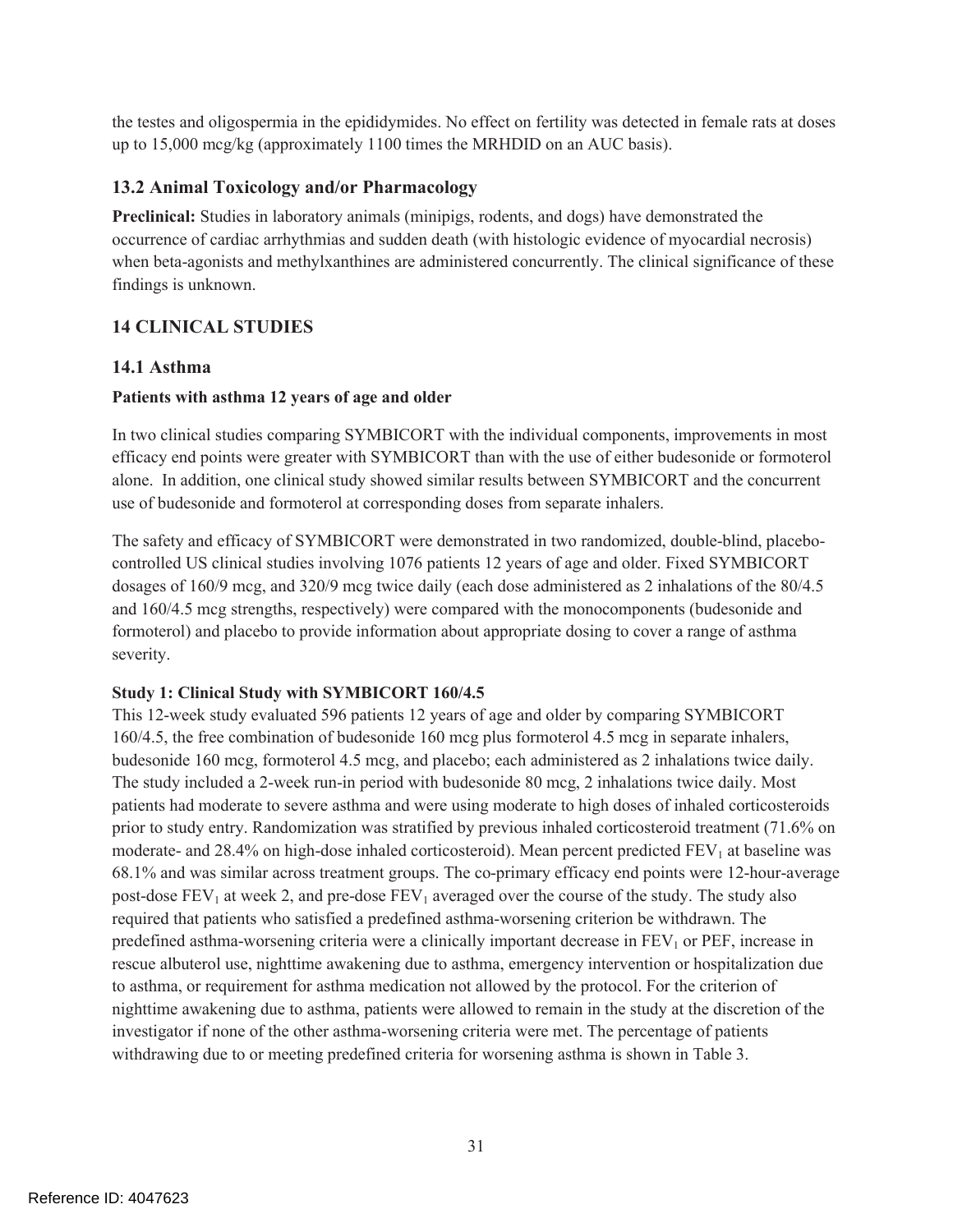the testes and oligospermia in the epididymides. No effect on fertility was detected in female rats at doses up to 15,000 mcg/kg (approximately 1100 times the MRHDID on an AUC basis).

### **13.2 Animal Toxicology and/or Pharmacology**

**Preclinical:** Studies in laboratory animals (minipigs, rodents, and dogs) have demonstrated the occurrence of cardiac arrhythmias and sudden death (with histologic evidence of myocardial necrosis) when beta-agonists and methylxanthines are administered concurrently. The clinical significance of these findings is unknown.

### **14 CLINICAL STUDIES**

### **14.1 Asthma**

### **Patients with asthma 12 years of age and older**

In two clinical studies comparing SYMBICORT with the individual components, improvements in most efficacy end points were greater with SYMBICORT than with the use of either budesonide or formoterol alone. In addition, one clinical study showed similar results between SYMBICORT and the concurrent use of budesonide and formoterol at corresponding doses from separate inhalers.

The safety and efficacy of SYMBICORT were demonstrated in two randomized, double-blind, placebocontrolled US clinical studies involving 1076 patients 12 years of age and older. Fixed SYMBICORT dosages of 160/9 mcg, and 320/9 mcg twice daily (each dose administered as 2 inhalations of the 80/4.5 and 160/4.5 mcg strengths, respectively) were compared with the monocomponents (budesonide and formoterol) and placebo to provide information about appropriate dosing to cover a range of asthma severity.

### **Study 1: Clinical Study with SYMBICORT 160/4.5**

This 12-week study evaluated 596 patients 12 years of age and older by comparing SYMBICORT 160/4.5, the free combination of budesonide 160 mcg plus formoterol 4.5 mcg in separate inhalers, budesonide 160 mcg, formoterol 4.5 mcg, and placebo; each administered as 2 inhalations twice daily. The study included a 2-week run-in period with budesonide 80 mcg, 2 inhalations twice daily. Most patients had moderate to severe asthma and were using moderate to high doses of inhaled corticosteroids prior to study entry. Randomization was stratified by previous inhaled corticosteroid treatment (71.6% on moderate- and 28.4% on high-dose inhaled corticosteroid). Mean percent predicted  $FEV<sub>1</sub>$  at baseline was 68.1% and was similar across treatment groups. The co-primary efficacy end points were 12-hour-average post-dose  $FEV_1$  at week 2, and pre-dose  $FEV_1$  averaged over the course of the study. The study also required that patients who satisfied a predefined asthma-worsening criterion be withdrawn. The predefined asthma-worsening criteria were a clinically important decrease in  $FEV<sub>1</sub>$  or  $PEF$ , increase in rescue albuterol use, nighttime awakening due to asthma, emergency intervention or hospitalization due to asthma, or requirement for asthma medication not allowed by the protocol. For the criterion of nighttime awakening due to asthma, patients were allowed to remain in the study at the discretion of the investigator if none of the other asthma-worsening criteria were met. The percentage of patients withdrawing due to or meeting predefined criteria for worsening asthma is shown in Table 3.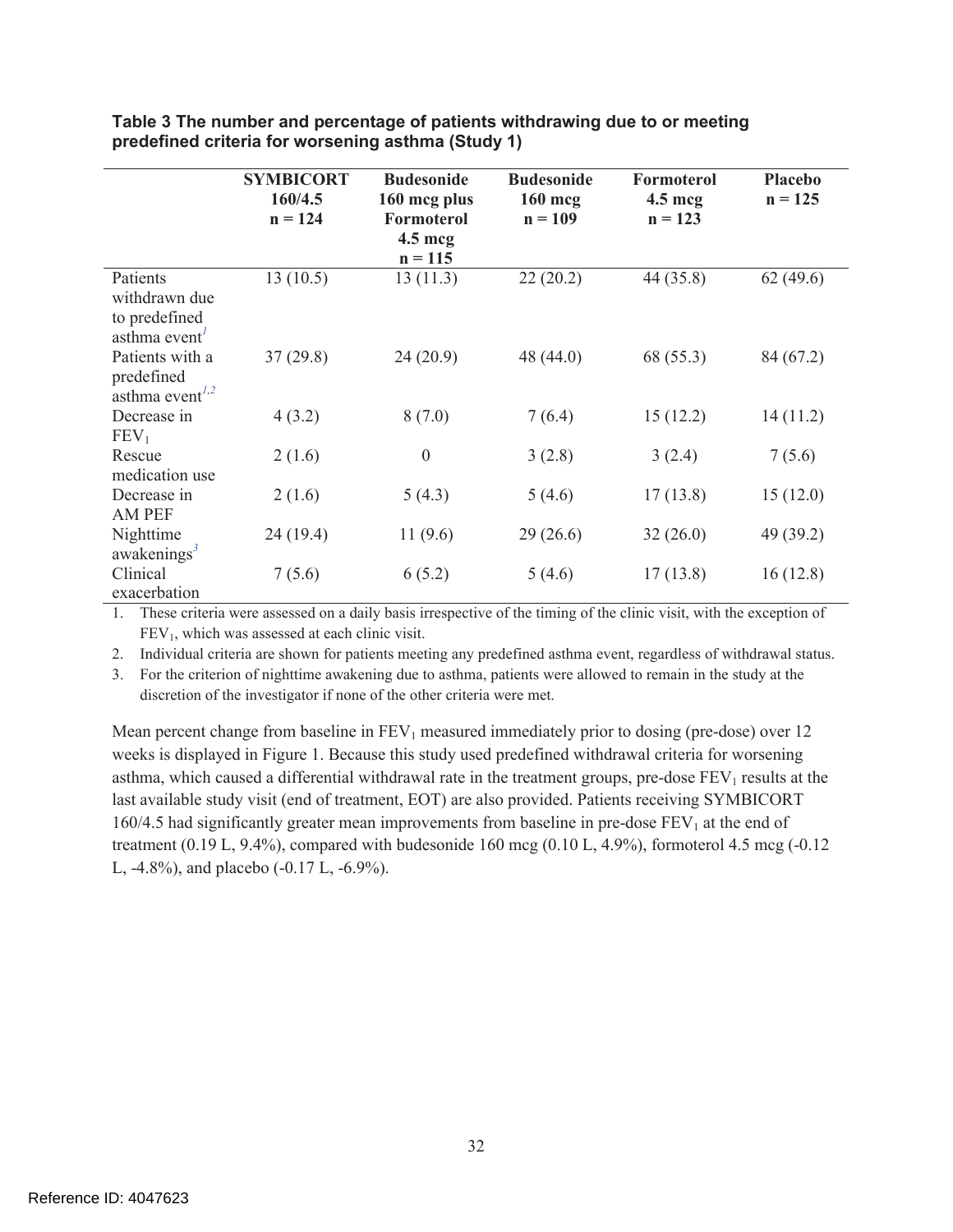|                                                                           | <b>SYMBICORT</b><br>160/4.5<br>$n = 124$ | <b>Budesonide</b><br>160 mcg plus<br>Formoterol<br>$4.5 \text{~mag}$<br>$n = 115$ | <b>Budesonide</b><br>160 mcg<br>$n = 109$ | <b>Formoterol</b><br>$4.5 \text{~mcg}$<br>$n = 123$ | <b>Placebo</b><br>$n = 125$ |
|---------------------------------------------------------------------------|------------------------------------------|-----------------------------------------------------------------------------------|-------------------------------------------|-----------------------------------------------------|-----------------------------|
| Patients<br>withdrawn due<br>to predefined<br>asthma event <sup>1</sup>   | 13(10.5)                                 | 13(11.3)                                                                          | 22(20.2)                                  | 44 (35.8)                                           | 62(49.6)                    |
| Patients with a<br>predefined<br>asthma event <sup><math>1,2</math></sup> | 37(29.8)                                 | 24(20.9)                                                                          | 48 (44.0)                                 | 68 (55.3)                                           | 84 (67.2)                   |
| Decrease in<br>FEV <sub>1</sub>                                           | 4(3.2)                                   | 8(7.0)                                                                            | 7(6.4)                                    | 15(12.2)                                            | 14(11.2)                    |
| Rescue<br>medication use                                                  | 2(1.6)                                   | $\mathbf{0}$                                                                      | 3(2.8)                                    | 3(2.4)                                              | 7(5.6)                      |
| Decrease in<br><b>AM PEF</b>                                              | 2(1.6)                                   | 5(4.3)                                                                            | 5(4.6)                                    | 17(13.8)                                            | 15(12.0)                    |
| Nighttime<br>awakenings <sup>3</sup>                                      | 24(19.4)                                 | 11(9.6)                                                                           | 29(26.6)                                  | 32(26.0)                                            | 49 (39.2)                   |
| Clinical<br>exacerbation                                                  | 7(5.6)                                   | 6(5.2)                                                                            | 5(4.6)                                    | 17(13.8)                                            | 16(12.8)                    |

**Table 3 The number and percentage of patients withdrawing due to or meeting predefined criteria for worsening asthma (Study 1)** 

1. These criteria were assessed on a daily basis irrespective of the timing of the clinic visit, with the exception of  $FEV<sub>1</sub>$ , which was assessed at each clinic visit.

2. Individual criteria are shown for patients meeting any predefined asthma event, regardless of withdrawal status.

3. For the criterion of nighttime awakening due to asthma, patients were allowed to remain in the study at the discretion of the investigator if none of the other criteria were met.

Mean percent change from baseline in  $FEV<sub>1</sub>$  measured immediately prior to dosing (pre-dose) over 12 weeks is displayed in Figure 1. Because this study used predefined withdrawal criteria for worsening asthma, which caused a differential withdrawal rate in the treatment groups, pre-dose  $FEV<sub>1</sub>$  results at the last available study visit (end of treatment, EOT) are also provided. Patients receiving SYMBICORT 160/4.5 had significantly greater mean improvements from baseline in pre-dose  $FEV<sub>1</sub>$  at the end of treatment  $(0.19 \text{ L}, 9.4\%)$ , compared with budesonide 160 mcg  $(0.10 \text{ L}, 4.9\%)$ , formoterol 4.5 mcg  $(-0.12 \text{ L})$ L, -4.8%), and placebo (-0.17 L, -6.9%).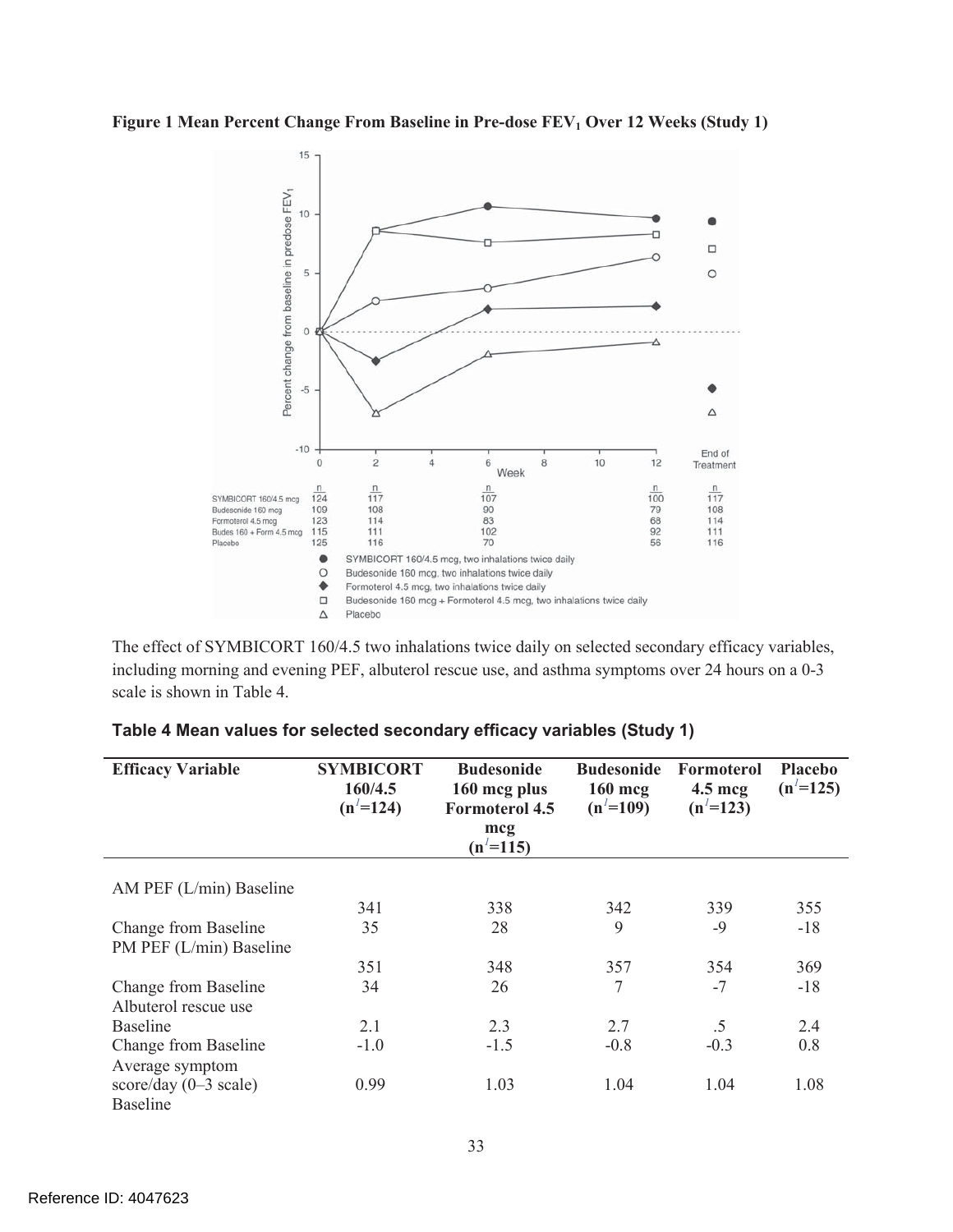Figure 1 Mean Percent Change From Baseline in Pre-dose FEV<sub>1</sub> Over 12 Weeks (Study 1)



The effect of SYMBICORT 160/4.5 two inhalations twice daily on selected secondary efficacy variables, including morning and evening PEF, albuterol rescue use, and asthma symptoms over 24 hours on a 0-3 scale is shown in Table 4.

| <b>Efficacy Variable</b>        | <b>SYMBICORT</b><br>160/4.5<br>$(n^2=124)$ | <b>Budesonide</b><br>160 mcg plus<br><b>Formoterol 4.5</b><br>mcq<br>$(n^2=115)$ | <b>Budesonide</b><br>$160$ mcg<br>$(n' = 109)$ | Formoterol<br>$4.5 \text{~mag}$<br>$(n^2=123)$ | <b>Placebo</b><br>$(n^2=125)$ |
|---------------------------------|--------------------------------------------|----------------------------------------------------------------------------------|------------------------------------------------|------------------------------------------------|-------------------------------|
| AM PEF $(L/min)$ Baseline       |                                            |                                                                                  |                                                |                                                |                               |
|                                 |                                            |                                                                                  |                                                |                                                |                               |
|                                 | 341                                        | 338                                                                              | 342                                            | 339                                            | 355                           |
| Change from Baseline            | 35                                         | 28                                                                               | 9                                              | $-9$                                           | $-18$                         |
| PM PEF (L/min) Baseline         |                                            |                                                                                  |                                                |                                                |                               |
|                                 | 351                                        | 348                                                                              | 357                                            | 354                                            | 369                           |
| Change from Baseline            | 34                                         | 26                                                                               | 7                                              | $-7$                                           | $-18$                         |
| Albuterol rescue use            |                                            |                                                                                  |                                                |                                                |                               |
| <b>Baseline</b>                 | 2.1                                        | 2.3                                                                              | 2.7                                            | .5                                             | 2.4                           |
| Change from Baseline            | $-1.0$                                     | $-1.5$                                                                           | $-0.8$                                         | $-0.3$                                         | 0.8                           |
| Average symptom                 |                                            |                                                                                  |                                                |                                                |                               |
| score/day $(0-3 \text{ scale})$ | 0.99                                       | 1.03                                                                             | 1.04                                           | 1.04                                           | 1.08                          |
| <b>Baseline</b>                 |                                            |                                                                                  |                                                |                                                |                               |

# **Table 4 Mean values for selected secondary efficacy variables (Study 1)**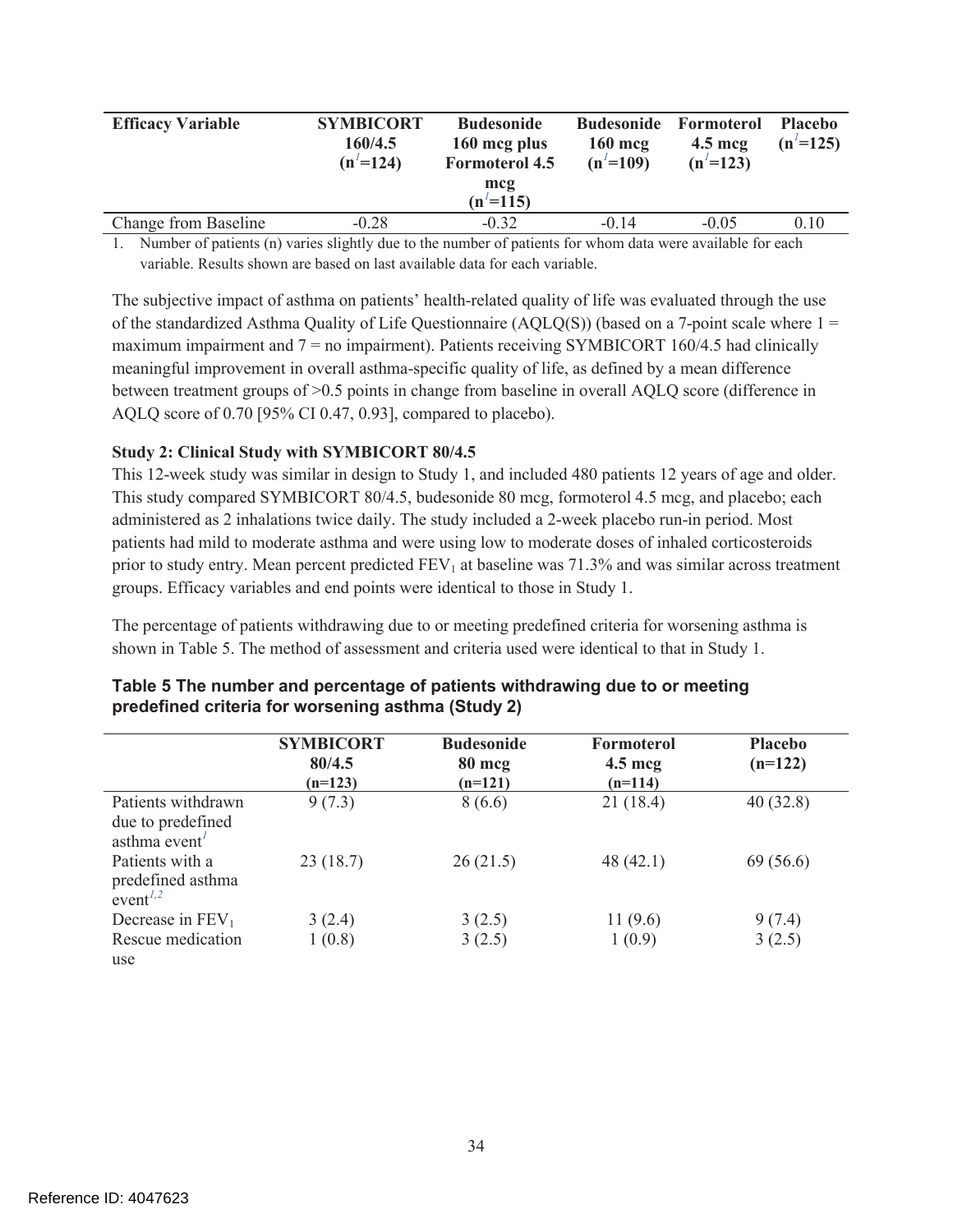| <b>Efficacy Variable</b> | <b>SYMBICORT</b><br>160/4.5<br>$(n' = 124)$ | <b>Budesonide</b><br>160 mcg plus<br><b>Formoterol 4.5</b><br>mcg<br>$(n' = 115)$ | <b>Budesonide</b><br>$160 \text{ mc}$<br>$(n' = 109)$ | Formoterol<br>$4.5 \text{~mcg}$<br>$(n' = 123)$ | <b>Placebo</b><br>$(n' = 125)$ |
|--------------------------|---------------------------------------------|-----------------------------------------------------------------------------------|-------------------------------------------------------|-------------------------------------------------|--------------------------------|
|                          |                                             |                                                                                   |                                                       |                                                 |                                |
| Change from Baseline     | $-0.28$                                     | $-0.32$                                                                           | $-0.14$                                               | $-0.05$                                         | 010                            |

1. Number of patients (n) varies slightly due to the number of patients for whom data were available for each variable. Results shown are based on last available data for each variable.

The subjective impact of asthma on patients' health-related quality of life was evaluated through the use of the standardized Asthma Quality of Life Questionnaire  $(AQLO(S))$  (based on a 7-point scale where  $1 =$ maximum impairment and 7 = no impairment). Patients receiving SYMBICORT 160/4.5 had clinically meaningful improvement in overall asthma-specific quality of life, as defined by a mean difference between treatment groups of >0.5 points in change from baseline in overall AQLQ score (difference in AQLQ score of 0.70 [95% CI 0.47, 0.93], compared to placebo).

#### **Study 2: Clinical Study with SYMBICORT 80/4.5**

This 12-week study was similar in design to Study 1, and included 480 patients 12 years of age and older. This study compared SYMBICORT 80/4.5, budesonide 80 mcg, formoterol 4.5 mcg, and placebo; each administered as 2 inhalations twice daily. The study included a 2-week placebo run-in period. Most patients had mild to moderate asthma and were using low to moderate doses of inhaled corticosteroids prior to study entry. Mean percent predicted  $FEV<sub>1</sub>$  at baseline was 71.3% and was similar across treatment groups. Efficacy variables and end points were identical to those in Study 1.

The percentage of patients withdrawing due to or meeting predefined criteria for worsening asthma is shown in Table 5. The method of assessment and criteria used were identical to that in Study 1.

|                                                                           | <b>SYMBICORT</b><br>80/4.5<br>$(n=123)$ | <b>Budesonide</b><br>80 mcg<br>$(n=121)$ | Formoterol<br>$4.5 \text{~mag}$<br>$(n=114)$ | <b>Placebo</b><br>$(n=122)$ |
|---------------------------------------------------------------------------|-----------------------------------------|------------------------------------------|----------------------------------------------|-----------------------------|
| Patients withdrawn<br>due to predefined<br>asthma event <sup>1</sup>      | 9(7.3)                                  | 8(6.6)                                   | 21(18.4)                                     | 40(32.8)                    |
| Patients with a<br>predefined asthma<br>event <sup><math>1,2</math></sup> | 23(18.7)                                | 26(21.5)                                 | 48 (42.1)                                    | 69 (56.6)                   |
| Decrease in $FEV1$                                                        | 3(2.4)                                  | 3(2.5)                                   | 11(9.6)                                      | 9(7.4)                      |
| Rescue medication<br>use                                                  | 1(0.8)                                  | 3(2.5)                                   | 1(0.9)                                       | 3(2.5)                      |

#### **Table 5 The number and percentage of patients withdrawing due to or meeting predefined criteria for worsening asthma (Study 2)**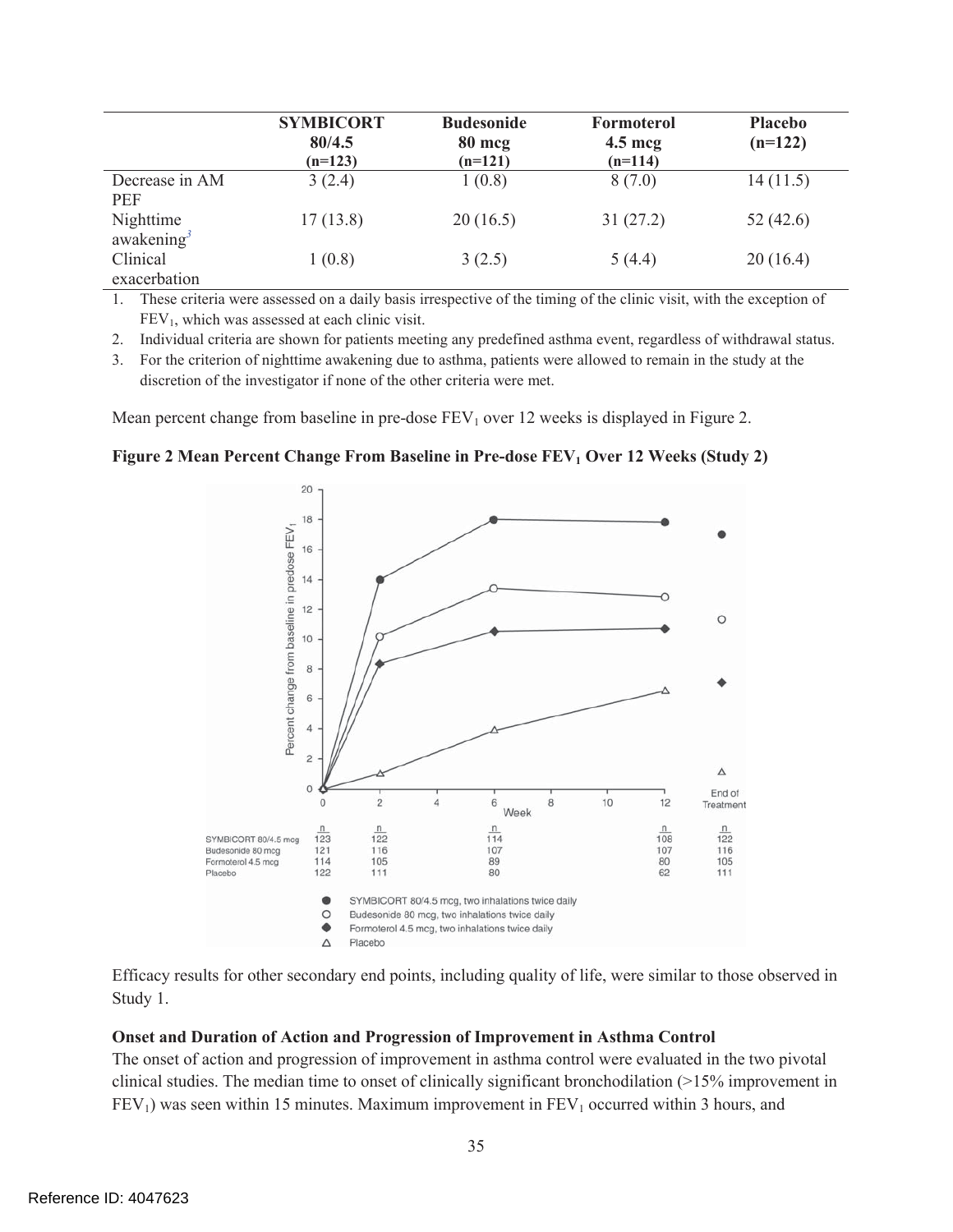|                              | <b>SYMBICORT</b><br>80/4.5<br>$(n=123)$ | <b>Budesonide</b><br>80 mcg<br>$(n=121)$ | Formoterol<br>$4.5 \text{~mag}$<br>$(n=114)$ | <b>Placebo</b><br>$(n=122)$ |
|------------------------------|-----------------------------------------|------------------------------------------|----------------------------------------------|-----------------------------|
| Decrease in AM<br><b>PEF</b> | 3(2.4)                                  | 1(0.8)                                   | 8(7.0)                                       | 14(11.5)                    |
| Nighttime<br>awakening $3$   | 17(13.8)                                | 20(16.5)                                 | 31(27.2)                                     | 52(42.6)                    |
| Clinical<br>exacerbation     | 1(0.8)                                  | 3(2.5)                                   | 5(4.4)                                       | 20(16.4)                    |

1. These criteria were assessed on a daily basis irrespective of the timing of the clinic visit, with the exception of  $FEV<sub>1</sub>$ , which was assessed at each clinic visit.

2. Individual criteria are shown for patients meeting any predefined asthma event, regardless of withdrawal status.

3. For the criterion of nighttime awakening due to asthma, patients were allowed to remain in the study at the discretion of the investigator if none of the other criteria were met.

Mean percent change from baseline in pre-dose  $FEV<sub>1</sub>$  over 12 weeks is displayed in Figure 2.

**Figure 2 Mean Percent Change From Baseline in Pre-dose FEV<sub>1</sub> Over 12 Weeks (Study 2)** 



Efficacy results for other secondary end points, including quality of life, were similar to those observed in Study 1.

#### **Onset and Duration of Action and Progression of Improvement in Asthma Control**

The onset of action and progression of improvement in asthma control were evaluated in the two pivotal clinical studies. The median time to onset of clinically significant bronchodilation (>15% improvement in  $FEV<sub>1</sub>$ ) was seen within 15 minutes. Maximum improvement in  $FEV<sub>1</sub>$  occurred within 3 hours, and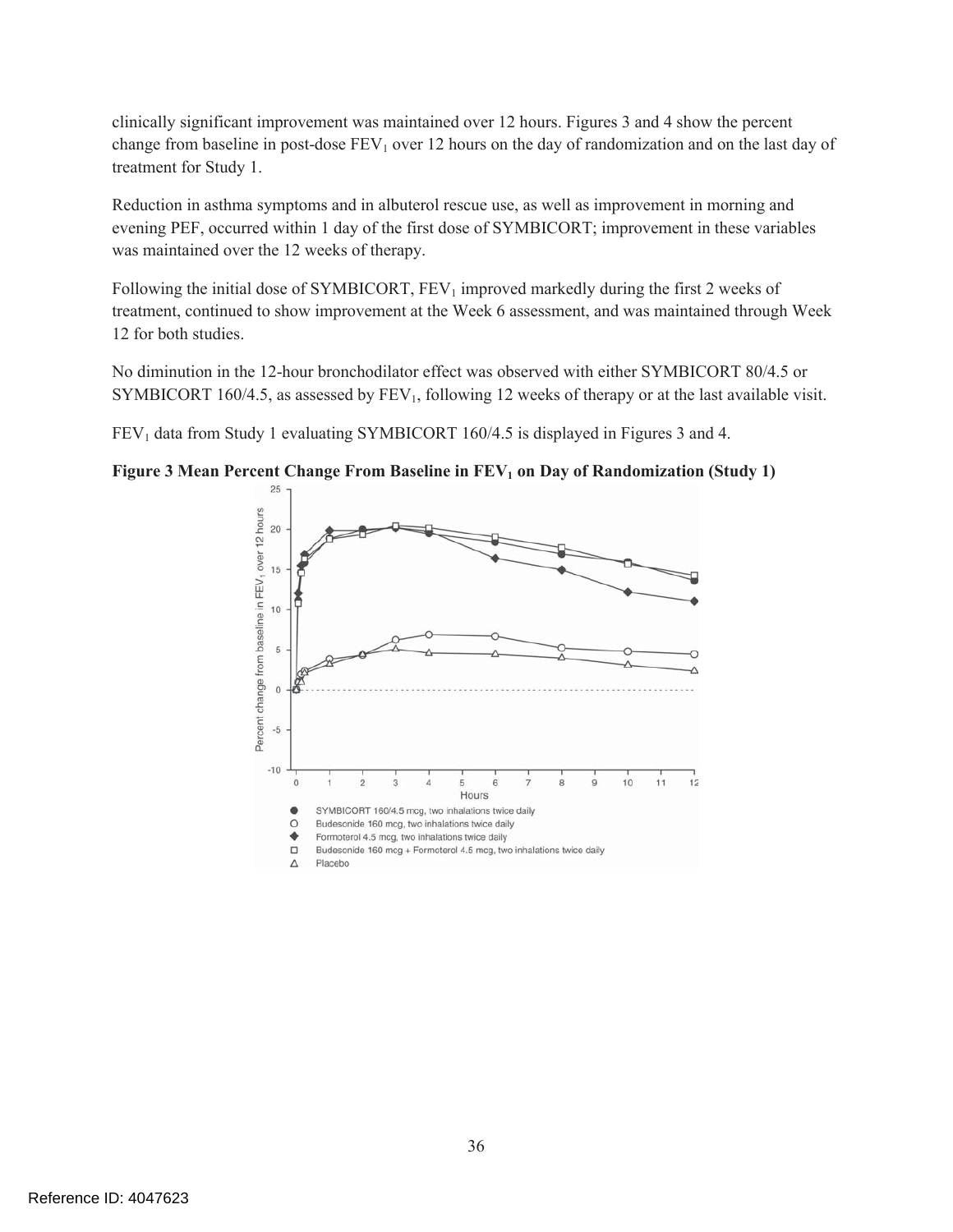clinically significant improvement was maintained over 12 hours. Figures 3 and 4 show the percent change from baseline in post-dose  $FEV<sub>1</sub>$  over 12 hours on the day of randomization and on the last day of treatment for Study 1.

Reduction in asthma symptoms and in albuterol rescue use, as well as improvement in morning and evening PEF, occurred within 1 day of the first dose of SYMBICORT; improvement in these variables was maintained over the 12 weeks of therapy.

Following the initial dose of SYMBICORT,  $FEV<sub>1</sub>$  improved markedly during the first 2 weeks of treatment, continued to show improvement at the Week 6 assessment, and was maintained through Week 12 for both studies.

No diminution in the 12-hour bronchodilator effect was observed with either SYMBICORT 80/4.5 or SYMBICORT 160/4.5, as assessed by  $FEV_1$ , following 12 weeks of therapy or at the last available visit.

FEV<sub>1</sub> data from Study 1 evaluating SYMBICORT 160/4.5 is displayed in Figures 3 and 4.

**Figure 3 Mean Percent Change From Baseline in FEV<sub>1</sub> on Day of Randomization (Study 1)** 

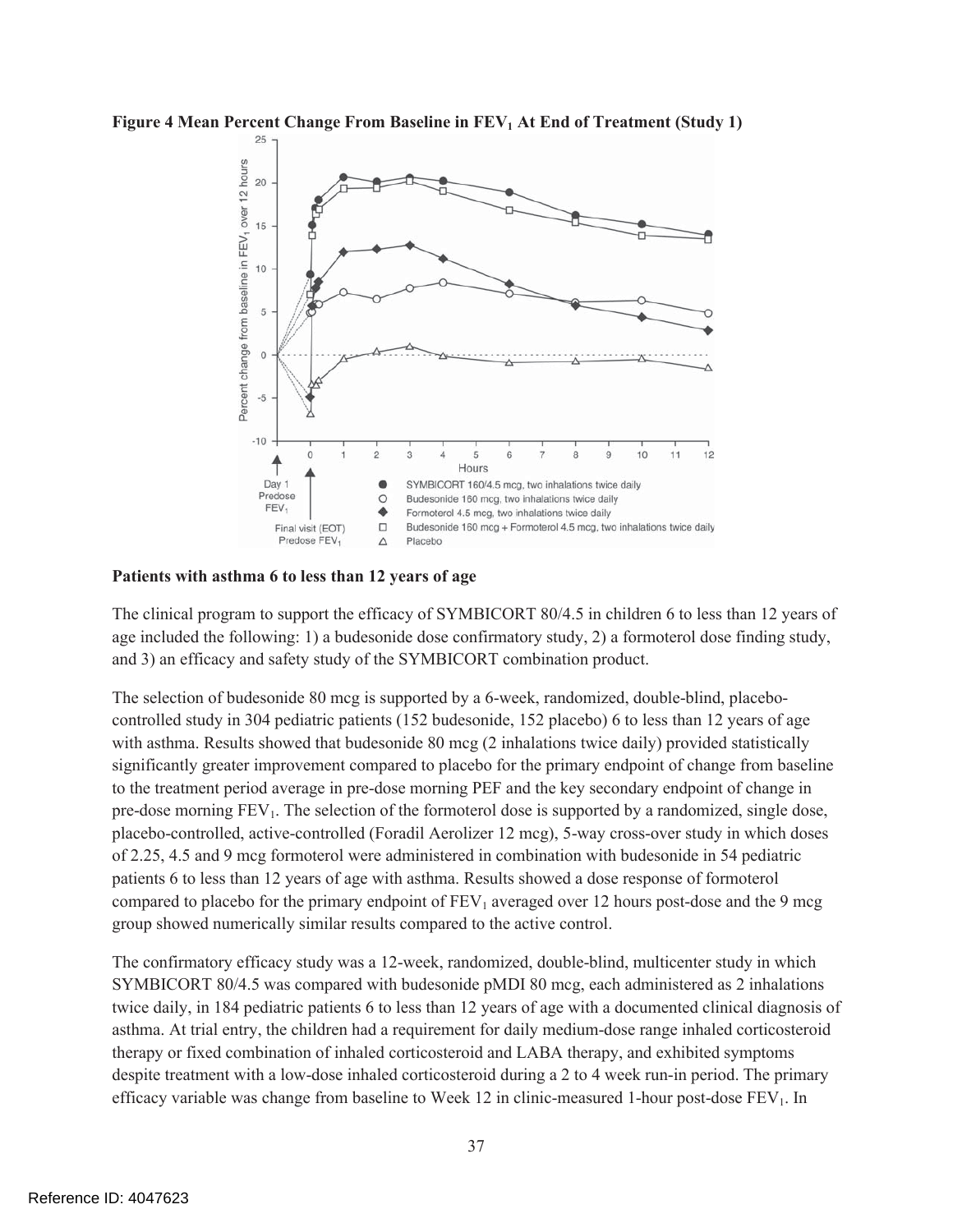



**Patients with asthma 6 to less than 12 years of age** 

The clinical program to support the efficacy of SYMBICORT 80/4.5 in children 6 to less than 12 years of age included the following: 1) a budesonide dose confirmatory study, 2) a formoterol dose finding study, and 3) an efficacy and safety study of the SYMBICORT combination product.

The selection of budesonide 80 mcg is supported by a 6-week, randomized, double-blind, placebocontrolled study in 304 pediatric patients (152 budesonide, 152 placebo) 6 to less than 12 years of age with asthma. Results showed that budesonide 80 mcg (2 inhalations twice daily) provided statistically significantly greater improvement compared to placebo for the primary endpoint of change from baseline to the treatment period average in pre-dose morning PEF and the key secondary endpoint of change in pre-dose morning  $FEV_1$ . The selection of the formoterol dose is supported by a randomized, single dose, placebo-controlled, active-controlled (Foradil Aerolizer 12 mcg), 5-way cross-over study in which doses of 2.25, 4.5 and 9 mcg formoterol were administered in combination with budesonide in 54 pediatric patients 6 to less than 12 years of age with asthma. Results showed a dose response of formoterol compared to placebo for the primary endpoint of  $FEV_1$  averaged over 12 hours post-dose and the 9 mcg group showed numerically similar results compared to the active control.

The confirmatory efficacy study was a 12-week, randomized, double-blind, multicenter study in which SYMBICORT 80/4.5 was compared with budesonide pMDI 80 mcg, each administered as 2 inhalations twice daily, in 184 pediatric patients 6 to less than 12 years of age with a documented clinical diagnosis of asthma. At trial entry, the children had a requirement for daily medium-dose range inhaled corticosteroid therapy or fixed combination of inhaled corticosteroid and LABA therapy, and exhibited symptoms despite treatment with a low-dose inhaled corticosteroid during a 2 to 4 week run-in period. The primary efficacy variable was change from baseline to Week 12 in clinic-measured 1-hour post-dose  $FEV<sub>1</sub>$ . In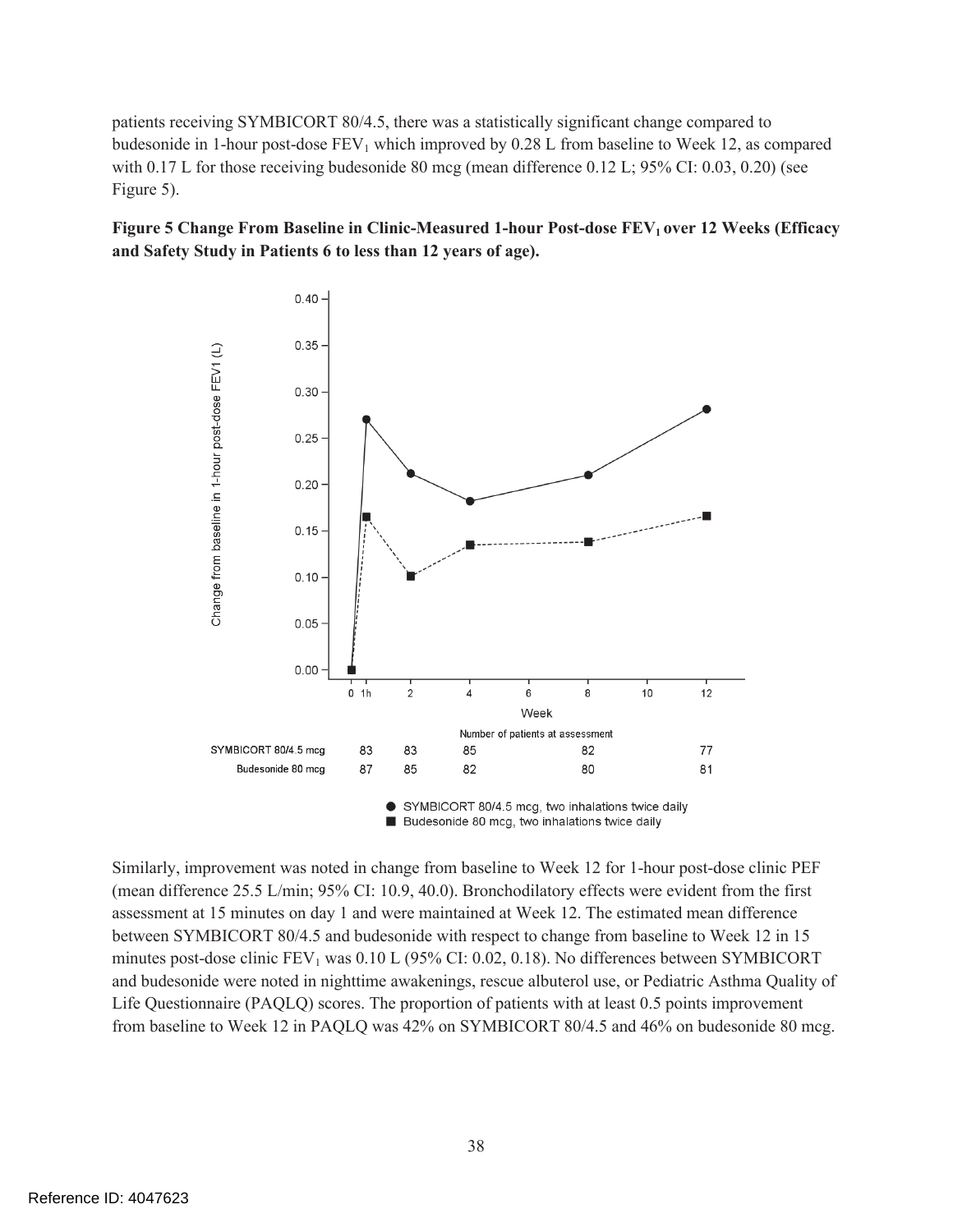patients receiving SYMBICORT 80/4.5, there was a statistically significant change compared to budesonide in 1-hour post-dose  $FEV_1$  which improved by 0.28 L from baseline to Week 12, as compared with 0.17 L for those receiving budesonide 80 mcg (mean difference 0.12 L; 95% CI: 0.03, 0.20) (see Figure 5).





п Budesonide 80 mcg, two inhalations twice daily

Similarly, improvement was noted in change from baseline to Week 12 for 1-hour post-dose clinic PEF (mean difference 25.5 L/min; 95% CI: 10.9, 40.0). Bronchodilatory effects were evident from the first assessment at 15 minutes on day 1 and were maintained at Week 12. The estimated mean difference between SYMBICORT 80/4.5 and budesonide with respect to change from baseline to Week 12 in 15 minutes post-dose clinic  $FEV_1$  was  $0.10$  L (95% CI: 0.02, 0.18). No differences between SYMBICORT and budesonide were noted in nighttime awakenings, rescue albuterol use, or Pediatric Asthma Quality of Life Questionnaire (PAQLQ) scores. The proportion of patients with at least 0.5 points improvement from baseline to Week 12 in PAQLQ was 42% on SYMBICORT 80/4.5 and 46% on budesonide 80 mcg.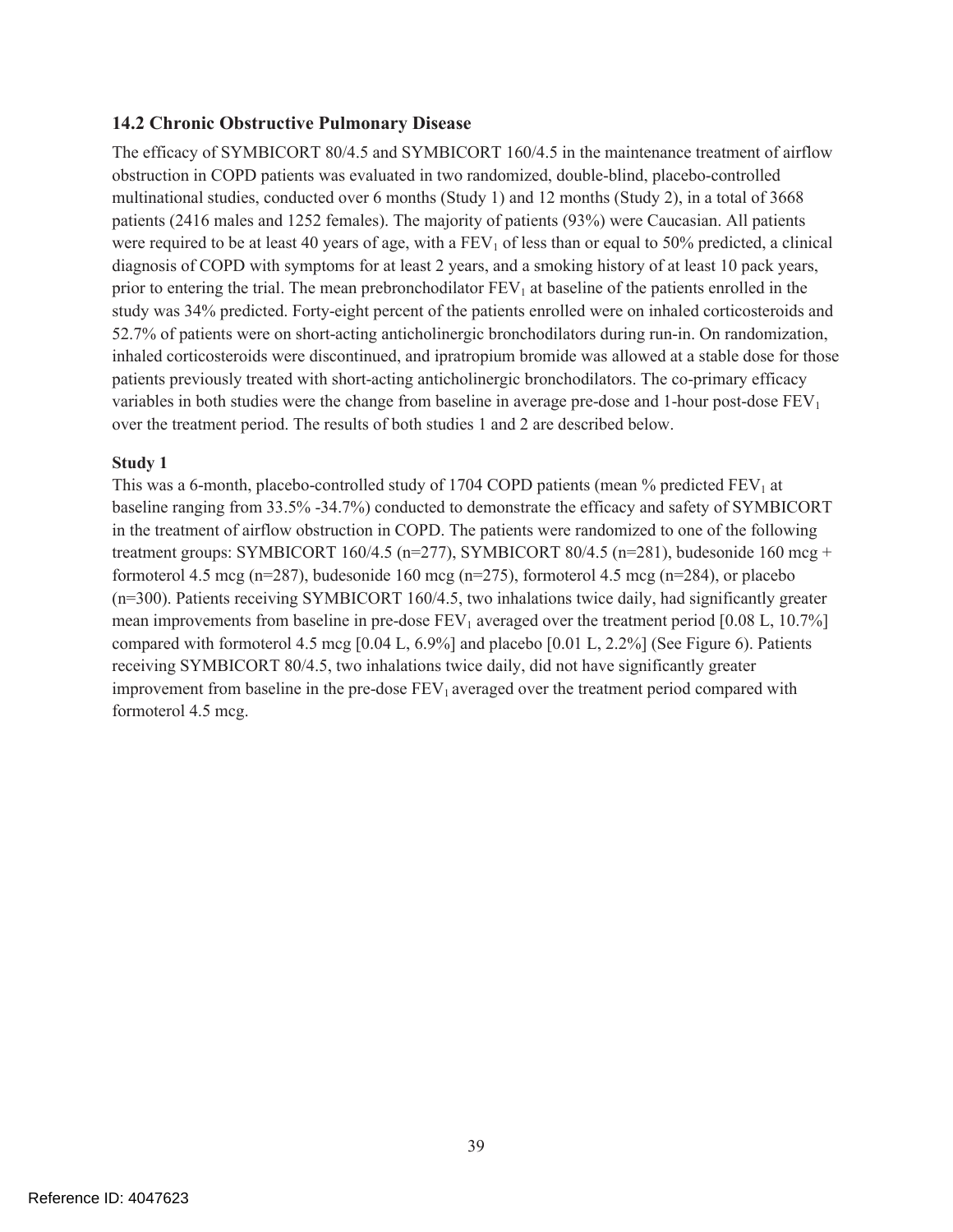### **14.2 Chronic Obstructive Pulmonary Disease**

The efficacy of SYMBICORT 80/4.5 and SYMBICORT 160/4.5 in the maintenance treatment of airflow obstruction in COPD patients was evaluated in two randomized, double-blind, placebo-controlled multinational studies, conducted over 6 months (Study 1) and 12 months (Study 2), in a total of 3668 patients (2416 males and 1252 females). The majority of patients (93%) were Caucasian. All patients were required to be at least 40 years of age, with a  $FEV<sub>1</sub>$  of less than or equal to 50% predicted, a clinical diagnosis of COPD with symptoms for at least 2 years, and a smoking history of at least 10 pack years, prior to entering the trial. The mean prebronchodilator  $FEV<sub>1</sub>$  at baseline of the patients enrolled in the study was 34% predicted. Forty-eight percent of the patients enrolled were on inhaled corticosteroids and 52.7% of patients were on short-acting anticholinergic bronchodilators during run-in. On randomization, inhaled corticosteroids were discontinued, and ipratropium bromide was allowed at a stable dose for those patients previously treated with short-acting anticholinergic bronchodilators. The co-primary efficacy variables in both studies were the change from baseline in average pre-dose and 1-hour post-dose  $FEV<sub>1</sub>$ over the treatment period. The results of both studies 1 and 2 are described below.

#### **Study 1**

This was a 6-month, placebo-controlled study of 1704 COPD patients (mean  $\%$  predicted FEV<sub>1</sub> at baseline ranging from 33.5% -34.7%) conducted to demonstrate the efficacy and safety of SYMBICORT in the treatment of airflow obstruction in COPD. The patients were randomized to one of the following treatment groups: SYMBICORT 160/4.5 (n=277), SYMBICORT 80/4.5 (n=281), budesonide 160 mcg + formoterol 4.5 mcg (n=287), budesonide 160 mcg (n=275), formoterol 4.5 mcg (n=284), or placebo (n=300). Patients receiving SYMBICORT 160/4.5, two inhalations twice daily, had significantly greater mean improvements from baseline in pre-dose  $FEV_1$  averaged over the treatment period [0.08 L, 10.7%] compared with formoterol 4.5 mcg [0.04 L, 6.9%] and placebo [0.01 L, 2.2%] (See Figure 6). Patients receiving SYMBICORT 80/4.5, two inhalations twice daily, did not have significantly greater improvement from baseline in the pre-dose  $FEV<sub>1</sub>$  averaged over the treatment period compared with formoterol 4.5 mcg.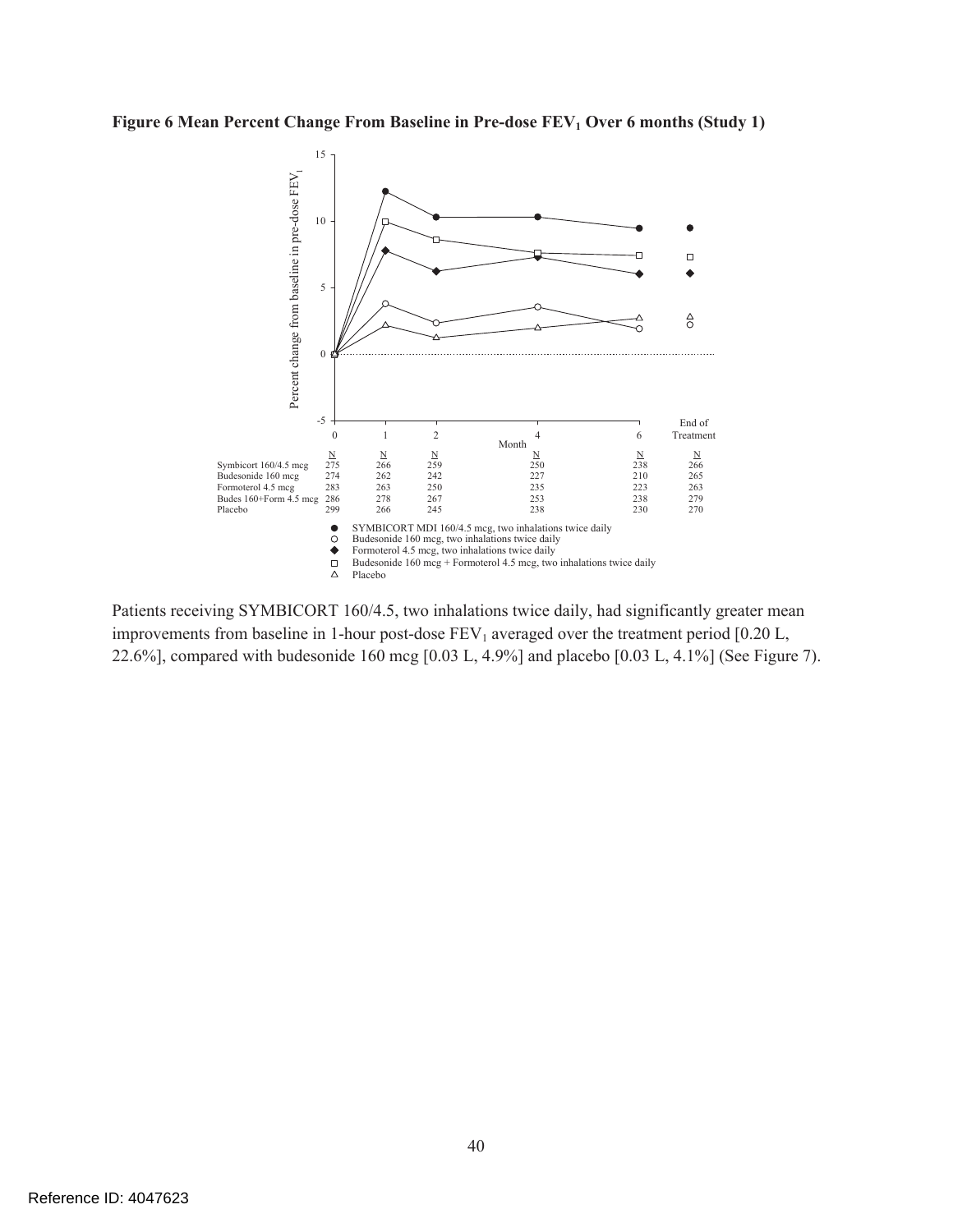### Figure 6 Mean Percent Change From Baseline in Pre-dose FEV<sub>1</sub> Over 6 months (Study 1)



Patients receiving SYMBICORT 160/4.5, two inhalations twice daily, had significantly greater mean improvements from baseline in 1-hour post-dose  $FEV_1$  averaged over the treatment period [0.20 L, 22.6%], compared with budesonide 160 mcg [0.03 L, 4.9%] and placebo [0.03 L, 4.1%] (See Figure 7).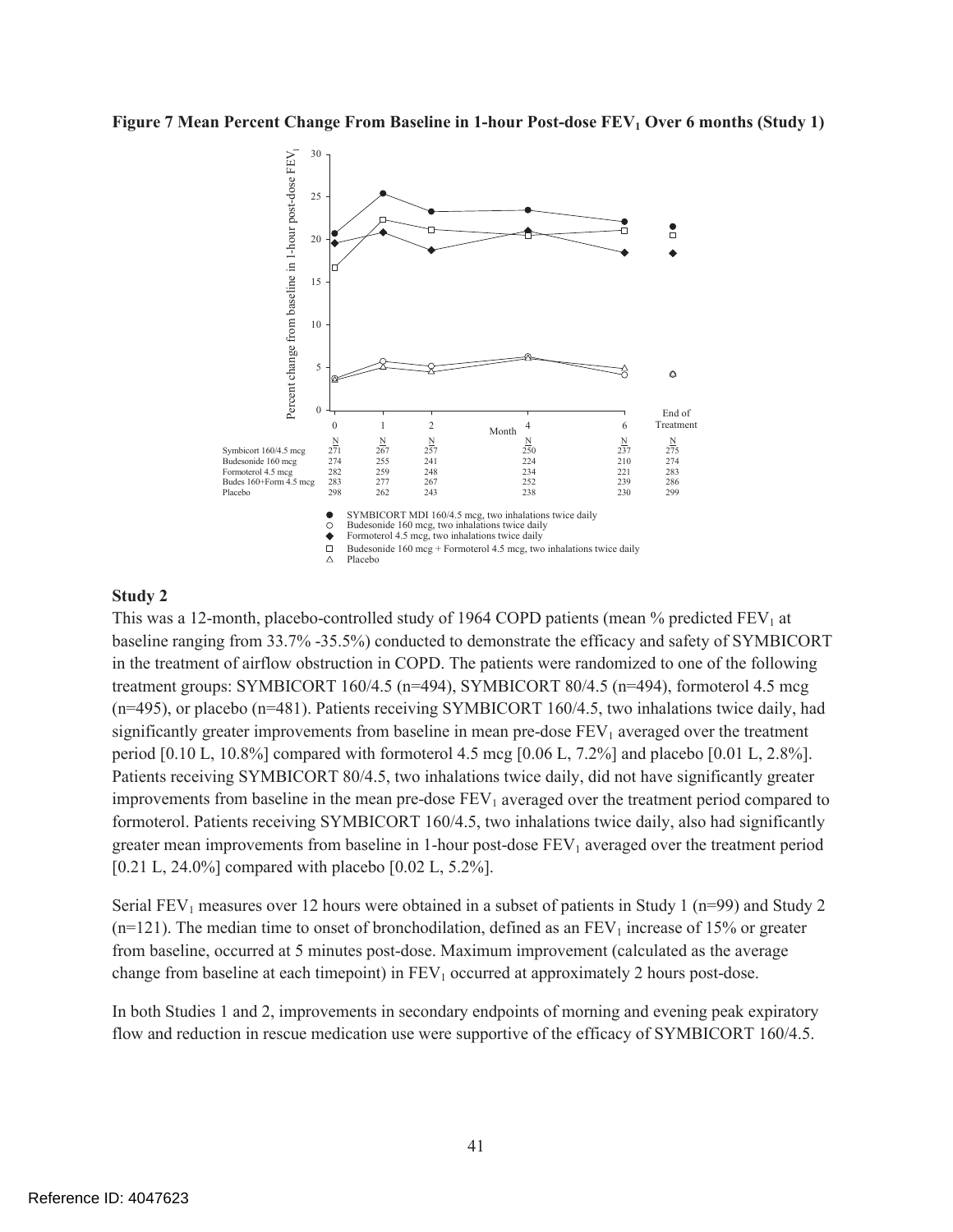#### **Figure 7 Mean Percent Change From Baseline in 1-hour Post-dose FEV<sub>1</sub> Over 6 months (Study 1)**



#### **Study 2**

This was a 12-month, placebo-controlled study of 1964 COPD patients (mean  $%$  predicted FEV<sub>1</sub> at baseline ranging from 33.7% -35.5%) conducted to demonstrate the efficacy and safety of SYMBICORT in the treatment of airflow obstruction in COPD. The patients were randomized to one of the following treatment groups: SYMBICORT 160/4.5 (n=494), SYMBICORT 80/4.5 (n=494), formoterol 4.5 mcg (n=495), or placebo (n=481). Patients receiving SYMBICORT 160/4.5, two inhalations twice daily, had significantly greater improvements from baseline in mean pre-dose  $FEV<sub>1</sub>$  averaged over the treatment period  $[0.10 \text{ L}, 10.8\%]$  compared with formoterol 4.5 mcg  $[0.06 \text{ L}, 7.2\%]$  and placebo  $[0.01 \text{ L}, 2.8\%]$ . Patients receiving SYMBICORT 80/4.5, two inhalations twice daily, did not have significantly greater improvements from baseline in the mean pre-dose  $FEV<sub>1</sub>$  averaged over the treatment period compared to formoterol. Patients receiving SYMBICORT 160/4.5, two inhalations twice daily, also had significantly greater mean improvements from baseline in 1-hour post-dose  $FEV<sub>1</sub>$  averaged over the treatment period [0.21 L, 24.0%] compared with placebo [0.02 L, 5.2%].

Serial FEV<sub>1</sub> measures over 12 hours were obtained in a subset of patients in Study 1 ( $n=99$ ) and Study 2  $(n=121)$ . The median time to onset of bronchodilation, defined as an FEV<sub>1</sub> increase of 15% or greater from baseline, occurred at 5 minutes post-dose. Maximum improvement (calculated as the average change from baseline at each timepoint) in  $FEV<sub>1</sub>$  occurred at approximately 2 hours post-dose.

In both Studies 1 and 2, improvements in secondary endpoints of morning and evening peak expiratory flow and reduction in rescue medication use were supportive of the efficacy of SYMBICORT 160/4.5.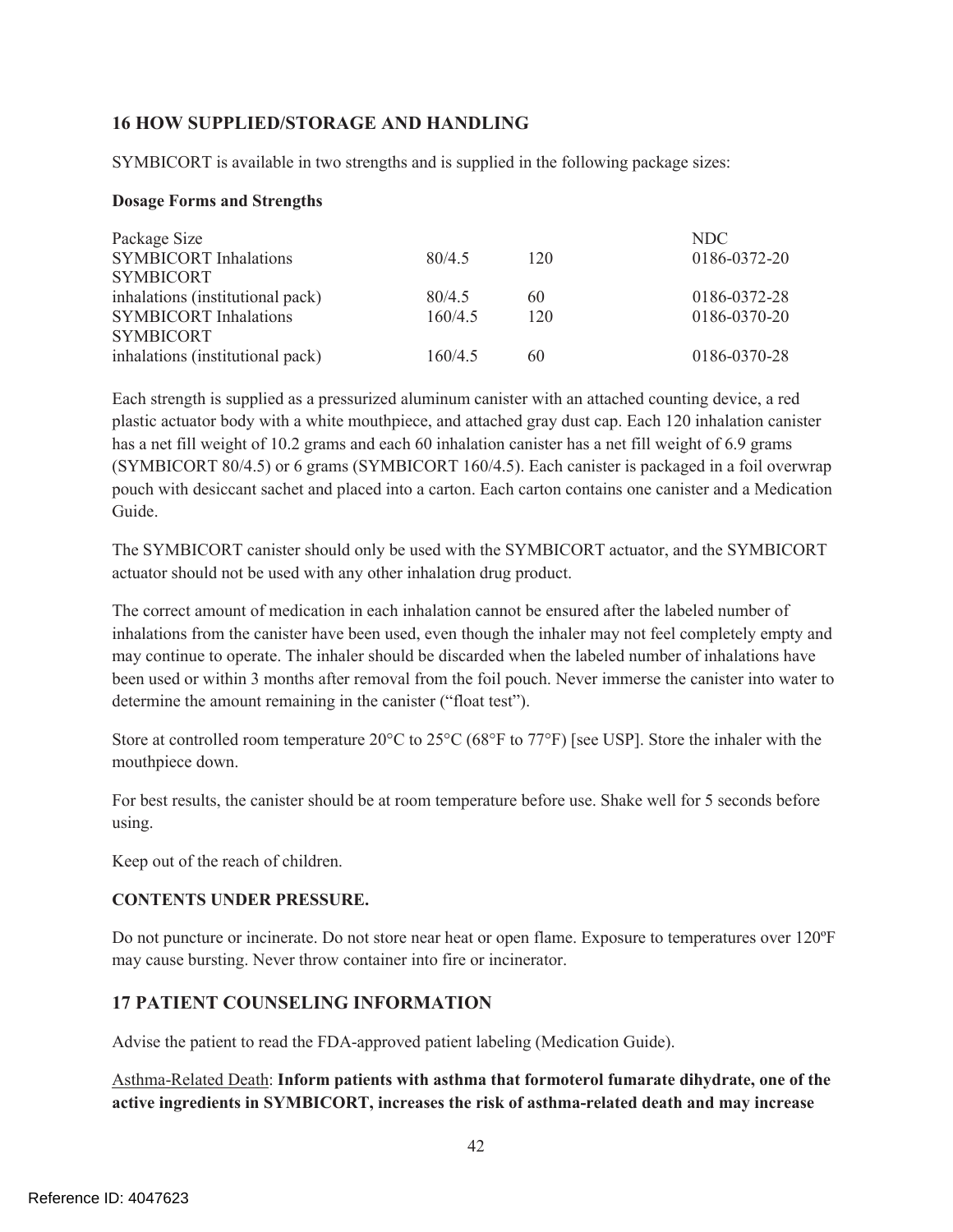### **16 HOW SUPPLIED/STORAGE AND HANDLING**

SYMBICORT is available in two strengths and is supplied in the following package sizes:

#### **Dosage Forms and Strengths**

| Package Size                     |         |     | NDC.         |
|----------------------------------|---------|-----|--------------|
| <b>SYMBICORT Inhalations</b>     | 80/4.5  | 120 | 0186-0372-20 |
| <b>SYMBICORT</b>                 |         |     |              |
| inhalations (institutional pack) | 80/4.5  | 60  | 0186-0372-28 |
| <b>SYMBICORT Inhalations</b>     | 160/4.5 | 120 | 0186-0370-20 |
| <b>SYMBICORT</b>                 |         |     |              |
| inhalations (institutional pack) | 160/4.5 | 60  | 0186-0370-28 |

Each strength is supplied as a pressurized aluminum canister with an attached counting device, a red plastic actuator body with a white mouthpiece, and attached gray dust cap. Each 120 inhalation canister has a net fill weight of 10.2 grams and each 60 inhalation canister has a net fill weight of 6.9 grams (SYMBICORT 80/4.5) or 6 grams (SYMBICORT 160/4.5). Each canister is packaged in a foil overwrap pouch with desiccant sachet and placed into a carton. Each carton contains one canister and a Medication Guide.

The SYMBICORT canister should only be used with the SYMBICORT actuator, and the SYMBICORT actuator should not be used with any other inhalation drug product.

The correct amount of medication in each inhalation cannot be ensured after the labeled number of inhalations from the canister have been used, even though the inhaler may not feel completely empty and may continue to operate. The inhaler should be discarded when the labeled number of inhalations have been used or within 3 months after removal from the foil pouch. Never immerse the canister into water to determine the amount remaining in the canister ("float test").

Store at controlled room temperature 20°C to 25°C (68°F to 77°F) [see USP]. Store the inhaler with the mouthpiece down.

For best results, the canister should be at room temperature before use. Shake well for 5 seconds before using.

Keep out of the reach of children.

#### **CONTENTS UNDER PRESSURE.**

Do not puncture or incinerate. Do not store near heat or open flame. Exposure to temperatures over 120ºF may cause bursting. Never throw container into fire or incinerator.

### **17 PATIENT COUNSELING INFORMATION**

Advise the patient to read the FDA-approved patient labeling (Medication Guide).

Asthma-Related Death: **Inform patients with asthma that formoterol fumarate dihydrate, one of the active ingredients in SYMBICORT, increases the risk of asthma-related death and may increase**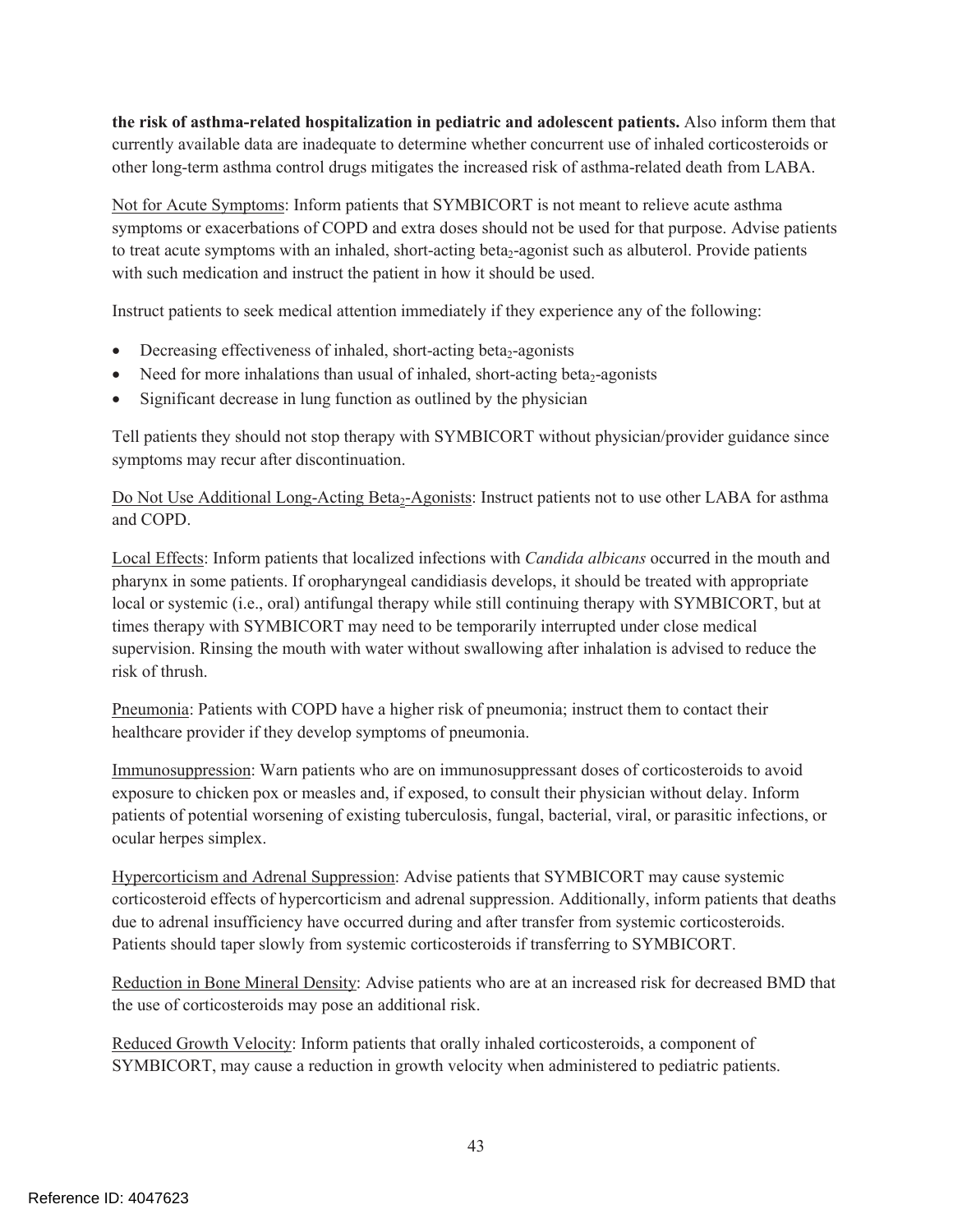**the risk of asthma-related hospitalization in pediatric and adolescent patients.** Also inform them that currently available data are inadequate to determine whether concurrent use of inhaled corticosteroids or other long-term asthma control drugs mitigates the increased risk of asthma-related death from LABA.

Not for Acute Symptoms: Inform patients that SYMBICORT is not meant to relieve acute asthma symptoms or exacerbations of COPD and extra doses should not be used for that purpose. Advise patients to treat acute symptoms with an inhaled, short-acting beta<sub>2</sub>-agonist such as albuterol. Provide patients with such medication and instruct the patient in how it should be used.

Instruct patients to seek medical attention immediately if they experience any of the following:

- $\bullet$  Decreasing effectiveness of inhaled, short-acting beta<sub>2</sub>-agonists
- Need for more inhalations than usual of inhaled, short-acting beta<sub>2</sub>-agonists
- Significant decrease in lung function as outlined by the physician

Tell patients they should not stop therapy with SYMBICORT without physician/provider guidance since symptoms may recur after discontinuation.

Do Not Use Additional Long-Acting Beta<sub>2</sub>-Agonists: Instruct patients not to use other LABA for asthma and COPD.

Local Effects: Inform patients that localized infections with *Candida albicans* occurred in the mouth and pharynx in some patients. If oropharyngeal candidiasis develops, it should be treated with appropriate local or systemic (i.e., oral) antifungal therapy while still continuing therapy with SYMBICORT, but at times therapy with SYMBICORT may need to be temporarily interrupted under close medical supervision. Rinsing the mouth with water without swallowing after inhalation is advised to reduce the risk of thrush.

Pneumonia: Patients with COPD have a higher risk of pneumonia; instruct them to contact their healthcare provider if they develop symptoms of pneumonia.

Immunosuppression: Warn patients who are on immunosuppressant doses of corticosteroids to avoid exposure to chicken pox or measles and, if exposed, to consult their physician without delay. Inform patients of potential worsening of existing tuberculosis, fungal, bacterial, viral, or parasitic infections, or ocular herpes simplex.

Hypercorticism and Adrenal Suppression: Advise patients that SYMBICORT may cause systemic corticosteroid effects of hypercorticism and adrenal suppression. Additionally, inform patients that deaths due to adrenal insufficiency have occurred during and after transfer from systemic corticosteroids. Patients should taper slowly from systemic corticosteroids if transferring to SYMBICORT.

Reduction in Bone Mineral Density: Advise patients who are at an increased risk for decreased BMD that the use of corticosteroids may pose an additional risk.

Reduced Growth Velocity: Inform patients that orally inhaled corticosteroids, a component of SYMBICORT, may cause a reduction in growth velocity when administered to pediatric patients.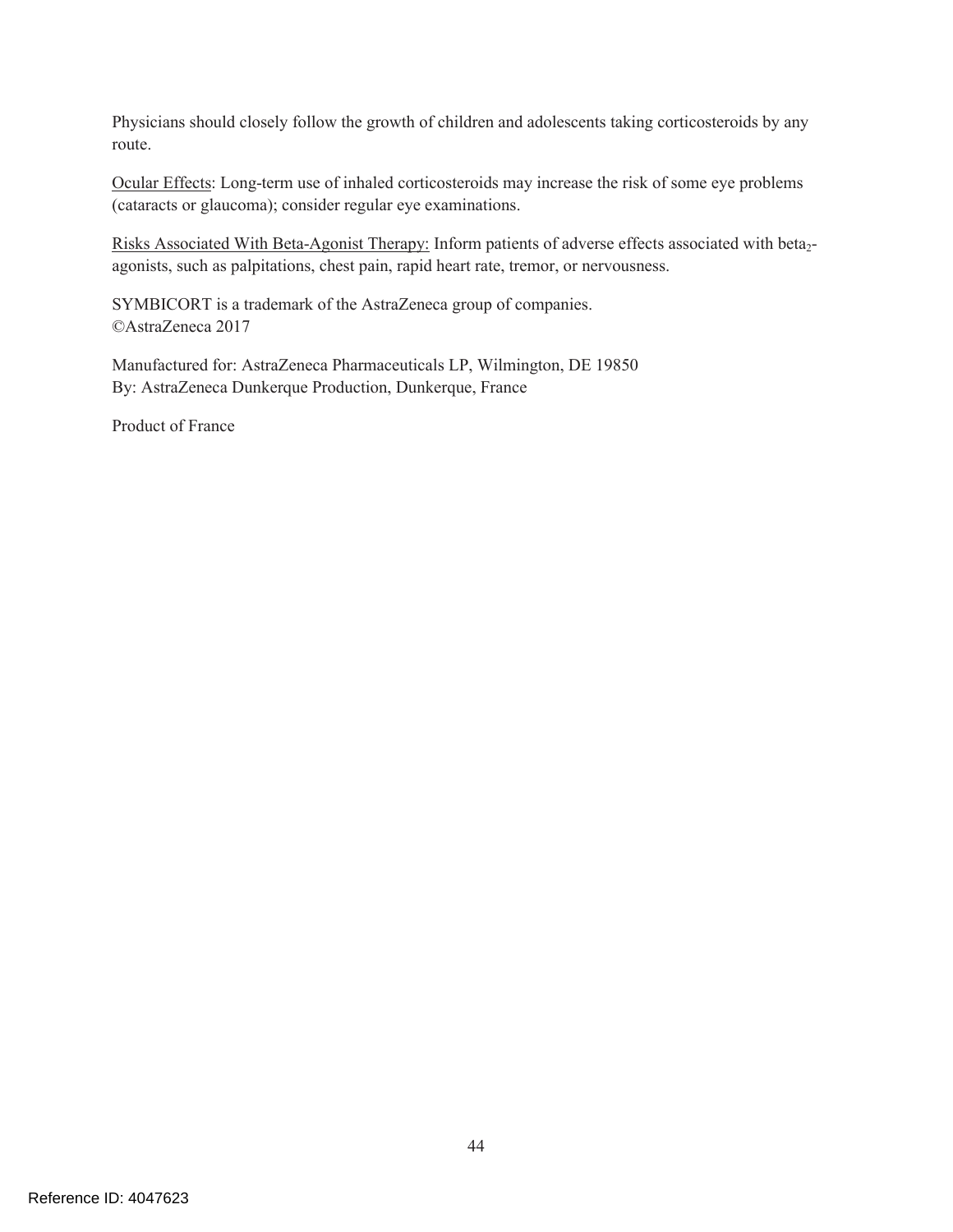Physicians should closely follow the growth of children and adolescents taking corticosteroids by any route.

Ocular Effects: Long-term use of inhaled corticosteroids may increase the risk of some eye problems (cataracts or glaucoma); consider regular eye examinations.

Risks Associated With Beta-Agonist Therapy: Inform patients of adverse effects associated with beta<sub>2</sub>agonists, such as palpitations, chest pain, rapid heart rate, tremor, or nervousness.

SYMBICORT is a trademark of the AstraZeneca group of companies. ©AstraZeneca 2017

Manufactured for: AstraZeneca Pharmaceuticals LP, Wilmington, DE 19850 By: AstraZeneca Dunkerque Production, Dunkerque, France

Product of France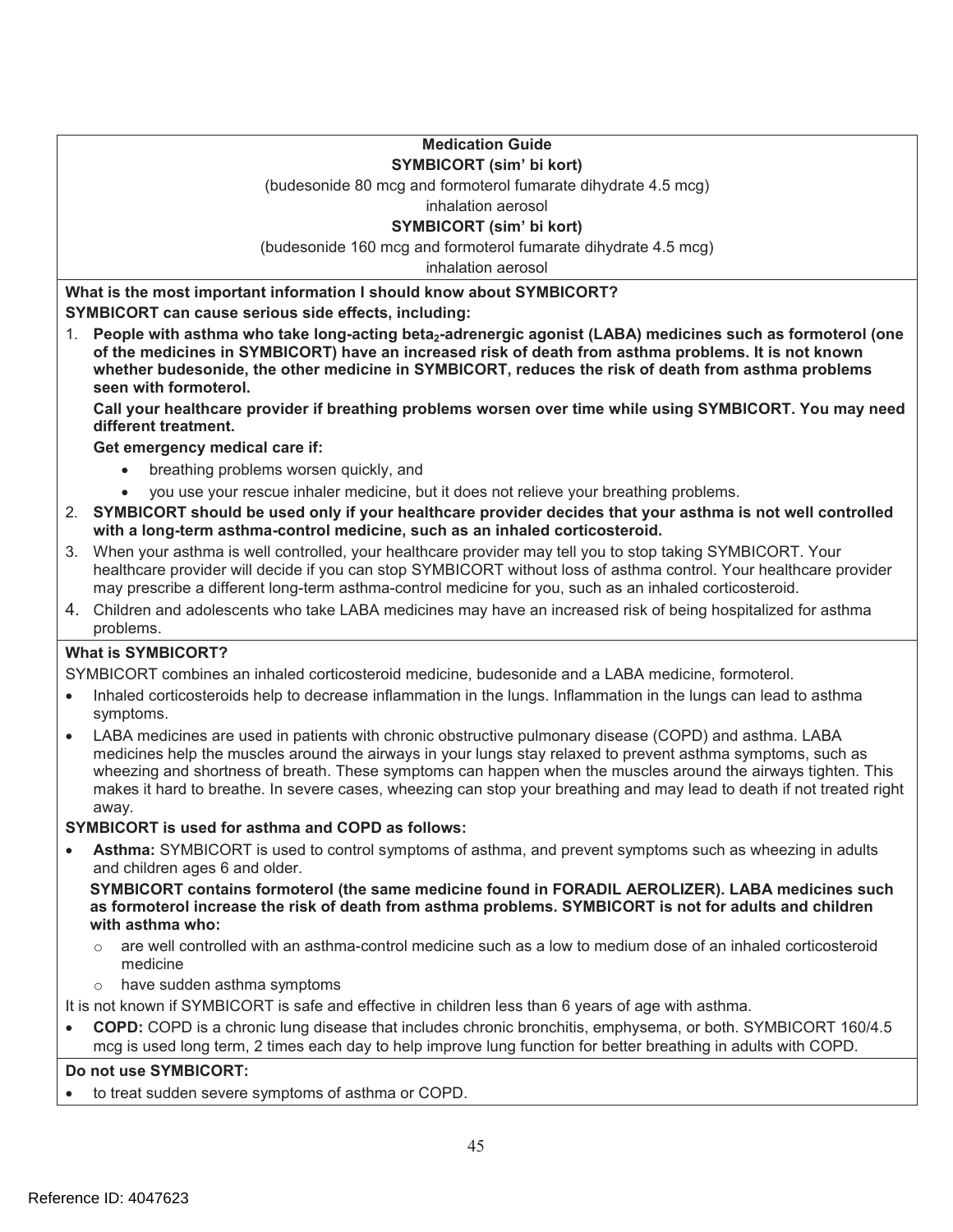**Medication Guide SYMBICORT (sim' bi kort)** 

(budesonide 80 mcg and formoterol fumarate dihydrate 4.5 mcg) inhalation aerosol

# **SYMBICORT (sim' bi kort)**

(budesonide 160 mcg and formoterol fumarate dihydrate 4.5 mcg)

inhalation aerosol

**What is the most important information I should know about SYMBICORT? SYMBICORT can cause serious side effects, including:** 

1. People with asthma who take long-acting beta<sub>2</sub>-adrenergic agonist (LABA) medicines such as formoterol (one **of the medicines in SYMBICORT) have an increased risk of death from asthma problems. It is not known whether budesonide, the other medicine in SYMBICORT, reduces the risk of death from asthma problems seen with formoterol.** 

**Call your healthcare provider if breathing problems worsen over time while using SYMBICORT. You may need different treatment.** 

**Get emergency medical care if:** 

- breathing problems worsen quickly, and
- ! you use your rescue inhaler medicine, but it does not relieve your breathing problems.
- 2. **SYMBICORT should be used only if your healthcare provider decides that your asthma is not well controlled with a long-term asthma-control medicine, such as an inhaled corticosteroid.**
- 3. When your asthma is well controlled, your healthcare provider may tell you to stop taking SYMBICORT. Your healthcare provider will decide if you can stop SYMBICORT without loss of asthma control. Your healthcare provider may prescribe a different long-term asthma-control medicine for you, such as an inhaled corticosteroid.
- 4. Children and adolescents who take LABA medicines may have an increased risk of being hospitalized for asthma problems.

#### **What is SYMBICORT?**

SYMBICORT combines an inhaled corticosteroid medicine, budesonide and a LABA medicine, formoterol.

- ! Inhaled corticosteroids help to decrease inflammation in the lungs. Inflammation in the lungs can lead to asthma symptoms.
- LABA medicines are used in patients with chronic obstructive pulmonary disease (COPD) and asthma. LABA medicines help the muscles around the airways in your lungs stay relaxed to prevent asthma symptoms, such as wheezing and shortness of breath. These symptoms can happen when the muscles around the airways tighten. This makes it hard to breathe. In severe cases, wheezing can stop your breathing and may lead to death if not treated right away.

#### **SYMBICORT is used for asthma and COPD as follows:**

! **Asthma:** SYMBICORT is used to control symptoms of asthma, and prevent symptoms such as wheezing in adults and children ages 6 and older.

**SYMBICORT contains formoterol (the same medicine found in FORADIL AEROLIZER). LABA medicines such as formoterol increase the risk of death from asthma problems. SYMBICORT is not for adults and children with asthma who:** 

- $\circ$  are well controlled with an asthma-control medicine such as a low to medium dose of an inhaled corticosteroid medicine
- have sudden asthma symptoms

It is not known if SYMBICORT is safe and effective in children less than 6 years of age with asthma.

! **COPD:** COPD is a chronic lung disease that includes chronic bronchitis, emphysema, or both. SYMBICORT 160/4.5 mcg is used long term, 2 times each day to help improve lung function for better breathing in adults with COPD.

#### **Do not use SYMBICORT:**

to treat sudden severe symptoms of asthma or COPD.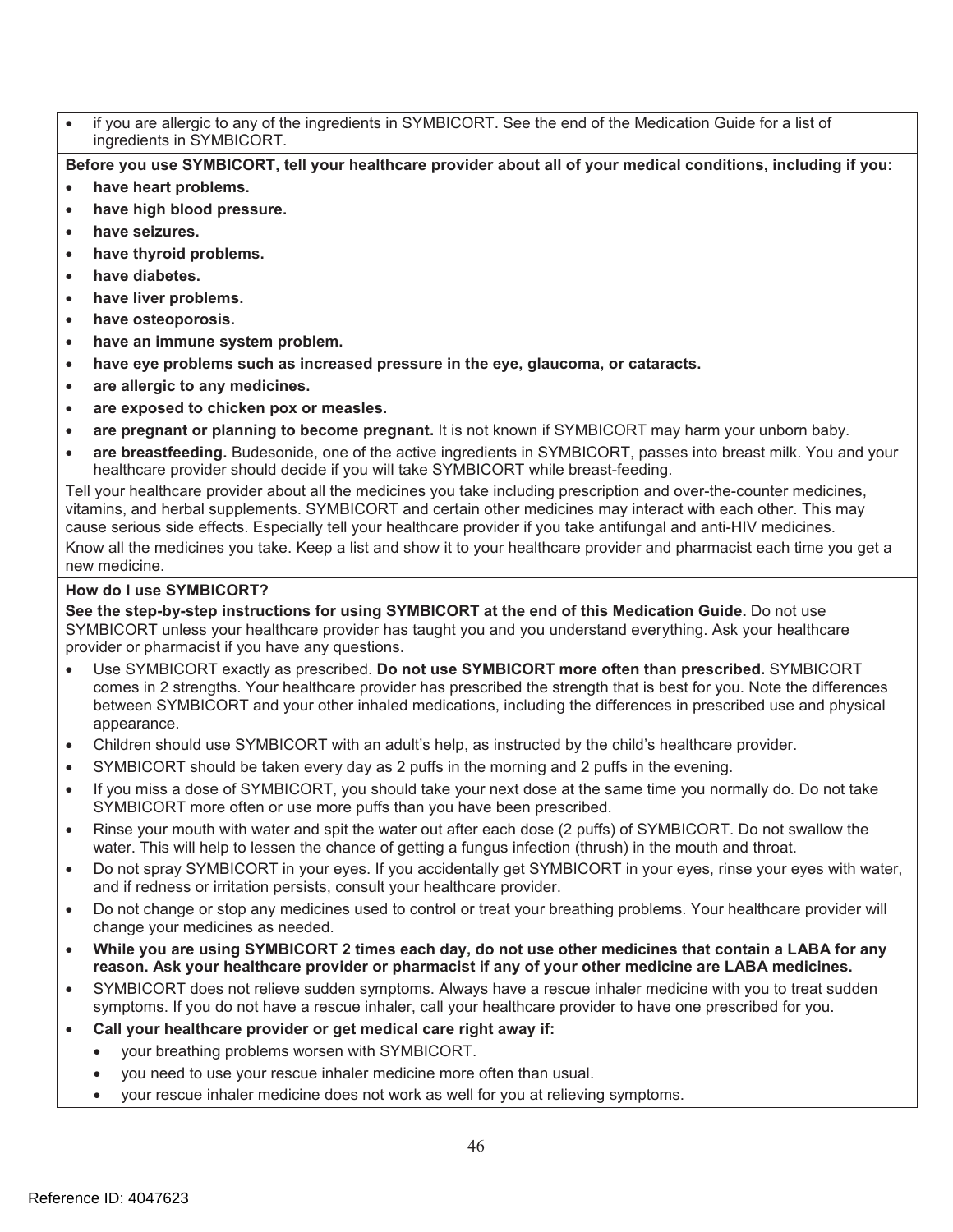if you are allergic to any of the ingredients in SYMBICORT. See the end of the Medication Guide for a list of ingredients in SYMBICORT.

**Before you use SYMBICORT, tell your healthcare provider about all of your medical conditions, including if you:** 

- have heart problems.
- have high blood pressure.
- ! **have seizures.**
- ! **have thyroid problems.**
- ! **have diabetes.**
- have liver problems.
- ! **have osteoporosis.**
- ! **have an immune system problem.**
- ! **have eye problems such as increased pressure in the eye, glaucoma, or cataracts.**
- ! **are allergic to any medicines.**
- ! **are exposed to chicken pox or measles.**
- are pregnant or planning to become pregnant. It is not known if SYMBICORT may harm your unborn baby.
- ! **are breastfeeding.** Budesonide, one of the active ingredients in SYMBICORT, passes into breast milk. You and your healthcare provider should decide if you will take SYMBICORT while breast-feeding.

Tell your healthcare provider about all the medicines you take including prescription and over-the-counter medicines, vitamins, and herbal supplements. SYMBICORT and certain other medicines may interact with each other. This may cause serious side effects. Especially tell your healthcare provider if you take antifungal and anti-HIV medicines. Know all the medicines you take. Keep a list and show it to your healthcare provider and pharmacist each time you get a new medicine.

#### **How do I use SYMBICORT?**

**See the step-by-step instructions for using SYMBICORT at the end of this Medication Guide.** Do not use SYMBICORT unless your healthcare provider has taught you and you understand everything. Ask your healthcare provider or pharmacist if you have any questions.

- ! Use SYMBICORT exactly as prescribed. **Do not use SYMBICORT more often than prescribed.** SYMBICORT comes in 2 strengths. Your healthcare provider has prescribed the strength that is best for you. Note the differences between SYMBICORT and your other inhaled medications, including the differences in prescribed use and physical appearance.
- ! Children should use SYMBICORT with an adult's help, as instructed by the child's healthcare provider.
- ! SYMBICORT should be taken every day as 2 puffs in the morning and 2 puffs in the evening.
- ! If you miss a dose of SYMBICORT, you should take your next dose at the same time you normally do. Do not take SYMBICORT more often or use more puffs than you have been prescribed.
- ! Rinse your mouth with water and spit the water out after each dose (2 puffs) of SYMBICORT. Do not swallow the water. This will help to lessen the chance of getting a fungus infection (thrush) in the mouth and throat.
- ! Do not spray SYMBICORT in your eyes. If you accidentally get SYMBICORT in your eyes, rinse your eyes with water, and if redness or irritation persists, consult your healthcare provider.
- ! Do not change or stop any medicines used to control or treat your breathing problems. Your healthcare provider will change your medicines as needed.
- ! **While you are using SYMBICORT 2 times each day, do not use other medicines that contain a LABA for any reason. Ask your healthcare provider or pharmacist if any of your other medicine are LABA medicines.**
- ! SYMBICORT does not relieve sudden symptoms. Always have a rescue inhaler medicine with you to treat sudden symptoms. If you do not have a rescue inhaler, call your healthcare provider to have one prescribed for you.
- ! **Call your healthcare provider or get medical care right away if:** 
	- your breathing problems worsen with SYMBICORT.
	- you need to use your rescue inhaler medicine more often than usual.
	- ! your rescue inhaler medicine does not work as well for you at relieving symptoms.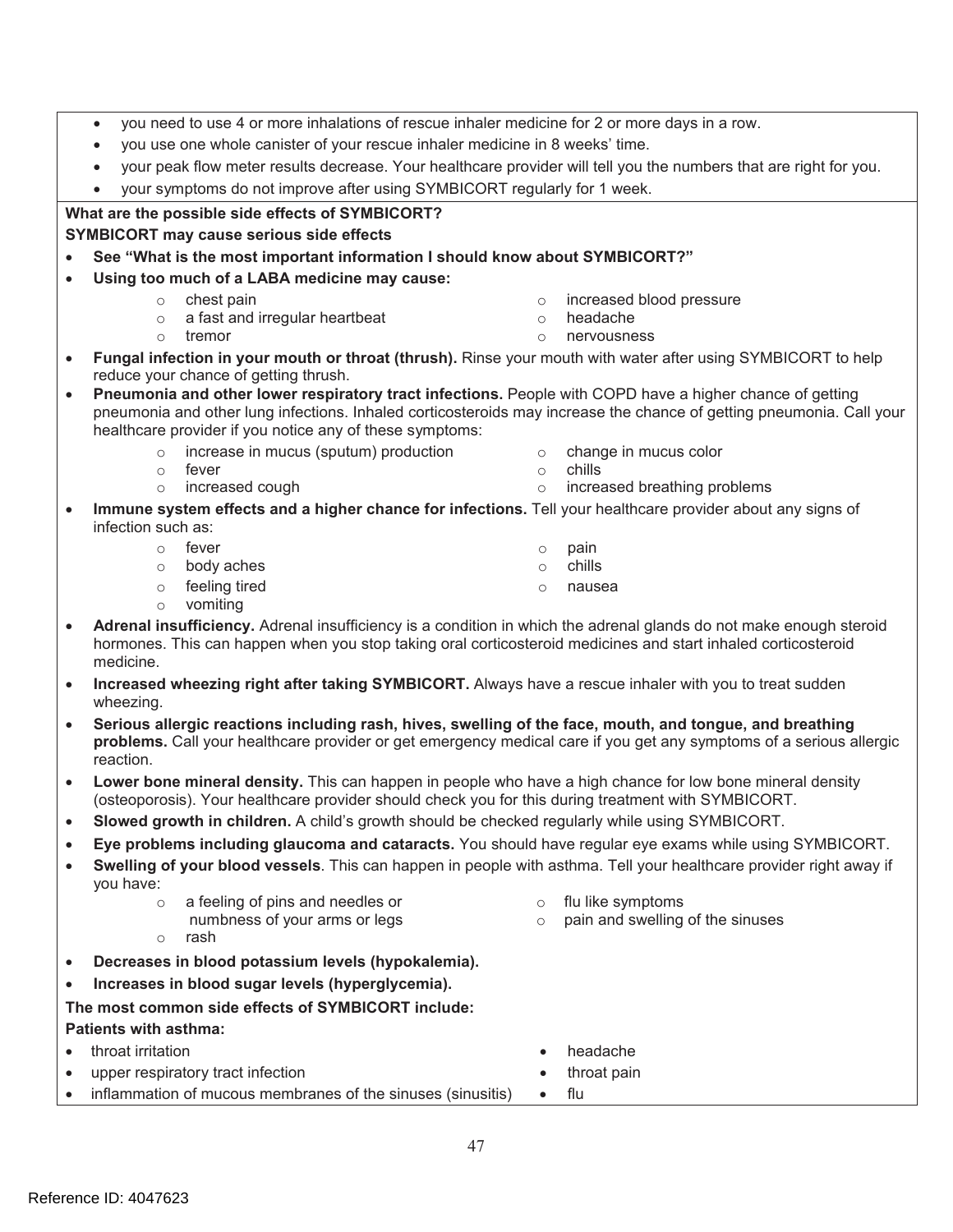|           | you need to use 4 or more inhalations of rescue inhaler medicine for 2 or more days in a row.<br>$\bullet$                                                                                                                                                |                                                       |  |  |  |  |  |
|-----------|-----------------------------------------------------------------------------------------------------------------------------------------------------------------------------------------------------------------------------------------------------------|-------------------------------------------------------|--|--|--|--|--|
|           | you use one whole canister of your rescue inhaler medicine in 8 weeks' time.<br>$\bullet$                                                                                                                                                                 |                                                       |  |  |  |  |  |
|           | your peak flow meter results decrease. Your healthcare provider will tell you the numbers that are right for you.                                                                                                                                         |                                                       |  |  |  |  |  |
|           | your symptoms do not improve after using SYMBICORT regularly for 1 week.                                                                                                                                                                                  |                                                       |  |  |  |  |  |
|           | What are the possible side effects of SYMBICORT?                                                                                                                                                                                                          |                                                       |  |  |  |  |  |
|           | <b>SYMBICORT may cause serious side effects</b>                                                                                                                                                                                                           |                                                       |  |  |  |  |  |
|           | See "What is the most important information I should know about SYMBICORT?"                                                                                                                                                                               |                                                       |  |  |  |  |  |
|           | Using too much of a LABA medicine may cause:                                                                                                                                                                                                              |                                                       |  |  |  |  |  |
|           | chest pain<br>$\circ$                                                                                                                                                                                                                                     | increased blood pressure<br>$\circ$                   |  |  |  |  |  |
|           | a fast and irregular heartbeat<br>$\circ$                                                                                                                                                                                                                 | headache<br>$\circ$                                   |  |  |  |  |  |
|           | tremor<br>$\circ$                                                                                                                                                                                                                                         | nervousness<br>$\circ$                                |  |  |  |  |  |
| $\bullet$ | Fungal infection in your mouth or throat (thrush). Rinse your mouth with water after using SYMBICORT to help                                                                                                                                              |                                                       |  |  |  |  |  |
|           | reduce your chance of getting thrush.                                                                                                                                                                                                                     |                                                       |  |  |  |  |  |
| $\bullet$ | Pneumonia and other lower respiratory tract infections. People with COPD have a higher chance of getting                                                                                                                                                  |                                                       |  |  |  |  |  |
|           | pneumonia and other lung infections. Inhaled corticosteroids may increase the chance of getting pneumonia. Call your<br>healthcare provider if you notice any of these symptoms:                                                                          |                                                       |  |  |  |  |  |
|           | increase in mucus (sputum) production                                                                                                                                                                                                                     |                                                       |  |  |  |  |  |
|           | $\circ$<br>fever<br>$\circ$                                                                                                                                                                                                                               | change in mucus color<br>$\circ$<br>chills<br>$\circ$ |  |  |  |  |  |
|           | increased cough<br>$\circ$                                                                                                                                                                                                                                | increased breathing problems<br>$\circ$               |  |  |  |  |  |
| $\bullet$ | Immune system effects and a higher chance for infections. Tell your healthcare provider about any signs of                                                                                                                                                |                                                       |  |  |  |  |  |
|           | infection such as:                                                                                                                                                                                                                                        |                                                       |  |  |  |  |  |
|           | o fever                                                                                                                                                                                                                                                   | pain<br>$\circ$                                       |  |  |  |  |  |
|           | body aches<br>$\circ$                                                                                                                                                                                                                                     | chills<br>$\circ$                                     |  |  |  |  |  |
|           | feeling tired<br>$\circ$                                                                                                                                                                                                                                  | nausea<br>$\circ$                                     |  |  |  |  |  |
|           | vomiting<br>$\circ$                                                                                                                                                                                                                                       |                                                       |  |  |  |  |  |
| $\bullet$ | Adrenal insufficiency. Adrenal insufficiency is a condition in which the adrenal glands do not make enough steroid<br>hormones. This can happen when you stop taking oral corticosteroid medicines and start inhaled corticosteroid<br>medicine.          |                                                       |  |  |  |  |  |
| $\bullet$ | Increased wheezing right after taking SYMBICORT. Always have a rescue inhaler with you to treat sudden                                                                                                                                                    |                                                       |  |  |  |  |  |
|           | wheezing.                                                                                                                                                                                                                                                 |                                                       |  |  |  |  |  |
|           | Serious allergic reactions including rash, hives, swelling of the face, mouth, and tongue, and breathing<br>$\bullet$<br>problems. Call your healthcare provider or get emergency medical care if you get any symptoms of a serious allergic<br>reaction. |                                                       |  |  |  |  |  |
| $\bullet$ | Lower bone mineral density. This can happen in people who have a high chance for low bone mineral density<br>(osteoporosis). Your healthcare provider should check you for this during treatment with SYMBICORT.                                          |                                                       |  |  |  |  |  |
| $\bullet$ | Slowed growth in children. A child's growth should be checked regularly while using SYMBICORT.                                                                                                                                                            |                                                       |  |  |  |  |  |
| $\bullet$ | Eye problems including glaucoma and cataracts. You should have regular eye exams while using SYMBICORT.                                                                                                                                                   |                                                       |  |  |  |  |  |
| $\bullet$ | Swelling of your blood vessels. This can happen in people with asthma. Tell your healthcare provider right away if<br>you have:                                                                                                                           |                                                       |  |  |  |  |  |
|           | a feeling of pins and needles or<br>$\circ$                                                                                                                                                                                                               | flu like symptoms<br>$\circ$                          |  |  |  |  |  |
|           | numbness of your arms or legs<br>rash                                                                                                                                                                                                                     | pain and swelling of the sinuses<br>$\circ$           |  |  |  |  |  |
|           | $\circ$                                                                                                                                                                                                                                                   |                                                       |  |  |  |  |  |
| $\bullet$ | Decreases in blood potassium levels (hypokalemia).                                                                                                                                                                                                        |                                                       |  |  |  |  |  |
| $\bullet$ | Increases in blood sugar levels (hyperglycemia).                                                                                                                                                                                                          |                                                       |  |  |  |  |  |
|           | The most common side effects of SYMBICORT include:                                                                                                                                                                                                        |                                                       |  |  |  |  |  |
|           | <b>Patients with asthma:</b>                                                                                                                                                                                                                              |                                                       |  |  |  |  |  |
| $\bullet$ | throat irritation                                                                                                                                                                                                                                         | headache                                              |  |  |  |  |  |
| ۰         | upper respiratory tract infection                                                                                                                                                                                                                         | throat pain                                           |  |  |  |  |  |
| $\bullet$ | inflammation of mucous membranes of the sinuses (sinusitis)                                                                                                                                                                                               | flu<br>$\bullet$                                      |  |  |  |  |  |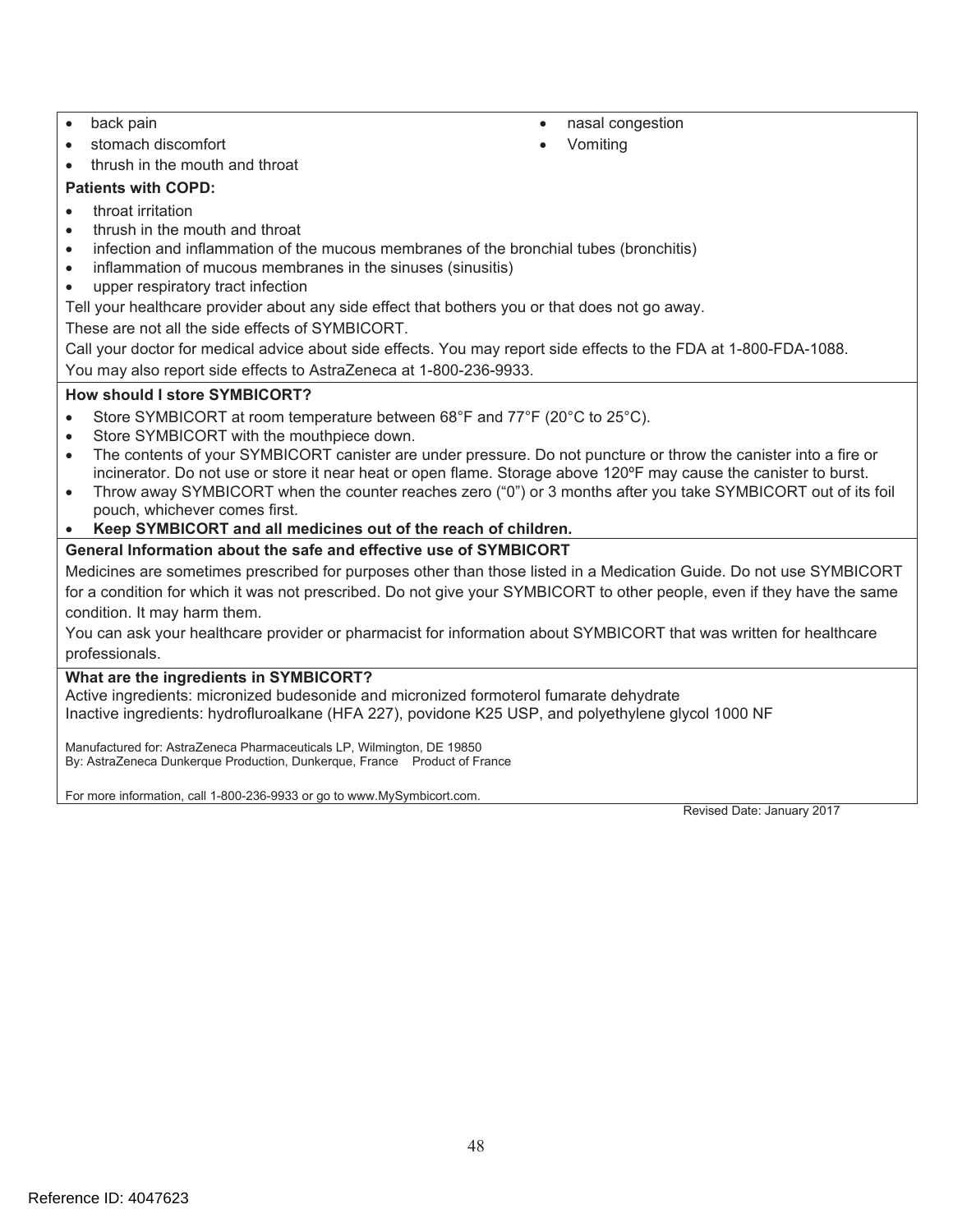- back pain  $\bullet$  nasal congestion
- stomach discomfort **and the stomach discomfort**  $\bullet$  Vomiting
- thrush in the mouth and throat

#### **Patients with COPD:**

- ! throat irritation
- thrush in the mouth and throat
- infection and inflammation of the mucous membranes of the bronchial tubes (bronchitis)
- inflammation of mucous membranes in the sinuses (sinusitis)
- upper respiratory tract infection

Tell your healthcare provider about any side effect that bothers you or that does not go away.

These are not all the side effects of SYMBICORT.

Call your doctor for medical advice about side effects. You may report side effects to the FDA at 1-800-FDA-1088. You may also report side effects to AstraZeneca at 1-800-236-9933.

#### **How should I store SYMBICORT?**

- Store SYMBICORT at room temperature between 68°F and 77°F (20°C to 25°C).
- Store SYMBICORT with the mouthpiece down.
- ! The contents of your SYMBICORT canister are under pressure. Do not puncture or throw the canister into a fire or incinerator. Do not use or store it near heat or open flame. Storage above 120ºF may cause the canister to burst.
- ! Throw away SYMBICORT when the counter reaches zero ("0") or 3 months after you take SYMBICORT out of its foil pouch, whichever comes first.
- ! **Keep SYMBICORT and all medicines out of the reach of children.**
- **General Information about the safe and effective use of SYMBICORT**

Medicines are sometimes prescribed for purposes other than those listed in a Medication Guide. Do not use SYMBICORT for a condition for which it was not prescribed. Do not give your SYMBICORT to other people, even if they have the same condition. It may harm them.

You can ask your healthcare provider or pharmacist for information about SYMBICORT that was written for healthcare professionals.

#### **What are the ingredients in SYMBICORT?**

Active ingredients: micronized budesonide and micronized formoterol fumarate dehydrate Inactive ingredients: hydrofluroalkane (HFA 227), povidone K25 USP, and polyethylene glycol 1000 NF

 By: AstraZeneca Dunkerque Production, Dunkerque, France Product of France Manufactured for: AstraZeneca Pharmaceuticals LP, Wilmington, DE 19850

For more information, call 1-800-236-9933 or go to www.MySymbicort.com.

Revised Date: January 2017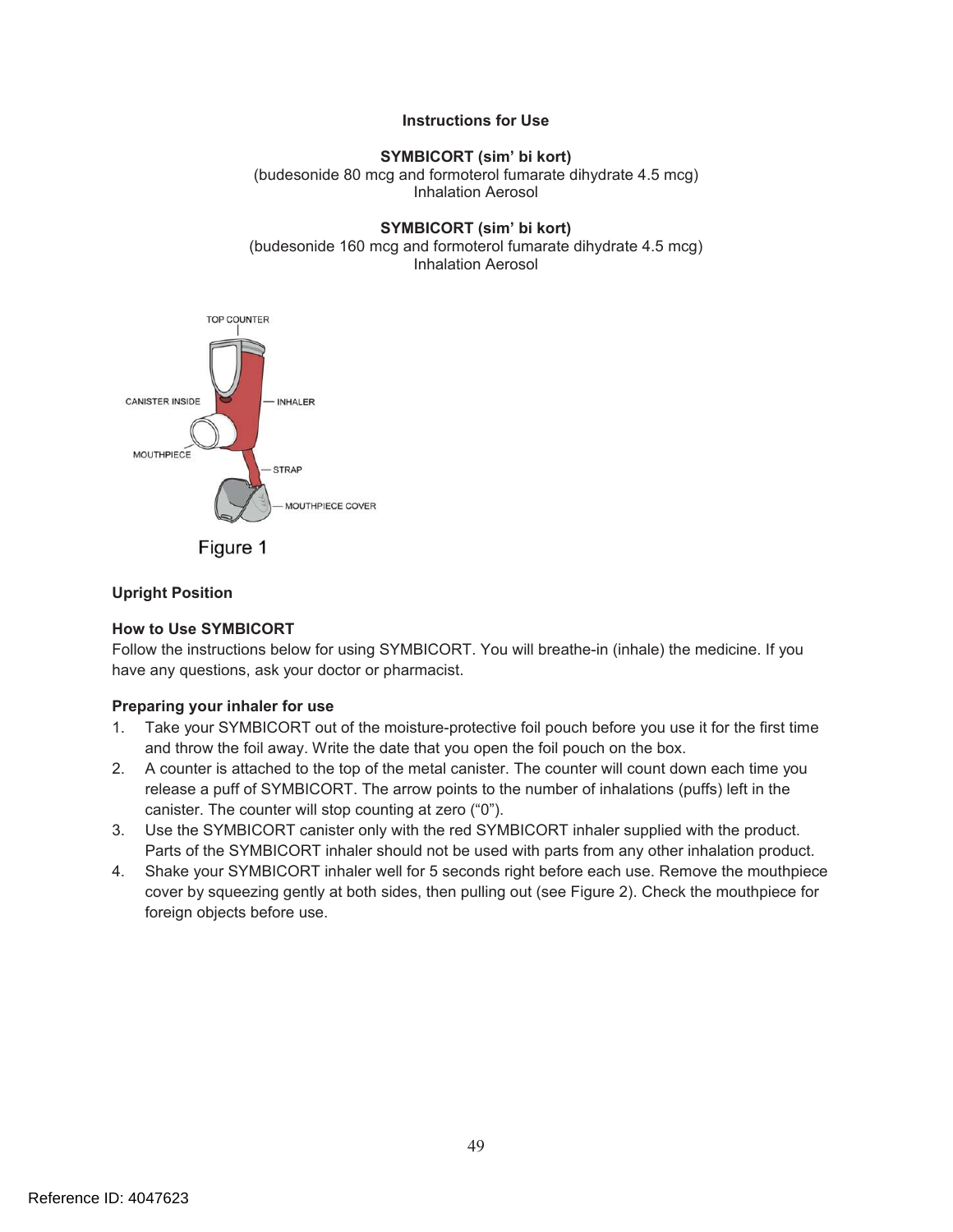#### **Instructions for Use**

#### **SYMBICORT (sim' bi kort)**  (budesonide 80 mcg and formoterol fumarate dihydrate 4.5 mcg) Inhalation Aerosol

#### **SYMBICORT (sim' bi kort)**  (budesonide 160 mcg and formoterol fumarate dihydrate 4.5 mcg) Inhalation Aerosol



Figure 1

#### **Upright Position**

#### **How to Use SYMBICORT**

Follow the instructions below for using SYMBICORT. You will breathe-in (inhale) the medicine. If you have any questions, ask your doctor or pharmacist.

#### **Preparing your inhaler for use**

- 1. Take your SYMBICORT out of the moisture-protective foil pouch before you use it for the first time and throw the foil away. Write the date that you open the foil pouch on the box.
- 2. A counter is attached to the top of the metal canister. The counter will count down each time you release a puff of SYMBICORT. The arrow points to the number of inhalations (puffs) left in the canister. The counter will stop counting at zero ("0").
- 3. Use the SYMBICORT canister only with the red SYMBICORT inhaler supplied with the product. Parts of the SYMBICORT inhaler should not be used with parts from any other inhalation product.
- 4. Shake your SYMBICORT inhaler well for 5 seconds right before each use. Remove the mouthpiece cover by squeezing gently at both sides, then pulling out (see Figure 2). Check the mouthpiece for foreign objects before use.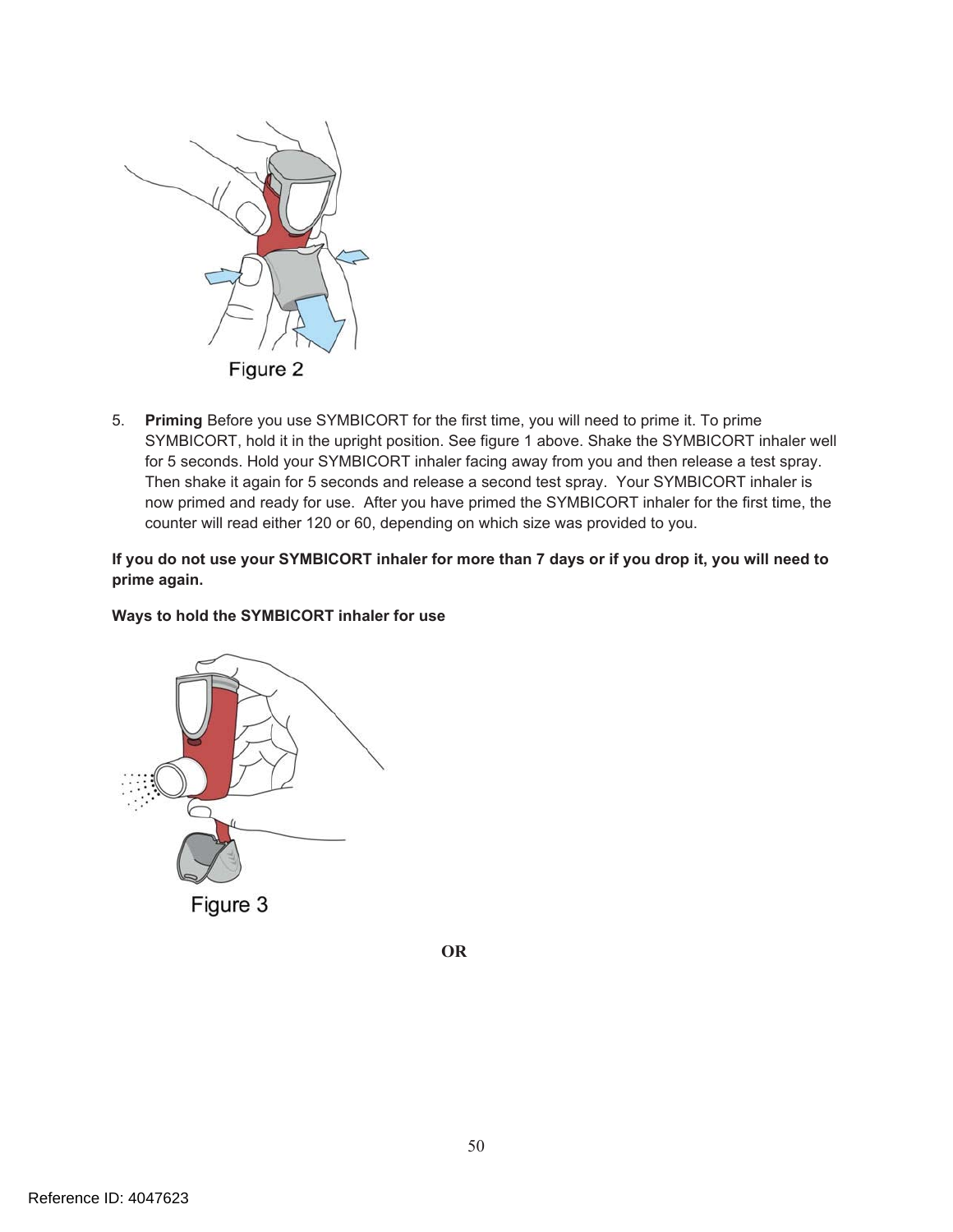

5. **Priming** Before you use SYMBICORT for the first time, you will need to prime it. To prime SYMBICORT, hold it in the upright position. See figure 1 above. Shake the SYMBICORT inhaler well for 5 seconds. Hold your SYMBICORT inhaler facing away from you and then release a test spray. Then shake it again for 5 seconds and release a second test spray. Your SYMBICORT inhaler is now primed and ready for use. After you have primed the SYMBICORT inhaler for the first time, the counter will read either 120 or 60, depending on which size was provided to you.

**If you do not use your SYMBICORT inhaler for more than 7 days or if you drop it, you will need to prime again.** 

#### **Ways to hold the SYMBICORT inhaler for use**



Figure 3

**OR**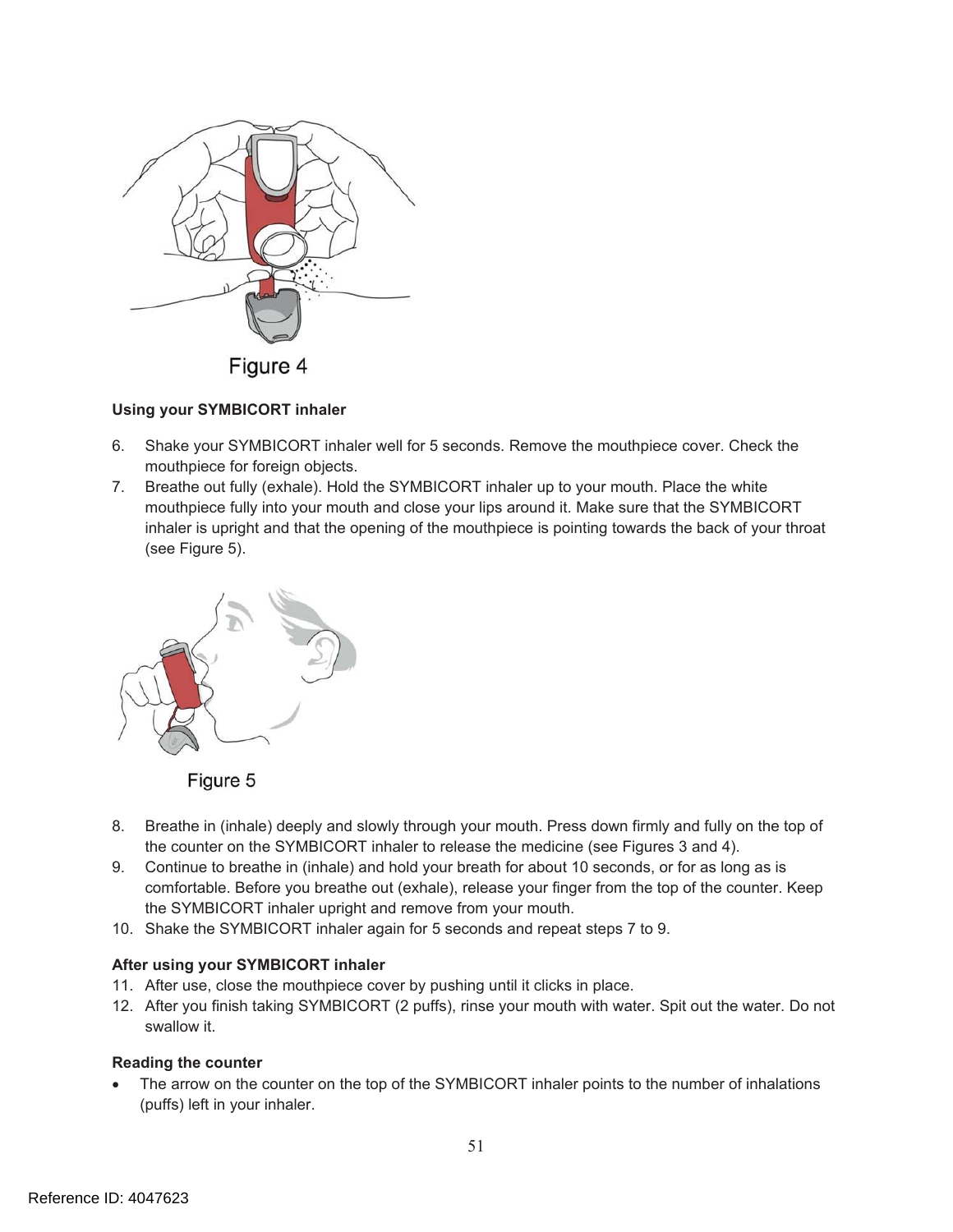

#### **Using your SYMBICORT inhaler**

- 6. Shake your SYMBICORT inhaler well for 5 seconds. Remove the mouthpiece cover. Check the mouthpiece for foreign objects.
- 7. Breathe out fully (exhale). Hold the SYMBICORT inhaler up to your mouth. Place the white mouthpiece fully into your mouth and close your lips around it. Make sure that the SYMBICORT inhaler is upright and that the opening of the mouthpiece is pointing towards the back of your throat (see Figure 5).





- 8. Breathe in (inhale) deeply and slowly through your mouth. Press down firmly and fully on the top of the counter on the SYMBICORT inhaler to release the medicine (see Figures 3 and 4).
- 9. Continue to breathe in (inhale) and hold your breath for about 10 seconds, or for as long as is comfortable. Before you breathe out (exhale), release your finger from the top of the counter. Keep the SYMBICORT inhaler upright and remove from your mouth.
- 10. Shake the SYMBICORT inhaler again for 5 seconds and repeat steps 7 to 9.

#### **After using your SYMBICORT inhaler**

- 11. After use, close the mouthpiece cover by pushing until it clicks in place.
- 12. After you finish taking SYMBICORT (2 puffs), rinse your mouth with water. Spit out the water. Do not swallow it.

#### **Reading the counter**

The arrow on the counter on the top of the SYMBICORT inhaler points to the number of inhalations (puffs) left in your inhaler.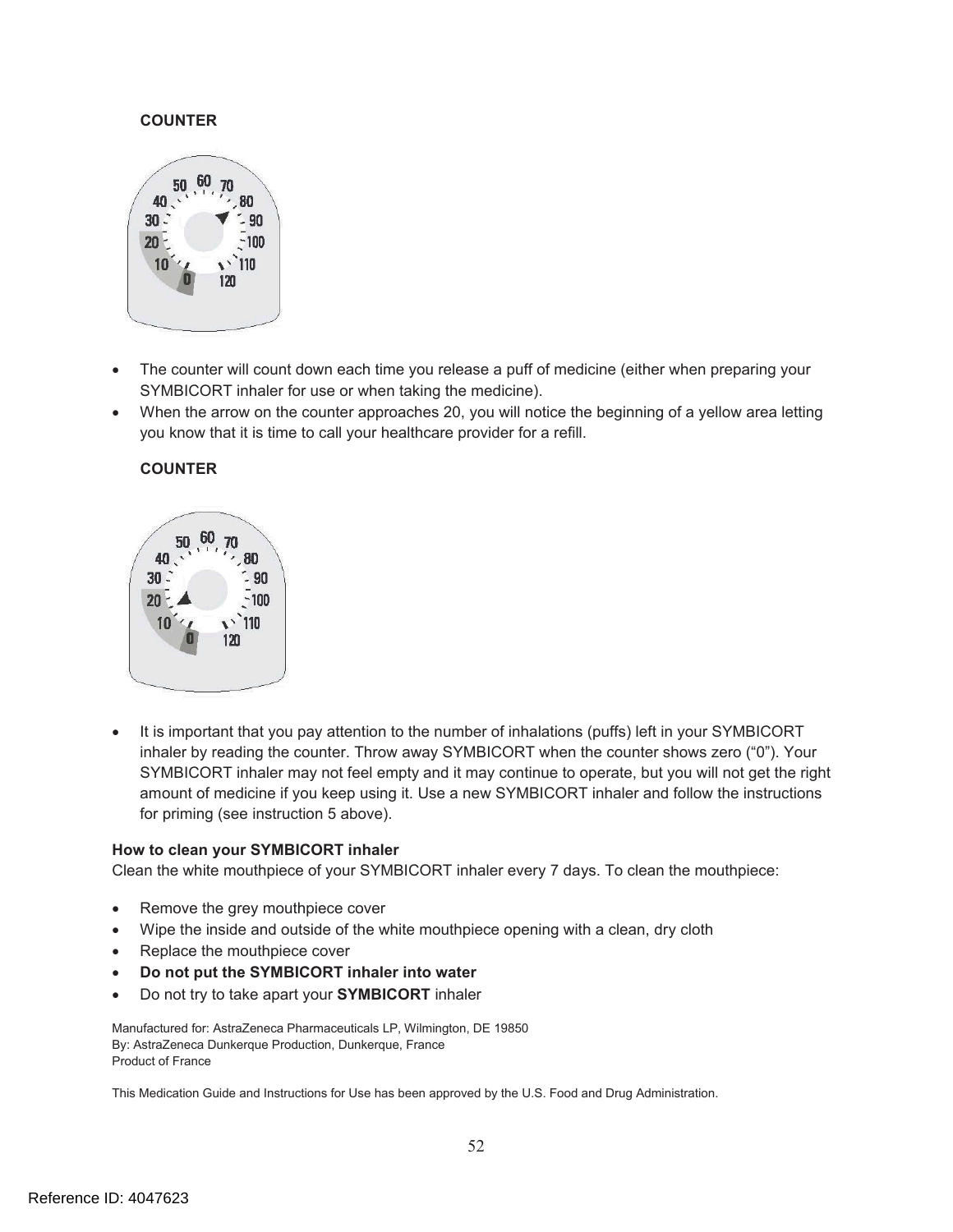#### **COUNTER**



- $\bullet$ The counter will count down each time you release a puff of medicine (either when preparing your SYMBICORT inhaler for use or when taking the medicine).
- $\bullet$ When the arrow on the counter approaches 20, you will notice the beginning of a yellow area letting you know that it is time to call your healthcare provider for a refill.

#### **COUNTER**



It is important that you pay attention to the number of inhalations (puffs) left in your SYMBICORT inhaler by reading the counter. Throw away SYMBICORT when the counter shows zero ("0"). Your SYMBICORT inhaler may not feel empty and it may continue to operate, but you will not get the right amount of medicine if you keep using it. Use a new SYMBICORT inhaler and follow the instructions for priming (see instruction 5 above).

#### **How to clean your SYMBICORT inhaler**

Clean the white mouthpiece of your SYMBICORT inhaler every 7 days. To clean the mouthpiece:

- Remove the grey mouthpiece cover
- ! Wipe the inside and outside of the white mouthpiece opening with a clean, dry cloth
- Replace the mouthpiece cover
- ! **Do not put the SYMBICORT inhaler into water**
- ! Do not try to take apart your **SYMBICORT** inhaler

Manufactured for: AstraZeneca Pharmaceuticals LP, Wilmington, DE 19850 By: AstraZeneca Dunkerque Production, Dunkerque, France Product of France

This Medication Guide and Instructions for Use has been approved by the U.S. Food and Drug Administration.